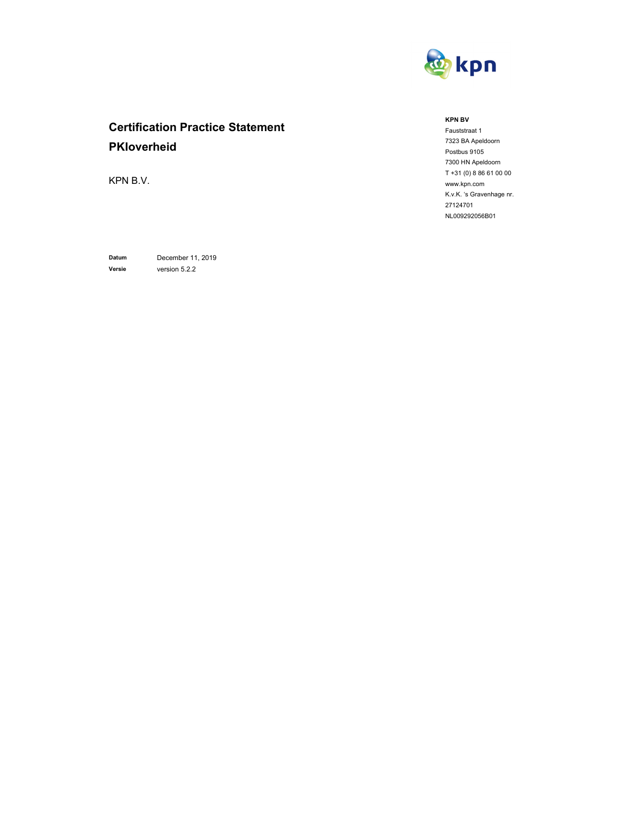

# **Certification Practice Statement PKIoverheid**

KPN B.V.

**Datum** December 11, 2019 **Versie** version 5.2.2

**KPN BV** 

Fauststraat 1 7323 BA Apeldoorn Postbus 9105 7300 HN Apeldoorn T +31 (0) 8 86 61 00 00 www.kpn.com K.v.K. 's Gravenhage nr. 27124701 NL009292056B01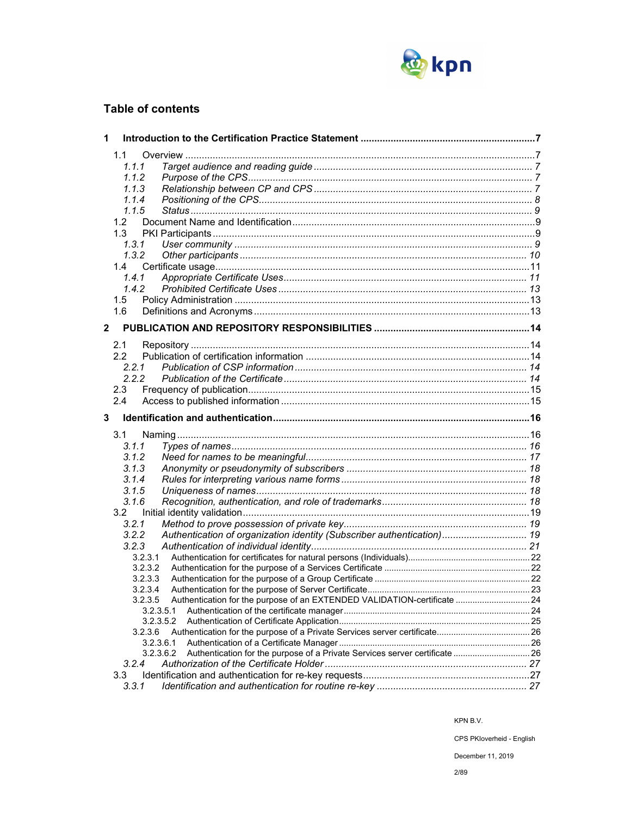

## **Table of contents**

| 1            |                                                                                          |  |
|--------------|------------------------------------------------------------------------------------------|--|
|              | 1.1                                                                                      |  |
|              | 1.1.1                                                                                    |  |
|              | 1.1.2                                                                                    |  |
|              | 1.1.3                                                                                    |  |
|              | 1.1.4                                                                                    |  |
|              | 1.1.5                                                                                    |  |
|              | 1.2 <sub>1</sub>                                                                         |  |
|              | 1.3                                                                                      |  |
|              | 1, 3, 1                                                                                  |  |
|              | 1.3.2                                                                                    |  |
|              | 1.4                                                                                      |  |
|              | 1.4.1                                                                                    |  |
|              | 1.4.2                                                                                    |  |
|              | 1.5                                                                                      |  |
|              | 1.6                                                                                      |  |
| $\mathbf{2}$ |                                                                                          |  |
|              |                                                                                          |  |
|              | 2.1                                                                                      |  |
|              | 2.2                                                                                      |  |
|              | 2.2.1                                                                                    |  |
|              | 2.2.2                                                                                    |  |
|              | 2.3                                                                                      |  |
|              | 2.4                                                                                      |  |
| 3            |                                                                                          |  |
|              | 3.1                                                                                      |  |
|              | 3.1.1                                                                                    |  |
|              | 3.1.2                                                                                    |  |
|              | 3.1.3                                                                                    |  |
|              | 3.1.4                                                                                    |  |
|              | 3.1.5                                                                                    |  |
|              | 3.1.6                                                                                    |  |
|              | 3.2                                                                                      |  |
|              | 3.2.1                                                                                    |  |
|              | Authentication of organization identity (Subscriber authentication) 19<br>3.2.2          |  |
|              | 3.2.3                                                                                    |  |
|              | 3.2.3.1                                                                                  |  |
|              | 3.2.3.2                                                                                  |  |
|              | 3.2.3.3                                                                                  |  |
|              | 3.2.3.4                                                                                  |  |
|              | 3.2.3.5<br>Authentication for the purpose of an EXTENDED VALIDATION-certificate  24      |  |
|              | 3.2.3.5.1                                                                                |  |
|              | 3.2.3.5.2                                                                                |  |
|              | 3.2.3.6                                                                                  |  |
|              | 3.2.3.6.1                                                                                |  |
|              | Authentication for the purpose of a Private Services server certificate  26<br>3.2.3.6.2 |  |
|              | 3.2.4                                                                                    |  |
|              |                                                                                          |  |
|              | 3.3<br>3.3.1                                                                             |  |

KPN B.V.

CPS PKIoverheid - English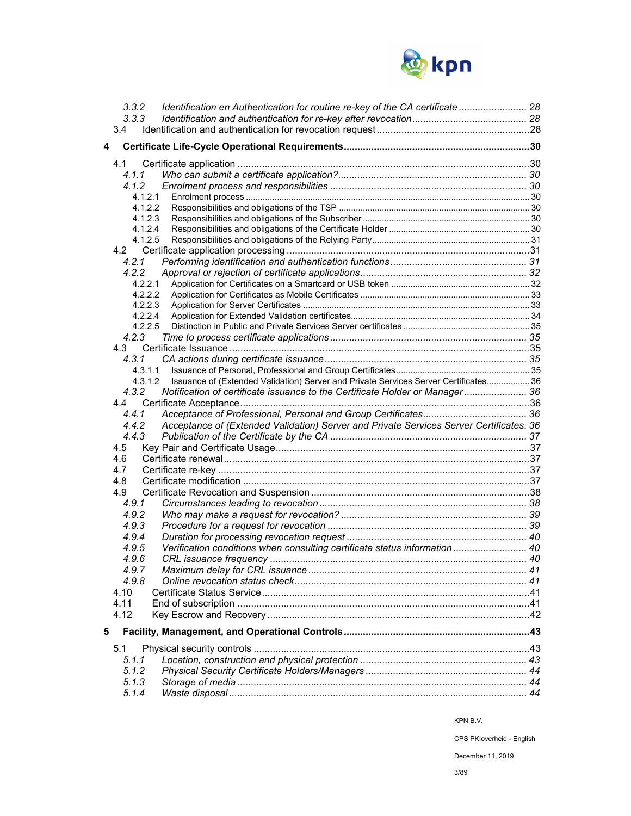

|   | 3.3.2              | Identification en Authentication for routine re-key of the CA certificate  28           |  |
|---|--------------------|-----------------------------------------------------------------------------------------|--|
|   | 3.3.3              |                                                                                         |  |
|   | 3.4                |                                                                                         |  |
| 4 |                    |                                                                                         |  |
|   |                    |                                                                                         |  |
|   | 4.1                |                                                                                         |  |
|   | 4.1.1              |                                                                                         |  |
|   | 4.1.2              |                                                                                         |  |
|   | 4.1.2.1            |                                                                                         |  |
|   | 4.1.2.2            |                                                                                         |  |
|   | 4.1.2.3            |                                                                                         |  |
|   | 4.1.2.4<br>4.1.2.5 |                                                                                         |  |
|   |                    |                                                                                         |  |
|   |                    |                                                                                         |  |
|   | 4.2.1<br>4.2.2     |                                                                                         |  |
|   | 4.2.2.1            |                                                                                         |  |
|   | 4.2.2.2            |                                                                                         |  |
|   | 4.2.2.3            |                                                                                         |  |
|   | 4.2.2.4            |                                                                                         |  |
|   | 4.2.2.5            |                                                                                         |  |
|   | 4.2.3              |                                                                                         |  |
|   |                    |                                                                                         |  |
|   | 4.3.1              |                                                                                         |  |
|   | 4.3.1.1            |                                                                                         |  |
|   | 4.3.1.2            | Issuance of (Extended Validation) Server and Private Services Server Certificates 36    |  |
|   | 4.3.2              | Notification of certificate issuance to the Certificate Holder or Manager 36            |  |
|   |                    |                                                                                         |  |
|   | 4.4.1              |                                                                                         |  |
|   | 4.4.2              | Acceptance of (Extended Validation) Server and Private Services Server Certificates. 36 |  |
|   | 4.4.3              |                                                                                         |  |
|   | 4.5                |                                                                                         |  |
|   | 4.6                |                                                                                         |  |
|   | 4.7                |                                                                                         |  |
|   | 4.8                |                                                                                         |  |
|   | 4.9                |                                                                                         |  |
|   | 4.9.1              |                                                                                         |  |
|   | 4.9.2              |                                                                                         |  |
|   | 4.9.3              |                                                                                         |  |
|   | 4.9.4              |                                                                                         |  |
|   | 4.9.5              | Verification conditions when consulting certificate status information  40              |  |
|   |                    |                                                                                         |  |
|   | 4.9.6              |                                                                                         |  |
|   | 4.9.7<br>4.9.8     |                                                                                         |  |
|   |                    |                                                                                         |  |
|   | 4.10               |                                                                                         |  |
|   | 4.11               |                                                                                         |  |
|   | 4.12               |                                                                                         |  |
| 5 |                    |                                                                                         |  |
|   | 5.1                |                                                                                         |  |
|   | 5.1.1              |                                                                                         |  |
|   | 5.1.2              |                                                                                         |  |
|   | 5.1.3              |                                                                                         |  |
|   |                    |                                                                                         |  |
|   | 5.1.4              |                                                                                         |  |

CPS PKIoverheid - English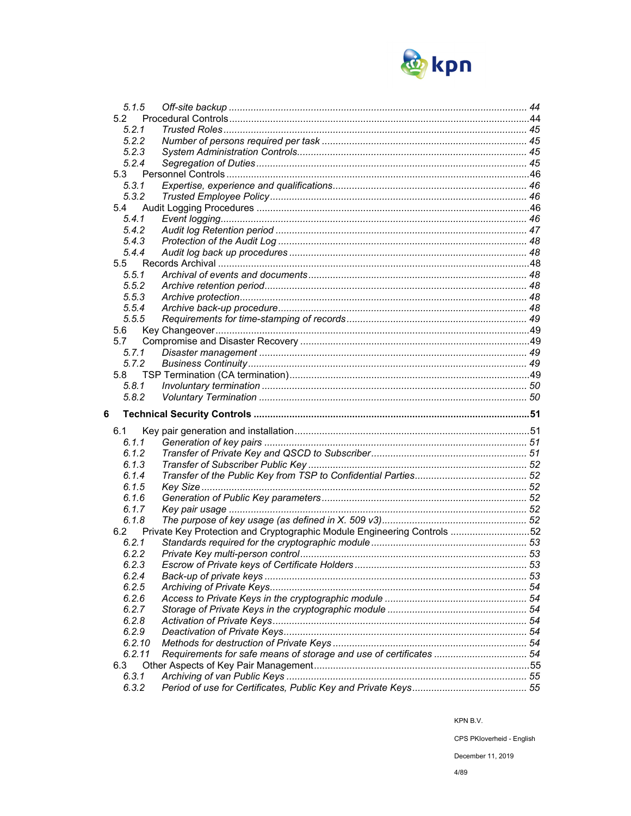

| 5.1.5          |                                                                         |  |
|----------------|-------------------------------------------------------------------------|--|
| 52             |                                                                         |  |
| 5.2.1          |                                                                         |  |
| 5.2.2          |                                                                         |  |
| 5.2.3          |                                                                         |  |
| 5.2.4          |                                                                         |  |
| 5.3            |                                                                         |  |
| 5.3.1          |                                                                         |  |
| 5.3.2          |                                                                         |  |
| 5.4            |                                                                         |  |
| 5.4.1          |                                                                         |  |
| 5.4.2          |                                                                         |  |
| 5.4.3          |                                                                         |  |
| 5.4.4          |                                                                         |  |
| 5.5            |                                                                         |  |
| 5.5.1          |                                                                         |  |
| 5.5.2          |                                                                         |  |
| 5.5.3          |                                                                         |  |
| 5.5.4          |                                                                         |  |
| 5.5.5          |                                                                         |  |
| 5.6            |                                                                         |  |
| 5.7            |                                                                         |  |
| 5.7.1          |                                                                         |  |
| 5.7.2          |                                                                         |  |
| 5.8            |                                                                         |  |
| 5.8.1          |                                                                         |  |
|                |                                                                         |  |
|                |                                                                         |  |
| 5.8.2          |                                                                         |  |
| 6              |                                                                         |  |
|                |                                                                         |  |
| 6.1<br>6.1.1   |                                                                         |  |
| 6.1.2          |                                                                         |  |
| 6.1.3          |                                                                         |  |
|                |                                                                         |  |
| 6.1.4<br>6.1.5 |                                                                         |  |
|                |                                                                         |  |
| 6.1.6<br>6.1.7 |                                                                         |  |
| 6.1.8          |                                                                         |  |
| 6.2            |                                                                         |  |
| 6.2.1          | Private Key Protection and Cryptographic Module Engineering Controls 52 |  |
| 6.2.2          |                                                                         |  |
| 6.2.3          |                                                                         |  |
| 6.2.4          |                                                                         |  |
| 6.2.5          |                                                                         |  |
| 6.2.6          |                                                                         |  |
| 6.2.7          |                                                                         |  |
| 6.2.8          |                                                                         |  |
| 6.2.9          |                                                                         |  |
| 6.2.10         |                                                                         |  |
| 6.2.11         |                                                                         |  |
| 6.3            |                                                                         |  |
| 6.3.1          |                                                                         |  |

KPN B.V.

CPS PKloverheid - English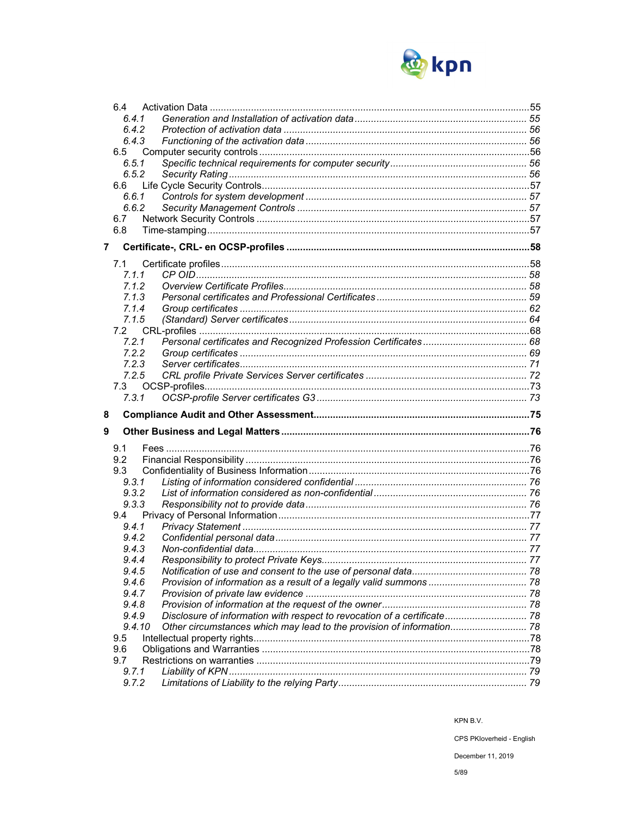

|                | 6.4            |                                                                          |  |
|----------------|----------------|--------------------------------------------------------------------------|--|
|                | 6.4.1          |                                                                          |  |
|                | 6.4.2          |                                                                          |  |
|                | 6.4.3          |                                                                          |  |
|                | 6.5            |                                                                          |  |
|                | 6.5.1          |                                                                          |  |
|                | 6.5.2          |                                                                          |  |
|                | 6.6            |                                                                          |  |
|                | 6.6.1          |                                                                          |  |
|                | 6.6.2          |                                                                          |  |
|                | 6.7            |                                                                          |  |
|                | 6.8            |                                                                          |  |
| $\overline{7}$ |                |                                                                          |  |
|                | 7.1            |                                                                          |  |
|                | 7.1.1          |                                                                          |  |
|                | 7.1.2          |                                                                          |  |
|                | 7.1.3          |                                                                          |  |
|                | 7.1.4          |                                                                          |  |
|                | 7.1.5          |                                                                          |  |
|                | 7.2            |                                                                          |  |
|                | 7.2.1          |                                                                          |  |
|                | 7.2.2          |                                                                          |  |
|                | 7.2.3          |                                                                          |  |
|                | 7.2.5          |                                                                          |  |
|                | 7.3            |                                                                          |  |
|                | 7.3.1          |                                                                          |  |
|                |                |                                                                          |  |
| 8              |                |                                                                          |  |
| 9              |                |                                                                          |  |
|                |                |                                                                          |  |
|                | 9.1            |                                                                          |  |
|                | 9.2            |                                                                          |  |
|                | 9.3<br>9.3.1   |                                                                          |  |
|                | 9.3.2          |                                                                          |  |
|                | 9.3.3          |                                                                          |  |
|                | 9.4            |                                                                          |  |
|                | 9.4.1          |                                                                          |  |
|                | 9.4.2          |                                                                          |  |
|                | 9.4.3          |                                                                          |  |
|                | 944            | Responsibility to protect Private Keys.                                  |  |
|                | 9.4.5          |                                                                          |  |
|                | 9.4.6          |                                                                          |  |
|                | 9.4.7          |                                                                          |  |
|                | 9.4.8          |                                                                          |  |
|                | 9.4.9          | Disclosure of information with respect to revocation of a certificate 78 |  |
|                | 9.4.10         | Other circumstances which may lead to the provision of information 78    |  |
|                | 9.5            |                                                                          |  |
|                | 9.6            |                                                                          |  |
|                | 9.7            |                                                                          |  |
|                | 9.7.1<br>9.7.2 |                                                                          |  |

KPN B.V.

CPS PKloverheid - English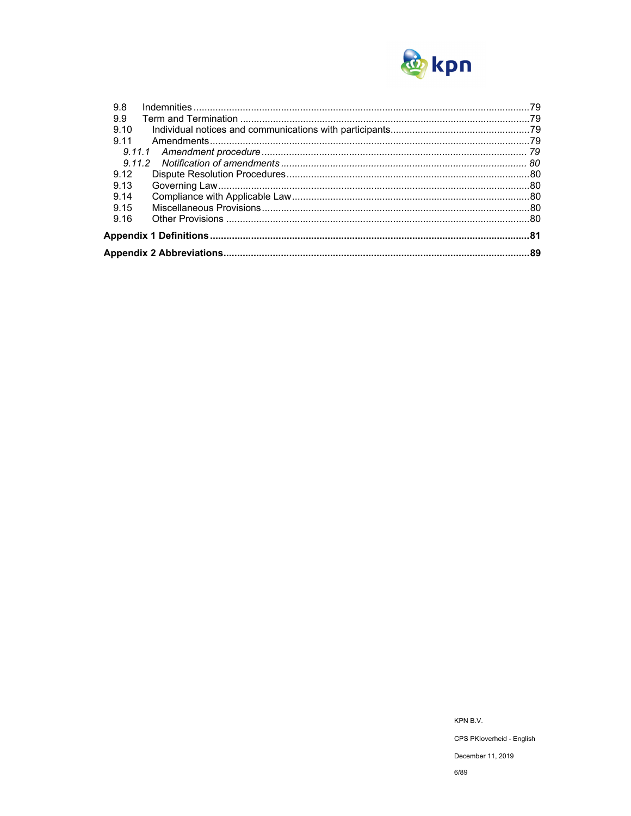

| 9.8  |  |
|------|--|
| 9.9  |  |
| 9.10 |  |
| 9.11 |  |
|      |  |
|      |  |
| 9.12 |  |
| 9.13 |  |
| 9.14 |  |
| 9.15 |  |
| 9.16 |  |
|      |  |
|      |  |

KPN B.V. CPS PKloverheid - English December 11, 2019

 $6/89$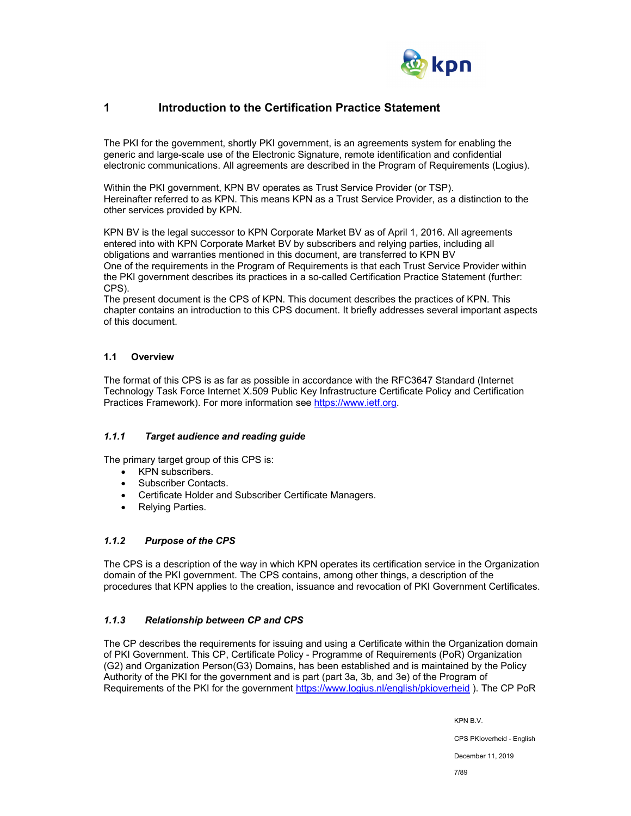

## **1 Introduction to the Certification Practice Statement**

The PKI for the government, shortly PKI government, is an agreements system for enabling the generic and large-scale use of the Electronic Signature, remote identification and confidential electronic communications. All agreements are described in the Program of Requirements (Logius).

Within the PKI government, KPN BV operates as Trust Service Provider (or TSP). Hereinafter referred to as KPN. This means KPN as a Trust Service Provider, as a distinction to the other services provided by KPN.

KPN BV is the legal successor to KPN Corporate Market BV as of April 1, 2016. All agreements entered into with KPN Corporate Market BV by subscribers and relying parties, including all obligations and warranties mentioned in this document, are transferred to KPN BV One of the requirements in the Program of Requirements is that each Trust Service Provider within the PKI government describes its practices in a so-called Certification Practice Statement (further: CPS).

The present document is the CPS of KPN. This document describes the practices of KPN. This chapter contains an introduction to this CPS document. It briefly addresses several important aspects of this document.

## **1.1 Overview**

The format of this CPS is as far as possible in accordance with the RFC3647 Standard (Internet Technology Task Force Internet X.509 Public Key Infrastructure Certificate Policy and Certification Practices Framework). For more information see https://www.ietf.org.

## *1.1.1 Target audience and reading guide*

The primary target group of this CPS is:

- KPN subscribers.
- Subscriber Contacts.
- Certificate Holder and Subscriber Certificate Managers.
- Relying Parties.

## *1.1.2 Purpose of the CPS*

The CPS is a description of the way in which KPN operates its certification service in the Organization domain of the PKI government. The CPS contains, among other things, a description of the procedures that KPN applies to the creation, issuance and revocation of PKI Government Certificates.

## *1.1.3 Relationship between CP and CPS*

The CP describes the requirements for issuing and using a Certificate within the Organization domain of PKI Government. This CP, Certificate Policy - Programme of Requirements (PoR) Organization (G2) and Organization Person(G3) Domains, has been established and is maintained by the Policy Authority of the PKI for the government and is part (part 3a, 3b, and 3e) of the Program of Requirements of the PKI for the government https://www.logius.nl/english/pkioverheid ). The CP PoR

KPN B.V.

CPS PKIoverheid - English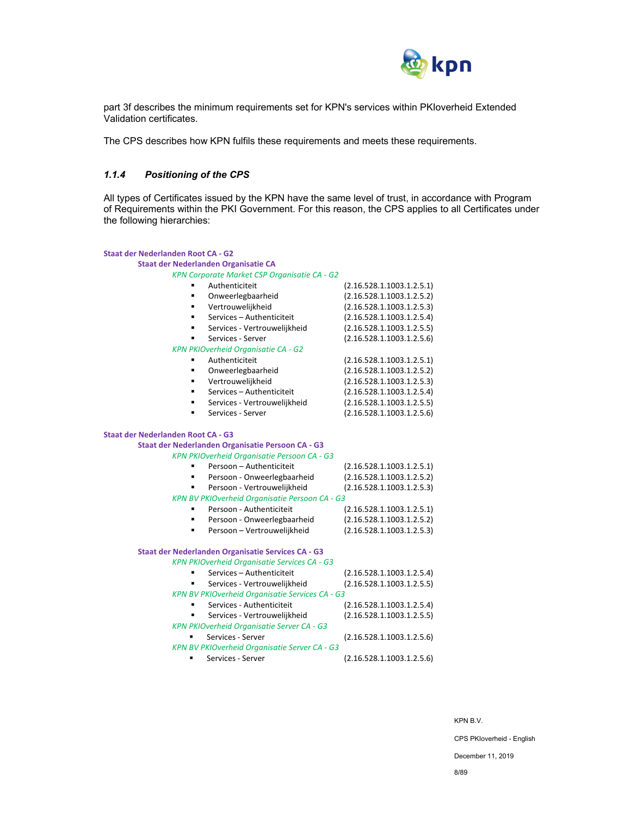

part 3f describes the minimum requirements set for KPN's services within PKIoverheid Extended Validation certificates.

The CPS describes how KPN fulfils these requirements and meets these requirements.

## *1.1.4 Positioning of the CPS*

All types of Certificates issued by the KPN have the same level of trust, in accordance with Program of Requirements within the PKI Government. For this reason, the CPS applies to all Certificates under the following hierarchies:

| <b>Staat der Nederlanden Root CA - G2</b> |                                                     |                           |
|-------------------------------------------|-----------------------------------------------------|---------------------------|
|                                           | Staat der Nederlanden Organisatie CA                |                           |
|                                           | KPN Corporate Market CSP Organisatie CA - G2        |                           |
|                                           | Authenticiteit                                      | (2.16.528.1.1003.1.2.5.1) |
| ×                                         | Onweerlegbaarheid                                   | (2.16.528.1.1003.1.2.5.2) |
| ٠                                         | Vertrouwelijkheid                                   | (2.16.528.1.1003.1.2.5.3) |
| ٠                                         | Services - Authenticiteit                           | (2.16.528.1.1003.1.2.5.4) |
| ٠                                         | Services - Vertrouwelijkheid                        | (2.16.528.1.1003.1.2.5.5) |
| ٠                                         | Services - Server                                   | (2.16.528.1.1003.1.2.5.6) |
|                                           | KPN PKIOverheid Organisatie CA - G2                 |                           |
|                                           | Authenticiteit                                      | (2.16.528.1.1003.1.2.5.1) |
| ٠                                         | Onweerlegbaarheid                                   | (2.16.528.1.1003.1.2.5.2) |
| ٠                                         | Vertrouwelijkheid                                   | (2.16.528.1.1003.1.2.5.3) |
| ٠                                         | Services - Authenticiteit                           | (2.16.528.1.1003.1.2.5.4) |
| ٠                                         | Services - Vertrouwelijkheid                        | (2.16.528.1.1003.1.2.5.5) |
| ٠                                         | Services - Server                                   | (2.16.528.1.1003.1.2.5.6) |
| <b>Staat der Nederlanden Root CA - G3</b> |                                                     |                           |
|                                           | Staat der Nederlanden Organisatie Persoon CA - G3   |                           |
|                                           | KPN PKIOverheid Organisatie Persoon CA - G3         |                           |
|                                           | Persoon - Authenticiteit                            | (2.16.528.1.1003.1.2.5.1) |
|                                           | Persoon - Onweerlegbaarheid                         | (2.16.528.1.1003.1.2.5.2) |
| $\blacksquare$                            | Persoon - Vertrouwelijkheid                         | (2.16.528.1.1003.1.2.5.3) |
|                                           | KPN BV PKIOverheid Organisatie Persoon CA - G3      |                           |
| ٠                                         | Persoon - Authenticiteit                            | (2.16.528.1.1003.1.2.5.1) |
| ٠                                         | Persoon - Onweerlegbaarheid                         | (2.16.528.1.1003.1.2.5.2) |
|                                           | Persoon - Vertrouwelijkheid                         | (2.16.528.1.1003.1.2.5.3) |
|                                           | Staat der Nederlanden Organisatie Services CA - G3  |                           |
|                                           | <b>KPN PKIOverheid Organisatie Services CA - G3</b> |                           |
|                                           | Services - Authenticiteit                           | (2.16.528.1.1003.1.2.5.4) |
|                                           | Services - Vertrouwelijkheid                        | (2.16.528.1.1003.1.2.5.5) |
|                                           | KPN BV PKIOverheid Organisatie Services CA - G3     |                           |
|                                           | Services - Authenticiteit                           | (2.16.528.1.1003.1.2.5.4) |
|                                           | Services - Vertrouwelijkheid                        | (2.16.528.1.1003.1.2.5.5) |
|                                           | <b>KPN PKIOverheid Organisatie Server CA - G3</b>   |                           |
|                                           | Services - Server                                   | (2.16.528.1.1003.1.2.5.6) |
|                                           | KPN BV PKIOverheid Organisatie Server CA - G3       |                           |
|                                           | Services - Server                                   | (2.16.528.1.1003.1.2.5.6) |

KPN B.V.

CPS PKIoverheid - English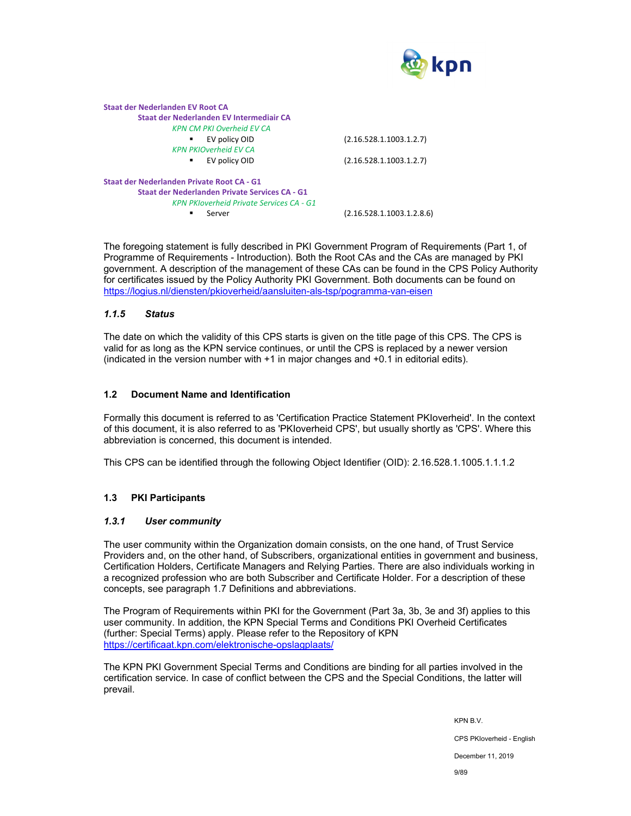

| Staat der Nederlanden EV Root CA                |                           |
|-------------------------------------------------|---------------------------|
| Staat der Nederlanden EV Intermediair CA        |                           |
| <b>KPN CM PKI Overheid EV CA</b>                |                           |
| EV policy OID                                   | (2.16.528.1.1003.1.2.7)   |
| <b>KPN PKIOverheid FV CA</b>                    |                           |
| EV policy OID<br>٠                              | (2.16.528.1.1003.1.2.7)   |
| Staat der Nederlanden Private Root CA - G1      |                           |
| Staat der Nederlanden Private Services CA - G1  |                           |
| <b>KPN PKloverheid Private Services CA - G1</b> |                           |
| Server                                          | (2.16.528.1.1003.1.2.8.6) |
|                                                 |                           |

The foregoing statement is fully described in PKI Government Program of Requirements (Part 1, of Programme of Requirements - Introduction). Both the Root CAs and the CAs are managed by PKI government. A description of the management of these CAs can be found in the CPS Policy Authority for certificates issued by the Policy Authority PKI Government. Both documents can be found on https://logius.nl/diensten/pkioverheid/aansluiten-als-tsp/pogramma-van-eisen

## *1.1.5 Status*

The date on which the validity of this CPS starts is given on the title page of this CPS. The CPS is valid for as long as the KPN service continues, or until the CPS is replaced by a newer version (indicated in the version number with +1 in major changes and +0.1 in editorial edits).

#### **1.2 Document Name and Identification**

Formally this document is referred to as 'Certification Practice Statement PKIoverheid'. In the context of this document, it is also referred to as 'PKIoverheid CPS', but usually shortly as 'CPS'. Where this abbreviation is concerned, this document is intended.

This CPS can be identified through the following Object Identifier (OID): 2.16.528.1.1005.1.1.1.2

## **1.3 PKI Participants**

#### *1.3.1 User community*

The user community within the Organization domain consists, on the one hand, of Trust Service Providers and, on the other hand, of Subscribers, organizational entities in government and business, Certification Holders, Certificate Managers and Relying Parties. There are also individuals working in a recognized profession who are both Subscriber and Certificate Holder. For a description of these concepts, see paragraph 1.7 Definitions and abbreviations.

The Program of Requirements within PKI for the Government (Part 3a, 3b, 3e and 3f) applies to this user community. In addition, the KPN Special Terms and Conditions PKI Overheid Certificates (further: Special Terms) apply. Please refer to the Repository of KPN https://certificaat.kpn.com/elektronische-opslagplaats/

The KPN PKI Government Special Terms and Conditions are binding for all parties involved in the certification service. In case of conflict between the CPS and the Special Conditions, the latter will prevail.

KPN B.V.

CPS PKIoverheid - English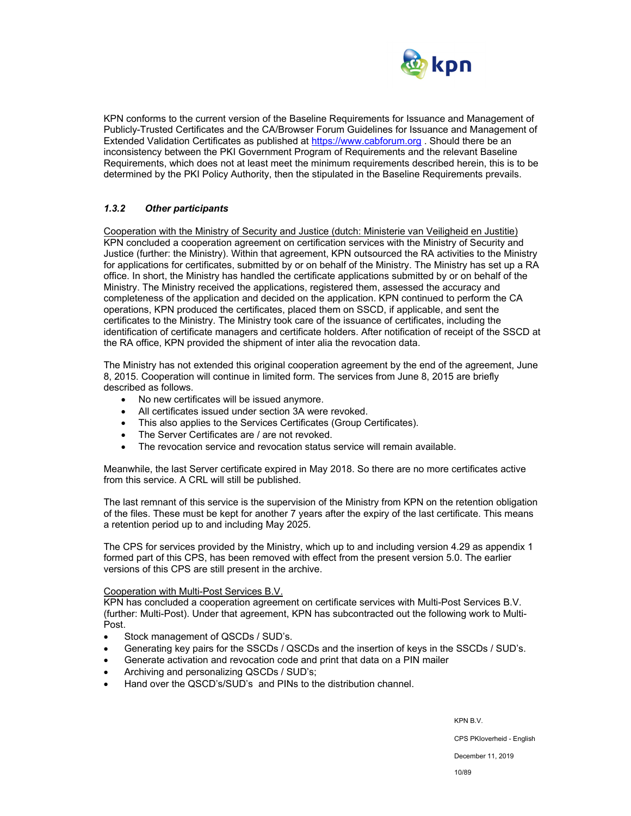

KPN conforms to the current version of the Baseline Requirements for Issuance and Management of Publicly-Trusted Certificates and the CA/Browser Forum Guidelines for Issuance and Management of Extended Validation Certificates as published at https://www.cabforum.org . Should there be an inconsistency between the PKI Government Program of Requirements and the relevant Baseline Requirements, which does not at least meet the minimum requirements described herein, this is to be determined by the PKI Policy Authority, then the stipulated in the Baseline Requirements prevails.

## *1.3.2 Other participants*

Cooperation with the Ministry of Security and Justice (dutch: Ministerie van Veiligheid en Justitie) KPN concluded a cooperation agreement on certification services with the Ministry of Security and Justice (further: the Ministry). Within that agreement, KPN outsourced the RA activities to the Ministry for applications for certificates, submitted by or on behalf of the Ministry. The Ministry has set up a RA office. In short, the Ministry has handled the certificate applications submitted by or on behalf of the Ministry. The Ministry received the applications, registered them, assessed the accuracy and completeness of the application and decided on the application. KPN continued to perform the CA operations, KPN produced the certificates, placed them on SSCD, if applicable, and sent the certificates to the Ministry. The Ministry took care of the issuance of certificates, including the identification of certificate managers and certificate holders. After notification of receipt of the SSCD at the RA office, KPN provided the shipment of inter alia the revocation data.

The Ministry has not extended this original cooperation agreement by the end of the agreement, June 8, 2015. Cooperation will continue in limited form. The services from June 8, 2015 are briefly described as follows.

- No new certificates will be issued anymore.
- All certificates issued under section 3A were revoked.
- This also applies to the Services Certificates (Group Certificates).
- The Server Certificates are / are not revoked.
- The revocation service and revocation status service will remain available.

Meanwhile, the last Server certificate expired in May 2018. So there are no more certificates active from this service. A CRL will still be published.

The last remnant of this service is the supervision of the Ministry from KPN on the retention obligation of the files. These must be kept for another 7 years after the expiry of the last certificate. This means a retention period up to and including May 2025.

The CPS for services provided by the Ministry, which up to and including version 4.29 as appendix 1 formed part of this CPS, has been removed with effect from the present version 5.0. The earlier versions of this CPS are still present in the archive.

#### Cooperation with Multi-Post Services B.V.

KPN has concluded a cooperation agreement on certificate services with Multi-Post Services B.V. (further: Multi-Post). Under that agreement, KPN has subcontracted out the following work to Multi-Post.

- Stock management of QSCDs / SUD's.
- Generating key pairs for the SSCDs / QSCDs and the insertion of keys in the SSCDs / SUD's.
- Generate activation and revocation code and print that data on a PIN mailer
- Archiving and personalizing QSCDs / SUD's;
- Hand over the QSCD's/SUD's and PINs to the distribution channel.

KPN B.V.

CPS PKIoverheid - English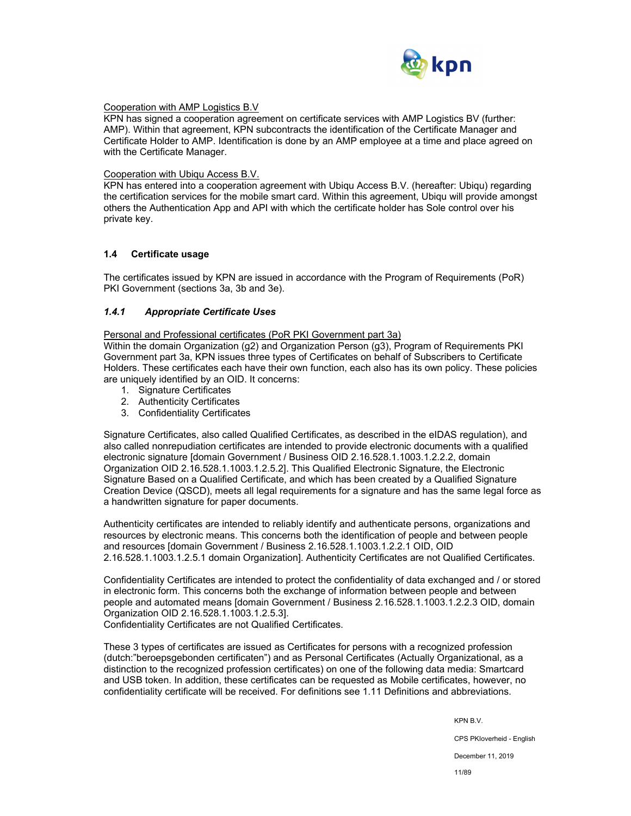

#### Cooperation with AMP Logistics B.V

KPN has signed a cooperation agreement on certificate services with AMP Logistics BV (further: AMP). Within that agreement, KPN subcontracts the identification of the Certificate Manager and Certificate Holder to AMP. Identification is done by an AMP employee at a time and place agreed on with the Certificate Manager.

#### Cooperation with Ubiqu Access B.V.

KPN has entered into a cooperation agreement with Ubiqu Access B.V. (hereafter: Ubiqu) regarding the certification services for the mobile smart card. Within this agreement, Ubiqu will provide amongst others the Authentication App and API with which the certificate holder has Sole control over his private key.

## **1.4 Certificate usage**

The certificates issued by KPN are issued in accordance with the Program of Requirements (PoR) PKI Government (sections 3a, 3b and 3e).

## *1.4.1 Appropriate Certificate Uses*

Personal and Professional certificates (PoR PKI Government part 3a)

Within the domain Organization (g2) and Organization Person (g3), Program of Requirements PKI Government part 3a, KPN issues three types of Certificates on behalf of Subscribers to Certificate Holders. These certificates each have their own function, each also has its own policy. These policies are uniquely identified by an OID. It concerns:

- 1. Signature Certificates
- 2. Authenticity Certificates
- 3. Confidentiality Certificates

Signature Certificates, also called Qualified Certificates, as described in the eIDAS regulation), and also called nonrepudiation certificates are intended to provide electronic documents with a qualified electronic signature [domain Government / Business OID 2.16.528.1.1003.1.2.2.2, domain Organization OID 2.16.528.1.1003.1.2.5.2]. This Qualified Electronic Signature, the Electronic Signature Based on a Qualified Certificate, and which has been created by a Qualified Signature Creation Device (QSCD), meets all legal requirements for a signature and has the same legal force as a handwritten signature for paper documents.

Authenticity certificates are intended to reliably identify and authenticate persons, organizations and resources by electronic means. This concerns both the identification of people and between people and resources [domain Government / Business 2.16.528.1.1003.1.2.2.1 OID, OID 2.16.528.1.1003.1.2.5.1 domain Organization]. Authenticity Certificates are not Qualified Certificates.

Confidentiality Certificates are intended to protect the confidentiality of data exchanged and / or stored in electronic form. This concerns both the exchange of information between people and between people and automated means [domain Government / Business 2.16.528.1.1003.1.2.2.3 OID, domain Organization OID 2.16.528.1.1003.1.2.5.3].

Confidentiality Certificates are not Qualified Certificates.

These 3 types of certificates are issued as Certificates for persons with a recognized profession (dutch:"beroepsgebonden certificaten") and as Personal Certificates (Actually Organizational, as a distinction to the recognized profession certificates) on one of the following data media: Smartcard and USB token. In addition, these certificates can be requested as Mobile certificates, however, no confidentiality certificate will be received. For definitions see 1.11 Definitions and abbreviations.

KPN B.V.

CPS PKIoverheid - English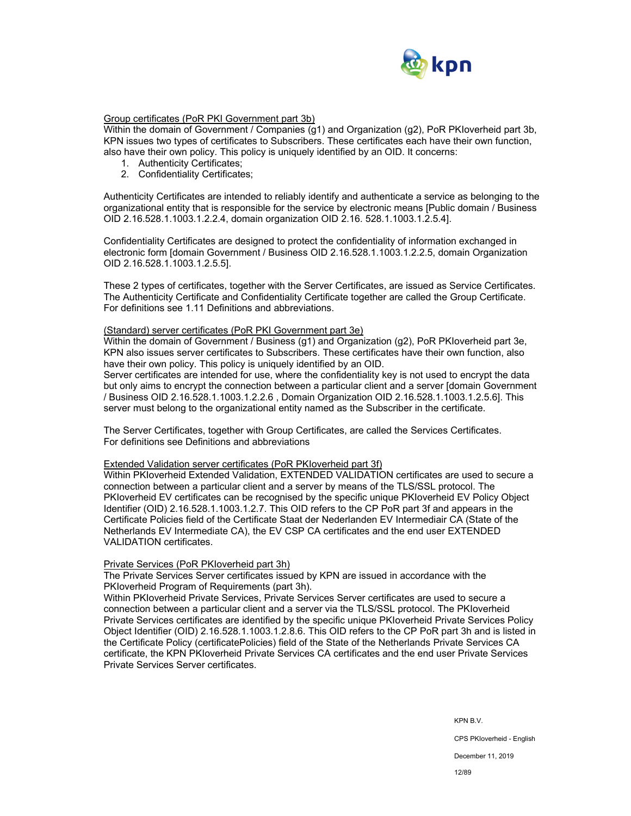

## Group certificates (PoR PKI Government part 3b)

Within the domain of Government / Companies (g1) and Organization (g2), PoR PKIoverheid part 3b, KPN issues two types of certificates to Subscribers. These certificates each have their own function, also have their own policy. This policy is uniquely identified by an OID. It concerns:

- 1. Authenticity Certificates;
- 2. Confidentiality Certificates;

Authenticity Certificates are intended to reliably identify and authenticate a service as belonging to the organizational entity that is responsible for the service by electronic means [Public domain / Business OID 2.16.528.1.1003.1.2.2.4, domain organization OID 2.16. 528.1.1003.1.2.5.4].

Confidentiality Certificates are designed to protect the confidentiality of information exchanged in electronic form [domain Government / Business OID 2.16.528.1.1003.1.2.2.5, domain Organization OID 2.16.528.1.1003.1.2.5.5].

These 2 types of certificates, together with the Server Certificates, are issued as Service Certificates. The Authenticity Certificate and Confidentiality Certificate together are called the Group Certificate. For definitions see 1.11 Definitions and abbreviations.

#### (Standard) server certificates (PoR PKI Government part 3e)

Within the domain of Government / Business (g1) and Organization (g2), PoR PKIoverheid part 3e, KPN also issues server certificates to Subscribers. These certificates have their own function, also have their own policy. This policy is uniquely identified by an OID.

Server certificates are intended for use, where the confidentiality key is not used to encrypt the data but only aims to encrypt the connection between a particular client and a server [domain Government / Business OID 2.16.528.1.1003.1.2.2.6 , Domain Organization OID 2.16.528.1.1003.1.2.5.6]. This server must belong to the organizational entity named as the Subscriber in the certificate.

The Server Certificates, together with Group Certificates, are called the Services Certificates. For definitions see Definitions and abbreviations

#### Extended Validation server certificates (PoR PKIoverheid part 3f)

Within PKIoverheid Extended Validation, EXTENDED VALIDATION certificates are used to secure a connection between a particular client and a server by means of the TLS/SSL protocol. The PKIoverheid EV certificates can be recognised by the specific unique PKIoverheid EV Policy Object Identifier (OID) 2.16.528.1.1003.1.2.7. This OID refers to the CP PoR part 3f and appears in the Certificate Policies field of the Certificate Staat der Nederlanden EV Intermediair CA (State of the Netherlands EV Intermediate CA), the EV CSP CA certificates and the end user EXTENDED VALIDATION certificates.

#### Private Services (PoR PKIoverheid part 3h)

The Private Services Server certificates issued by KPN are issued in accordance with the PKIoverheid Program of Requirements (part 3h).

Within PKIoverheid Private Services, Private Services Server certificates are used to secure a connection between a particular client and a server via the TLS/SSL protocol. The PKIoverheid Private Services certificates are identified by the specific unique PKIoverheid Private Services Policy Object Identifier (OID) 2.16.528.1.1003.1.2.8.6. This OID refers to the CP PoR part 3h and is listed in the Certificate Policy (certificatePolicies) field of the State of the Netherlands Private Services CA certificate, the KPN PKIoverheid Private Services CA certificates and the end user Private Services Private Services Server certificates.

KPN B.V.

CPS PKIoverheid - English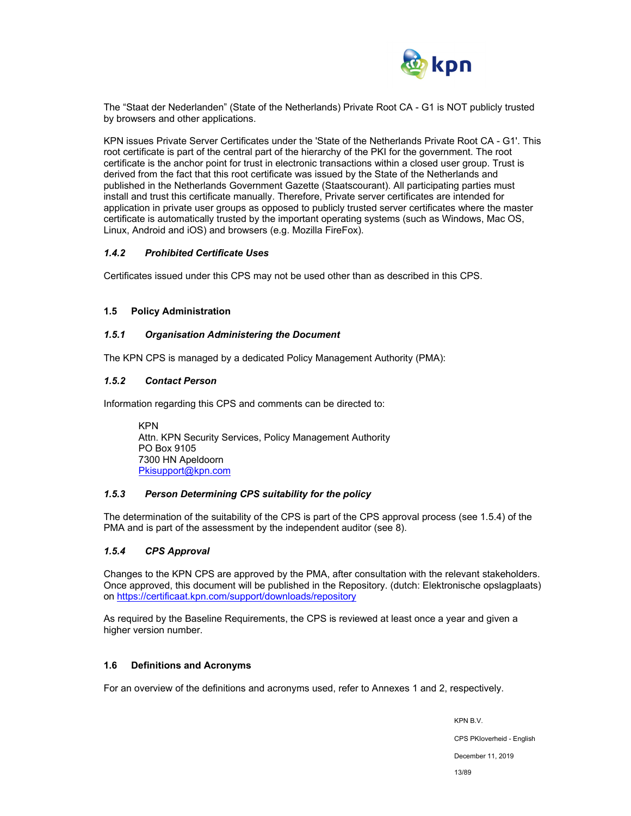

The "Staat der Nederlanden" (State of the Netherlands) Private Root CA - G1 is NOT publicly trusted by browsers and other applications.

KPN issues Private Server Certificates under the 'State of the Netherlands Private Root CA - G1'. This root certificate is part of the central part of the hierarchy of the PKI for the government. The root certificate is the anchor point for trust in electronic transactions within a closed user group. Trust is derived from the fact that this root certificate was issued by the State of the Netherlands and published in the Netherlands Government Gazette (Staatscourant). All participating parties must install and trust this certificate manually. Therefore, Private server certificates are intended for application in private user groups as opposed to publicly trusted server certificates where the master certificate is automatically trusted by the important operating systems (such as Windows, Mac OS, Linux, Android and iOS) and browsers (e.g. Mozilla FireFox).

## *1.4.2 Prohibited Certificate Uses*

Certificates issued under this CPS may not be used other than as described in this CPS.

#### **1.5 Policy Administration**

#### *1.5.1 Organisation Administering the Document*

The KPN CPS is managed by a dedicated Policy Management Authority (PMA):

#### *1.5.2 Contact Person*

Information regarding this CPS and comments can be directed to:

KPN Attn. KPN Security Services, Policy Management Authority PO Box 9105 7300 HN Apeldoorn Pkisupport@kpn.com

## *1.5.3 Person Determining CPS suitability for the policy*

The determination of the suitability of the CPS is part of the CPS approval process (see 1.5.4) of the PMA and is part of the assessment by the independent auditor (see 8).

## *1.5.4 CPS Approval*

Changes to the KPN CPS are approved by the PMA, after consultation with the relevant stakeholders. Once approved, this document will be published in the Repository. (dutch: Elektronische opslagplaats) on https://certificaat.kpn.com/support/downloads/repository

As required by the Baseline Requirements, the CPS is reviewed at least once a year and given a higher version number.

#### **1.6 Definitions and Acronyms**

For an overview of the definitions and acronyms used, refer to Annexes 1 and 2, respectively.

KPN B.V. CPS PKIoverheid - English December 11, 2019 13/89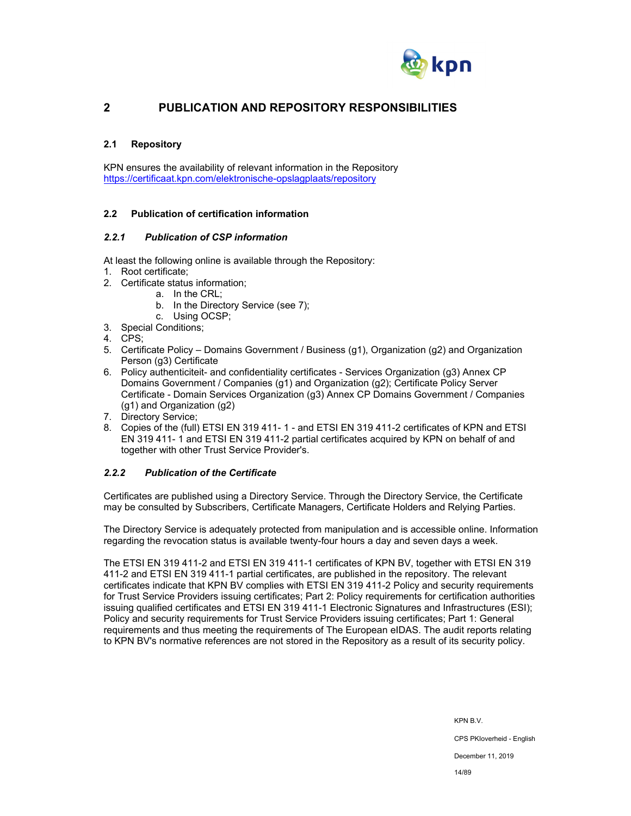

## **2 PUBLICATION AND REPOSITORY RESPONSIBILITIES**

## **2.1 Repository**

KPN ensures the availability of relevant information in the Repository https://certificaat.kpn.com/elektronische-opslagplaats/repository

## **2.2 Publication of certification information**

## *2.2.1 Publication of CSP information*

At least the following online is available through the Repository:

- 1. Root certificate;
- 2. Certificate status information;
	- a. In the CRL;
	- b. In the Directory Service (see 7);
	- c. Using OCSP;
- 3. Special Conditions;
- 4. CPS;
- 5. Certificate Policy Domains Government / Business (g1), Organization (g2) and Organization Person (g3) Certificate
- 6. Policy authenticiteit- and confidentiality certificates Services Organization (g3) Annex CP Domains Government / Companies (g1) and Organization (g2); Certificate Policy Server Certificate - Domain Services Organization (g3) Annex CP Domains Government / Companies (g1) and Organization (g2)
- 7. Directory Service;
- 8. Copies of the (full) ETSI EN 319 411- 1 and ETSI EN 319 411-2 certificates of KPN and ETSI EN 319 411- 1 and ETSI EN 319 411-2 partial certificates acquired by KPN on behalf of and together with other Trust Service Provider's.

## *2.2.2 Publication of the Certificate*

Certificates are published using a Directory Service. Through the Directory Service, the Certificate may be consulted by Subscribers, Certificate Managers, Certificate Holders and Relying Parties.

The Directory Service is adequately protected from manipulation and is accessible online. Information regarding the revocation status is available twenty-four hours a day and seven days a week.

The ETSI EN 319 411-2 and ETSI EN 319 411-1 certificates of KPN BV, together with ETSI EN 319 411-2 and ETSI EN 319 411-1 partial certificates, are published in the repository. The relevant certificates indicate that KPN BV complies with ETSI EN 319 411-2 Policy and security requirements for Trust Service Providers issuing certificates; Part 2: Policy requirements for certification authorities issuing qualified certificates and ETSI EN 319 411-1 Electronic Signatures and Infrastructures (ESI); Policy and security requirements for Trust Service Providers issuing certificates; Part 1: General requirements and thus meeting the requirements of The European eIDAS. The audit reports relating to KPN BV's normative references are not stored in the Repository as a result of its security policy.

KPN B.V.

CPS PKIoverheid - English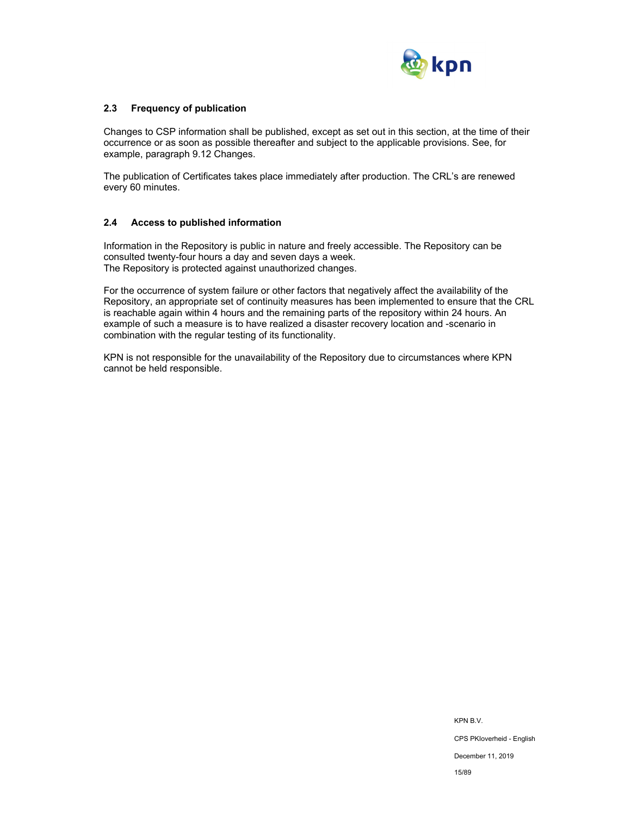

## **2.3 Frequency of publication**

Changes to CSP information shall be published, except as set out in this section, at the time of their occurrence or as soon as possible thereafter and subject to the applicable provisions. See, for example, paragraph 9.12 Changes.

The publication of Certificates takes place immediately after production. The CRL's are renewed every 60 minutes.

## **2.4 Access to published information**

Information in the Repository is public in nature and freely accessible. The Repository can be consulted twenty-four hours a day and seven days a week. The Repository is protected against unauthorized changes.

For the occurrence of system failure or other factors that negatively affect the availability of the Repository, an appropriate set of continuity measures has been implemented to ensure that the CRL is reachable again within 4 hours and the remaining parts of the repository within 24 hours. An example of such a measure is to have realized a disaster recovery location and -scenario in combination with the regular testing of its functionality.

KPN is not responsible for the unavailability of the Repository due to circumstances where KPN cannot be held responsible.

> KPN B.V. CPS PKIoverheid - English December 11, 2019 15/89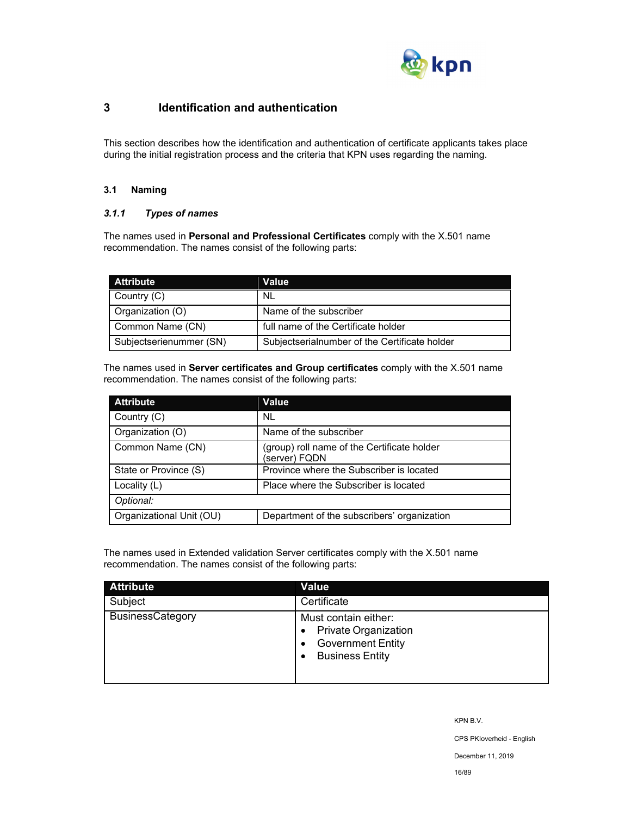

## **3 Identification and authentication**

This section describes how the identification and authentication of certificate applicants takes place during the initial registration process and the criteria that KPN uses regarding the naming.

## **3.1 Naming**

## *3.1.1 Types of names*

The names used in **Personal and Professional Certificates** comply with the X.501 name recommendation. The names consist of the following parts:

| <b>Attribute</b>        | Value                                         |
|-------------------------|-----------------------------------------------|
| Country (C)             | NL.                                           |
| Organization (O)        | Name of the subscriber                        |
| Common Name (CN)        | full name of the Certificate holder           |
| Subjectserienummer (SN) | Subjectserialnumber of the Certificate holder |

The names used in **Server certificates and Group certificates** comply with the X.501 name recommendation. The names consist of the following parts:

| <b>Attribute</b>         | Value                                                        |
|--------------------------|--------------------------------------------------------------|
| Country (C)              | NL.                                                          |
| Organization (O)         | Name of the subscriber                                       |
| Common Name (CN)         | (group) roll name of the Certificate holder<br>(server) FQDN |
| State or Province (S)    | Province where the Subscriber is located                     |
| Locality (L)             | Place where the Subscriber is located                        |
| Optional:                |                                                              |
| Organizational Unit (OU) | Department of the subscribers' organization                  |

The names used in Extended validation Server certificates comply with the X.501 name recommendation. The names consist of the following parts:

| <b>Attribute</b>        | <b>Value</b>                                                                                                   |
|-------------------------|----------------------------------------------------------------------------------------------------------------|
| Subject                 | Certificate                                                                                                    |
| <b>BusinessCategory</b> | Must contain either:<br><b>Private Organization</b><br>٠<br><b>Government Entity</b><br><b>Business Entity</b> |

KPN B.V.

CPS PKIoverheid - English

December 11, 2019

16/89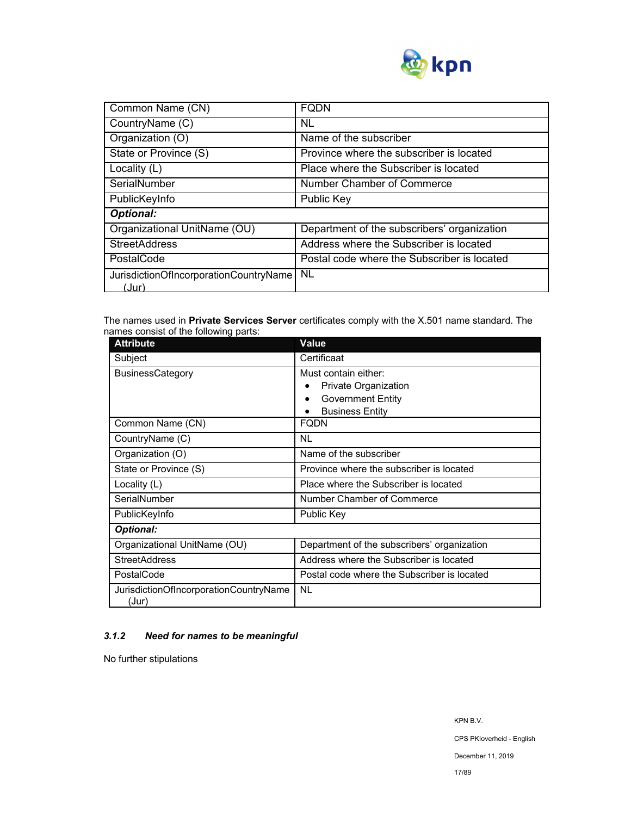

| Common Name (CN)                                | <b>FQDN</b>                                 |
|-------------------------------------------------|---------------------------------------------|
| CountryName (C)                                 | NL                                          |
| Organization (O)                                | Name of the subscriber                      |
| State or Province (S)                           | Province where the subscriber is located    |
| Locality (L)                                    | Place where the Subscriber is located       |
| SerialNumber                                    | Number Chamber of Commerce                  |
| PublicKeyInfo                                   | Public Key                                  |
| <b>Optional:</b>                                |                                             |
| Organizational UnitName (OU)                    | Department of the subscribers' organization |
| <b>StreetAddress</b>                            | Address where the Subscriber is located     |
| PostalCode                                      | Postal code where the Subscriber is located |
| JurisdictionOfIncorporationCountryName<br>(Jur) | <b>NL</b>                                   |

The names used in **Private Services Server** certificates comply with the X.501 name standard. The names consist of the following parts:

| <b>Attribute</b>                                | Value                                                                                              |  |
|-------------------------------------------------|----------------------------------------------------------------------------------------------------|--|
| Subject                                         | Certificaat                                                                                        |  |
| <b>BusinessCategory</b>                         | Must contain either:<br>Private Organization<br><b>Government Entity</b><br><b>Business Entity</b> |  |
| Common Name (CN)                                | FQDN                                                                                               |  |
| CountryName (C)                                 | NL                                                                                                 |  |
| Organization (O)                                | Name of the subscriber                                                                             |  |
| State or Province (S)                           | Province where the subscriber is located                                                           |  |
| Locality (L)                                    | Place where the Subscriber is located                                                              |  |
| SerialNumber                                    | Number Chamber of Commerce                                                                         |  |
| PublicKeyInfo                                   | Public Key                                                                                         |  |
| <b>Optional:</b>                                |                                                                                                    |  |
| Organizational UnitName (OU)                    | Department of the subscribers' organization                                                        |  |
| <b>StreetAddress</b>                            | Address where the Subscriber is located                                                            |  |
| PostalCode                                      | Postal code where the Subscriber is located                                                        |  |
| JurisdictionOfIncorporationCountryName<br>(Jur) | <b>NL</b>                                                                                          |  |

## *3.1.2 Need for names to be meaningful*

No further stipulations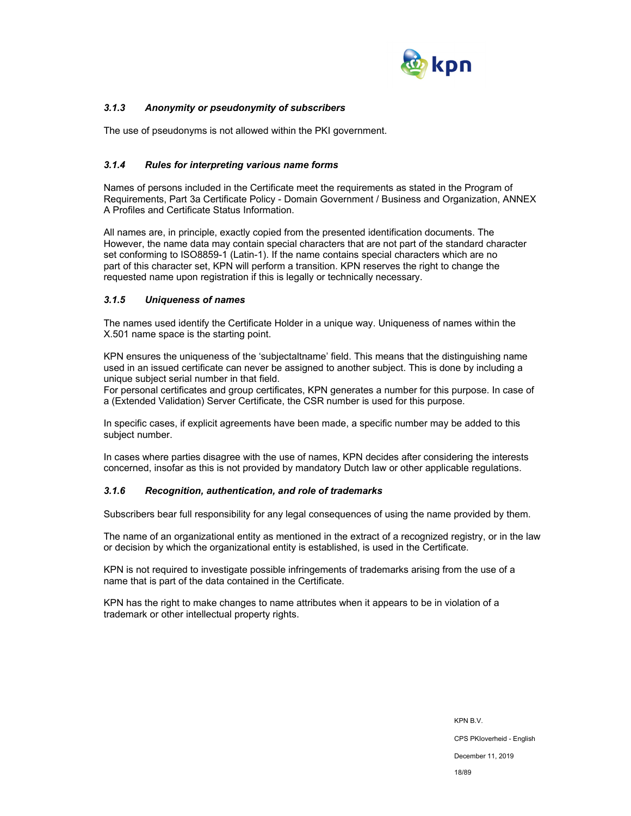

## *3.1.3 Anonymity or pseudonymity of subscribers*

The use of pseudonyms is not allowed within the PKI government.

## *3.1.4 Rules for interpreting various name forms*

Names of persons included in the Certificate meet the requirements as stated in the Program of Requirements, Part 3a Certificate Policy - Domain Government / Business and Organization, ANNEX A Profiles and Certificate Status Information.

All names are, in principle, exactly copied from the presented identification documents. The However, the name data may contain special characters that are not part of the standard character set conforming to ISO8859-1 (Latin-1). If the name contains special characters which are no part of this character set, KPN will perform a transition. KPN reserves the right to change the requested name upon registration if this is legally or technically necessary.

## *3.1.5 Uniqueness of names*

The names used identify the Certificate Holder in a unique way. Uniqueness of names within the X.501 name space is the starting point.

KPN ensures the uniqueness of the 'subjectaltname' field. This means that the distinguishing name used in an issued certificate can never be assigned to another subject. This is done by including a unique subject serial number in that field.

For personal certificates and group certificates, KPN generates a number for this purpose. In case of a (Extended Validation) Server Certificate, the CSR number is used for this purpose.

In specific cases, if explicit agreements have been made, a specific number may be added to this subject number.

In cases where parties disagree with the use of names, KPN decides after considering the interests concerned, insofar as this is not provided by mandatory Dutch law or other applicable regulations.

#### *3.1.6 Recognition, authentication, and role of trademarks*

Subscribers bear full responsibility for any legal consequences of using the name provided by them.

The name of an organizational entity as mentioned in the extract of a recognized registry, or in the law or decision by which the organizational entity is established, is used in the Certificate.

KPN is not required to investigate possible infringements of trademarks arising from the use of a name that is part of the data contained in the Certificate.

KPN has the right to make changes to name attributes when it appears to be in violation of a trademark or other intellectual property rights.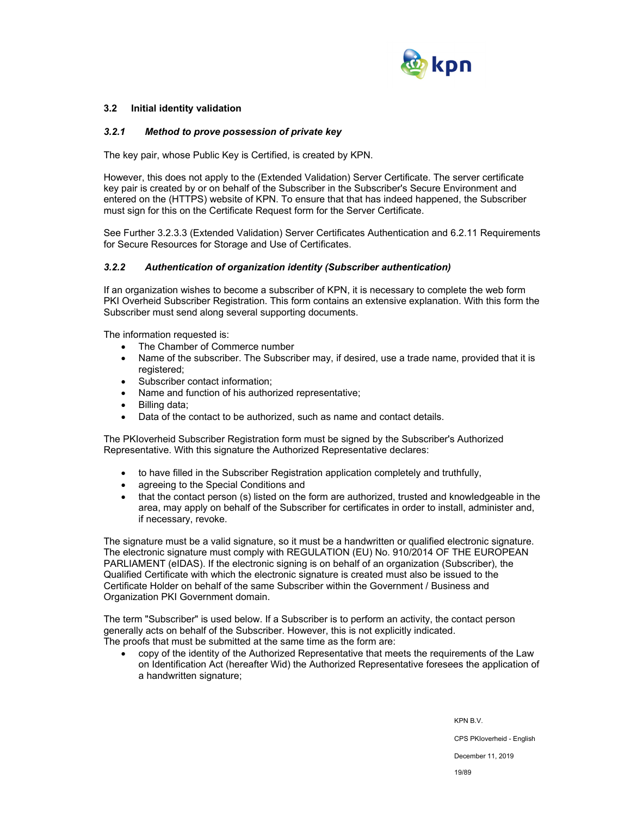

## **3.2 Initial identity validation**

#### *3.2.1 Method to prove possession of private key*

The key pair, whose Public Key is Certified, is created by KPN.

However, this does not apply to the (Extended Validation) Server Certificate. The server certificate key pair is created by or on behalf of the Subscriber in the Subscriber's Secure Environment and entered on the (HTTPS) website of KPN. To ensure that that has indeed happened, the Subscriber must sign for this on the Certificate Request form for the Server Certificate.

See Further 3.2.3.3 (Extended Validation) Server Certificates Authentication and 6.2.11 Requirements for Secure Resources for Storage and Use of Certificates.

#### *3.2.2 Authentication of organization identity (Subscriber authentication)*

If an organization wishes to become a subscriber of KPN, it is necessary to complete the web form PKI Overheid Subscriber Registration. This form contains an extensive explanation. With this form the Subscriber must send along several supporting documents.

The information requested is:

- The Chamber of Commerce number
- Name of the subscriber. The Subscriber may, if desired, use a trade name, provided that it is registered;
- Subscriber contact information:
- Name and function of his authorized representative;
- Billing data;
- Data of the contact to be authorized, such as name and contact details.

The PKIoverheid Subscriber Registration form must be signed by the Subscriber's Authorized Representative. With this signature the Authorized Representative declares:

- to have filled in the Subscriber Registration application completely and truthfully,
- agreeing to the Special Conditions and
- that the contact person (s) listed on the form are authorized, trusted and knowledgeable in the area, may apply on behalf of the Subscriber for certificates in order to install, administer and, if necessary, revoke.

The signature must be a valid signature, so it must be a handwritten or qualified electronic signature. The electronic signature must comply with REGULATION (EU) No. 910/2014 OF THE EUROPEAN PARLIAMENT (eIDAS). If the electronic signing is on behalf of an organization (Subscriber), the Qualified Certificate with which the electronic signature is created must also be issued to the Certificate Holder on behalf of the same Subscriber within the Government / Business and Organization PKI Government domain.

The term "Subscriber" is used below. If a Subscriber is to perform an activity, the contact person generally acts on behalf of the Subscriber. However, this is not explicitly indicated. The proofs that must be submitted at the same time as the form are:

 copy of the identity of the Authorized Representative that meets the requirements of the Law on Identification Act (hereafter Wid) the Authorized Representative foresees the application of a handwritten signature;

> KPN B.V. CPS PKIoverheid - English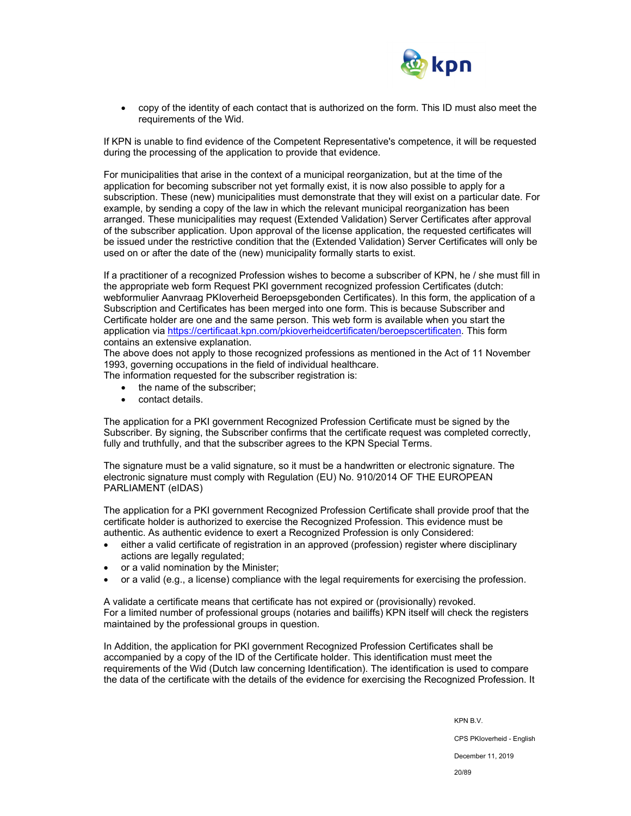

 copy of the identity of each contact that is authorized on the form. This ID must also meet the requirements of the Wid.

If KPN is unable to find evidence of the Competent Representative's competence, it will be requested during the processing of the application to provide that evidence.

For municipalities that arise in the context of a municipal reorganization, but at the time of the application for becoming subscriber not yet formally exist, it is now also possible to apply for a subscription. These (new) municipalities must demonstrate that they will exist on a particular date. For example, by sending a copy of the law in which the relevant municipal reorganization has been arranged. These municipalities may request (Extended Validation) Server Certificates after approval of the subscriber application. Upon approval of the license application, the requested certificates will be issued under the restrictive condition that the (Extended Validation) Server Certificates will only be used on or after the date of the (new) municipality formally starts to exist.

If a practitioner of a recognized Profession wishes to become a subscriber of KPN, he / she must fill in the appropriate web form Request PKI government recognized profession Certificates (dutch: webformulier Aanvraag PKIoverheid Beroepsgebonden Certificates). In this form, the application of a Subscription and Certificates has been merged into one form. This is because Subscriber and Certificate holder are one and the same person. This web form is available when you start the application via https://certificaat.kpn.com/pkioverheidcertificaten/beroepscertificaten. This form contains an extensive explanation.

The above does not apply to those recognized professions as mentioned in the Act of 11 November 1993, governing occupations in the field of individual healthcare.

The information requested for the subscriber registration is:

- the name of the subscriber:
- contact details.

The application for a PKI government Recognized Profession Certificate must be signed by the Subscriber. By signing, the Subscriber confirms that the certificate request was completed correctly. fully and truthfully, and that the subscriber agrees to the KPN Special Terms.

The signature must be a valid signature, so it must be a handwritten or electronic signature. The electronic signature must comply with Regulation (EU) No. 910/2014 OF THE EUROPEAN PARLIAMENT (eIDAS)

The application for a PKI government Recognized Profession Certificate shall provide proof that the certificate holder is authorized to exercise the Recognized Profession. This evidence must be authentic. As authentic evidence to exert a Recognized Profession is only Considered:

- either a valid certificate of registration in an approved (profession) register where disciplinary actions are legally regulated;
- or a valid nomination by the Minister;
- or a valid (e.g., a license) compliance with the legal requirements for exercising the profession.

A validate a certificate means that certificate has not expired or (provisionally) revoked. For a limited number of professional groups (notaries and bailiffs) KPN itself will check the registers maintained by the professional groups in question.

In Addition, the application for PKI government Recognized Profession Certificates shall be accompanied by a copy of the ID of the Certificate holder. This identification must meet the requirements of the Wid (Dutch law concerning Identification). The identification is used to compare the data of the certificate with the details of the evidence for exercising the Recognized Profession. It

KPN B.V.

CPS PKIoverheid - English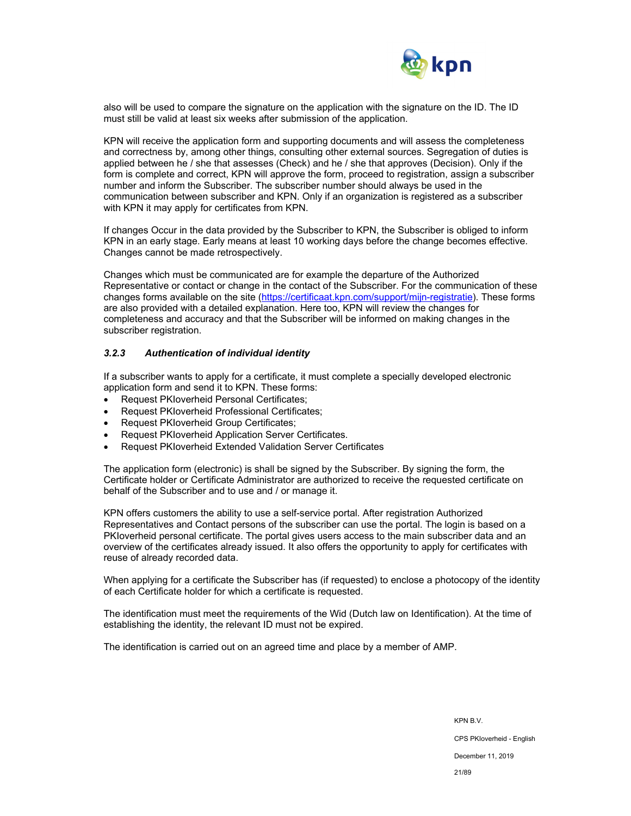

also will be used to compare the signature on the application with the signature on the ID. The ID must still be valid at least six weeks after submission of the application.

KPN will receive the application form and supporting documents and will assess the completeness and correctness by, among other things, consulting other external sources. Segregation of duties is applied between he / she that assesses (Check) and he / she that approves (Decision). Only if the form is complete and correct, KPN will approve the form, proceed to registration, assign a subscriber number and inform the Subscriber. The subscriber number should always be used in the communication between subscriber and KPN. Only if an organization is registered as a subscriber with KPN it may apply for certificates from KPN.

If changes Occur in the data provided by the Subscriber to KPN, the Subscriber is obliged to inform KPN in an early stage. Early means at least 10 working days before the change becomes effective. Changes cannot be made retrospectively.

Changes which must be communicated are for example the departure of the Authorized Representative or contact or change in the contact of the Subscriber. For the communication of these changes forms available on the site (https://certificaat.kpn.com/support/mijn-registratie). These forms are also provided with a detailed explanation. Here too, KPN will review the changes for completeness and accuracy and that the Subscriber will be informed on making changes in the subscriber registration.

#### *3.2.3 Authentication of individual identity*

If a subscriber wants to apply for a certificate, it must complete a specially developed electronic application form and send it to KPN. These forms:

- Request PKIoverheid Personal Certificates;
- Request PKIoverheid Professional Certificates;
- Request PKIoverheid Group Certificates;
- Request PKIoverheid Application Server Certificates.
- Request PKIoverheid Extended Validation Server Certificates

The application form (electronic) is shall be signed by the Subscriber. By signing the form, the Certificate holder or Certificate Administrator are authorized to receive the requested certificate on behalf of the Subscriber and to use and / or manage it.

KPN offers customers the ability to use a self-service portal. After registration Authorized Representatives and Contact persons of the subscriber can use the portal. The login is based on a PKIoverheid personal certificate. The portal gives users access to the main subscriber data and an overview of the certificates already issued. It also offers the opportunity to apply for certificates with reuse of already recorded data.

When applying for a certificate the Subscriber has (if requested) to enclose a photocopy of the identity of each Certificate holder for which a certificate is requested.

The identification must meet the requirements of the Wid (Dutch law on Identification). At the time of establishing the identity, the relevant ID must not be expired.

The identification is carried out on an agreed time and place by a member of AMP.

KPN B.V. CPS PKIoverheid - English December 11, 2019 21/89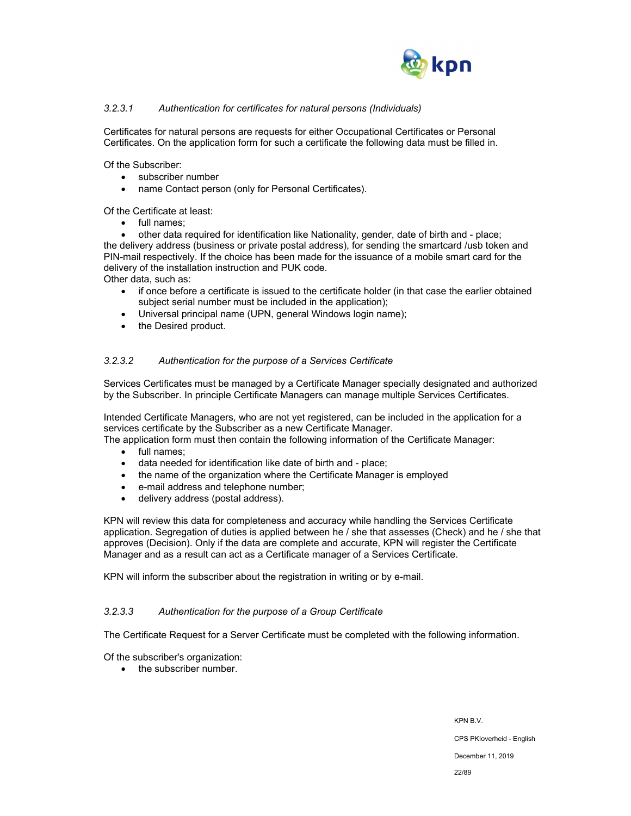

## *3.2.3.1 Authentication for certificates for natural persons (Individuals)*

Certificates for natural persons are requests for either Occupational Certificates or Personal Certificates. On the application form for such a certificate the following data must be filled in.

Of the Subscriber:

- subscriber number
- name Contact person (only for Personal Certificates).

Of the Certificate at least:

• full names;

 other data required for identification like Nationality, gender, date of birth and - place; the delivery address (business or private postal address), for sending the smartcard /usb token and PIN-mail respectively. If the choice has been made for the issuance of a mobile smart card for the delivery of the installation instruction and PUK code.

Other data, such as:

- if once before a certificate is issued to the certificate holder (in that case the earlier obtained subject serial number must be included in the application);
- Universal principal name (UPN, general Windows login name);
- the Desired product.

## *3.2.3.2 Authentication for the purpose of a Services Certificate*

Services Certificates must be managed by a Certificate Manager specially designated and authorized by the Subscriber. In principle Certificate Managers can manage multiple Services Certificates.

Intended Certificate Managers, who are not yet registered, can be included in the application for a services certificate by the Subscriber as a new Certificate Manager.

The application form must then contain the following information of the Certificate Manager:

- full names;
- data needed for identification like date of birth and place;
- the name of the organization where the Certificate Manager is employed
- e-mail address and telephone number;
- delivery address (postal address).

KPN will review this data for completeness and accuracy while handling the Services Certificate application. Segregation of duties is applied between he / she that assesses (Check) and he / she that approves (Decision). Only if the data are complete and accurate, KPN will register the Certificate Manager and as a result can act as a Certificate manager of a Services Certificate.

KPN will inform the subscriber about the registration in writing or by e-mail.

#### *3.2.3.3 Authentication for the purpose of a Group Certificate*

The Certificate Request for a Server Certificate must be completed with the following information.

Of the subscriber's organization:

• the subscriber number.

KPN B.V. CPS PKIoverheid - English December 11, 2019 22/89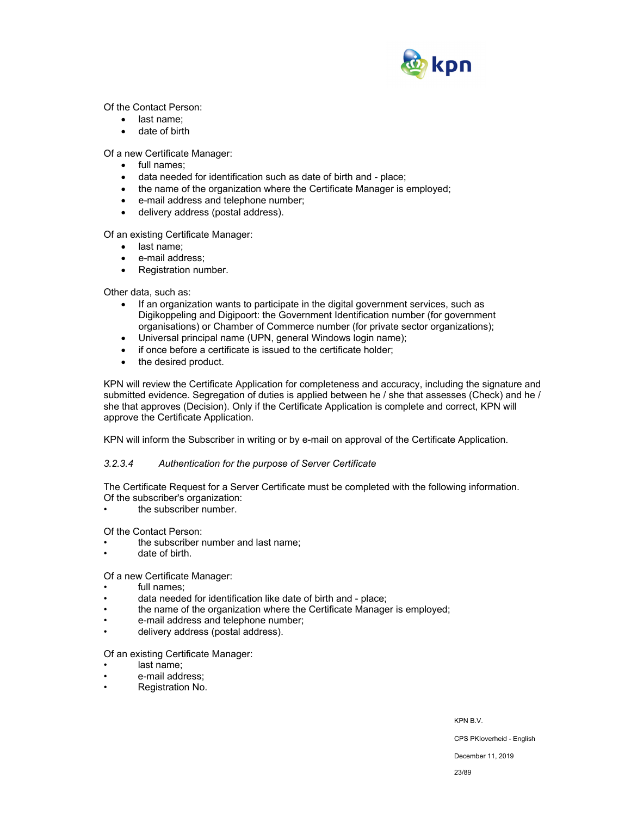

Of the Contact Person:

- last name;
- date of birth

Of a new Certificate Manager:

- full names;
- data needed for identification such as date of birth and place;
- the name of the organization where the Certificate Manager is employed;
- e-mail address and telephone number;
- delivery address (postal address).

Of an existing Certificate Manager:

- last name:
- e-mail address;
- Registration number.

Other data, such as:

- If an organization wants to participate in the digital government services, such as Digikoppeling and Digipoort: the Government Identification number (for government organisations) or Chamber of Commerce number (for private sector organizations);
- Universal principal name (UPN, general Windows login name);
- if once before a certificate is issued to the certificate holder;
- the desired product.

KPN will review the Certificate Application for completeness and accuracy, including the signature and submitted evidence. Segregation of duties is applied between he / she that assesses (Check) and he / she that approves (Decision). Only if the Certificate Application is complete and correct, KPN will approve the Certificate Application.

KPN will inform the Subscriber in writing or by e-mail on approval of the Certificate Application.

#### *3.2.3.4 Authentication for the purpose of Server Certificate*

The Certificate Request for a Server Certificate must be completed with the following information. Of the subscriber's organization:

the subscriber number.

Of the Contact Person:

- the subscriber number and last name;
- date of birth.

## Of a new Certificate Manager:

- full names:
- data needed for identification like date of birth and place;
- the name of the organization where the Certificate Manager is employed;
- e-mail address and telephone number;
- delivery address (postal address).

Of an existing Certificate Manager:

- last name:
- e-mail address;
- Registration No.

KPN B.V.

CPS PKIoverheid - English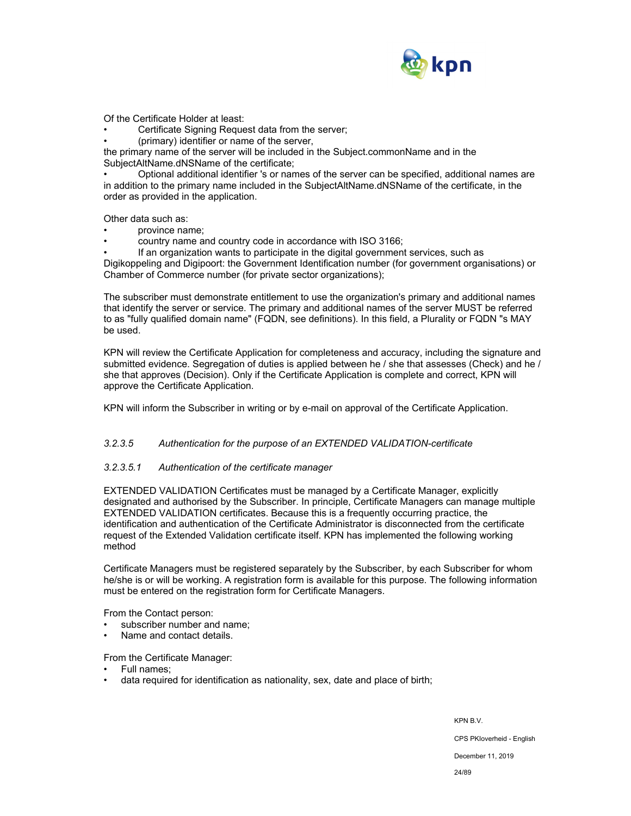

Of the Certificate Holder at least:

Certificate Signing Request data from the server;

• (primary) identifier or name of the server,

the primary name of the server will be included in the Subject.commonName and in the SubjectAltName.dNSName of the certificate;

• Optional additional identifier 's or names of the server can be specified, additional names are in addition to the primary name included in the SubjectAltName.dNSName of the certificate, in the order as provided in the application.

Other data such as:

- province name;
- country name and country code in accordance with ISO 3166;

• If an organization wants to participate in the digital government services, such as Digikoppeling and Digipoort: the Government Identification number (for government organisations) or Chamber of Commerce number (for private sector organizations);

The subscriber must demonstrate entitlement to use the organization's primary and additional names that identify the server or service. The primary and additional names of the server MUST be referred to as "fully qualified domain name" (FQDN, see definitions). In this field, a Plurality or FQDN "s MAY be used.

KPN will review the Certificate Application for completeness and accuracy, including the signature and submitted evidence. Segregation of duties is applied between he / she that assesses (Check) and he / she that approves (Decision). Only if the Certificate Application is complete and correct, KPN will approve the Certificate Application.

KPN will inform the Subscriber in writing or by e-mail on approval of the Certificate Application.

#### *3.2.3.5 Authentication for the purpose of an EXTENDED VALIDATION-certificate*

#### *3.2.3.5.1 Authentication of the certificate manager*

EXTENDED VALIDATION Certificates must be managed by a Certificate Manager, explicitly designated and authorised by the Subscriber. In principle, Certificate Managers can manage multiple EXTENDED VALIDATION certificates. Because this is a frequently occurring practice, the identification and authentication of the Certificate Administrator is disconnected from the certificate request of the Extended Validation certificate itself. KPN has implemented the following working method

Certificate Managers must be registered separately by the Subscriber, by each Subscriber for whom he/she is or will be working. A registration form is available for this purpose. The following information must be entered on the registration form for Certificate Managers.

From the Contact person:

- subscriber number and name;
- Name and contact details.

From the Certificate Manager:

- Full names;
- data required for identification as nationality, sex, date and place of birth;

KPN B.V.

CPS PKIoverheid - English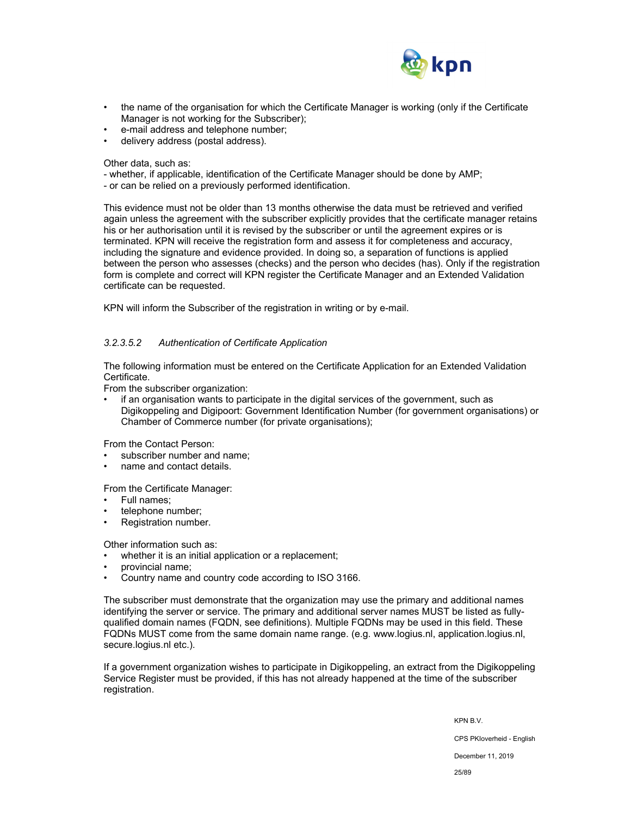

- the name of the organisation for which the Certificate Manager is working (only if the Certificate Manager is not working for the Subscriber);
- e-mail address and telephone number;
- delivery address (postal address).

Other data, such as:

- whether, if applicable, identification of the Certificate Manager should be done by AMP;
- or can be relied on a previously performed identification.

This evidence must not be older than 13 months otherwise the data must be retrieved and verified again unless the agreement with the subscriber explicitly provides that the certificate manager retains his or her authorisation until it is revised by the subscriber or until the agreement expires or is terminated. KPN will receive the registration form and assess it for completeness and accuracy, including the signature and evidence provided. In doing so, a separation of functions is applied between the person who assesses (checks) and the person who decides (has). Only if the registration form is complete and correct will KPN register the Certificate Manager and an Extended Validation certificate can be requested.

KPN will inform the Subscriber of the registration in writing or by e-mail.

## *3.2.3.5.2 Authentication of Certificate Application*

The following information must be entered on the Certificate Application for an Extended Validation Certificate.

From the subscriber organization:

• if an organisation wants to participate in the digital services of the government, such as Digikoppeling and Digipoort: Government Identification Number (for government organisations) or Chamber of Commerce number (for private organisations);

From the Contact Person:

- subscriber number and name;
- name and contact details.

From the Certificate Manager:

- Full names;
- telephone number;
- Registration number.

Other information such as:

whether it is an initial application or a replacement;

- provincial name;
- Country name and country code according to ISO 3166.

The subscriber must demonstrate that the organization may use the primary and additional names identifying the server or service. The primary and additional server names MUST be listed as fullyqualified domain names (FQDN, see definitions). Multiple FQDNs may be used in this field. These FQDNs MUST come from the same domain name range. (e.g. www.logius.nl, application.logius.nl, secure.logius.nl etc.).

If a government organization wishes to participate in Digikoppeling, an extract from the Digikoppeling Service Register must be provided, if this has not already happened at the time of the subscriber registration.

KPN B.V.

CPS PKIoverheid - English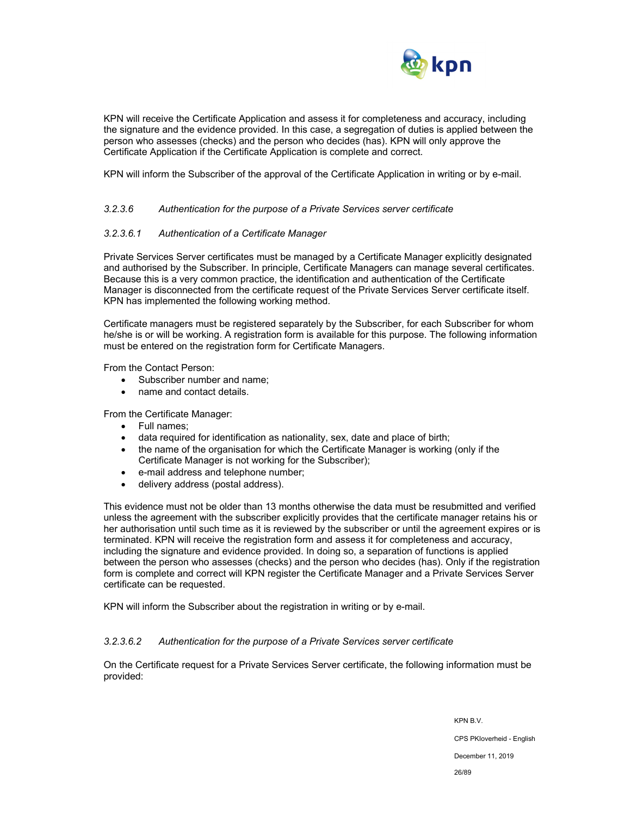

KPN will receive the Certificate Application and assess it for completeness and accuracy, including the signature and the evidence provided. In this case, a segregation of duties is applied between the person who assesses (checks) and the person who decides (has). KPN will only approve the Certificate Application if the Certificate Application is complete and correct.

KPN will inform the Subscriber of the approval of the Certificate Application in writing or by e-mail.

#### *3.2.3.6 Authentication for the purpose of a Private Services server certificate*

## *3.2.3.6.1 Authentication of a Certificate Manager*

Private Services Server certificates must be managed by a Certificate Manager explicitly designated and authorised by the Subscriber. In principle, Certificate Managers can manage several certificates. Because this is a very common practice, the identification and authentication of the Certificate Manager is disconnected from the certificate request of the Private Services Server certificate itself. KPN has implemented the following working method.

Certificate managers must be registered separately by the Subscriber, for each Subscriber for whom he/she is or will be working. A registration form is available for this purpose. The following information must be entered on the registration form for Certificate Managers.

From the Contact Person:

- Subscriber number and name;
- name and contact details.

From the Certificate Manager:

- Full names;
- data required for identification as nationality, sex, date and place of birth;
- the name of the organisation for which the Certificate Manager is working (only if the Certificate Manager is not working for the Subscriber);
- e-mail address and telephone number;
- delivery address (postal address).

This evidence must not be older than 13 months otherwise the data must be resubmitted and verified unless the agreement with the subscriber explicitly provides that the certificate manager retains his or her authorisation until such time as it is reviewed by the subscriber or until the agreement expires or is terminated. KPN will receive the registration form and assess it for completeness and accuracy, including the signature and evidence provided. In doing so, a separation of functions is applied between the person who assesses (checks) and the person who decides (has). Only if the registration form is complete and correct will KPN register the Certificate Manager and a Private Services Server certificate can be requested.

KPN will inform the Subscriber about the registration in writing or by e-mail.

#### *3.2.3.6.2 Authentication for the purpose of a Private Services server certificate*

On the Certificate request for a Private Services Server certificate, the following information must be provided:

> KPN B.V. CPS PKIoverheid - English December 11, 2019 26/89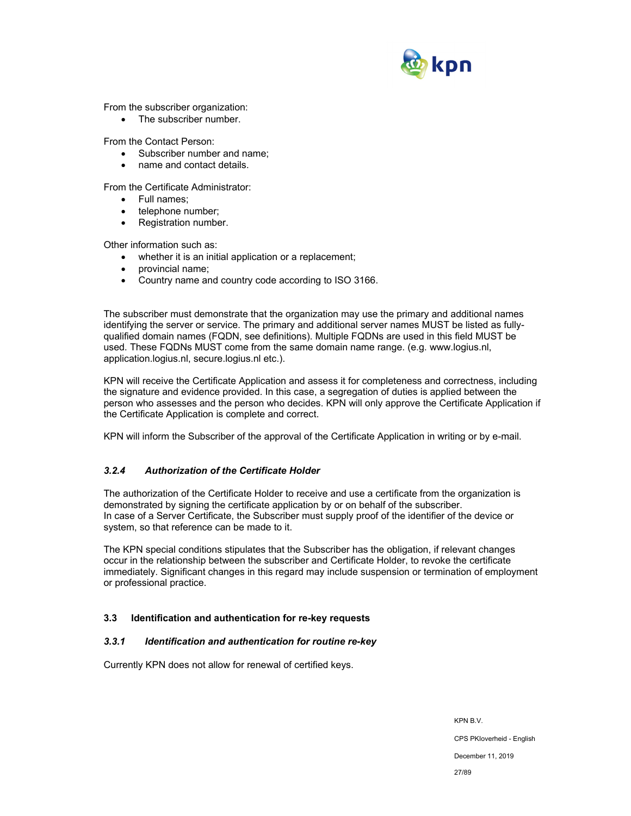

From the subscriber organization:

• The subscriber number.

From the Contact Person:

- Subscriber number and name;
- name and contact details.

From the Certificate Administrator:

- Full names:
- telephone number;
- Registration number.

Other information such as:

- whether it is an initial application or a replacement;
- provincial name;
- Country name and country code according to ISO 3166.

The subscriber must demonstrate that the organization may use the primary and additional names identifying the server or service. The primary and additional server names MUST be listed as fullyqualified domain names (FQDN, see definitions). Multiple FQDNs are used in this field MUST be used. These FQDNs MUST come from the same domain name range. (e.g. www.logius.nl, application.logius.nl, secure.logius.nl etc.).

KPN will receive the Certificate Application and assess it for completeness and correctness, including the signature and evidence provided. In this case, a segregation of duties is applied between the person who assesses and the person who decides. KPN will only approve the Certificate Application if the Certificate Application is complete and correct.

KPN will inform the Subscriber of the approval of the Certificate Application in writing or by e-mail.

## *3.2.4 Authorization of the Certificate Holder*

The authorization of the Certificate Holder to receive and use a certificate from the organization is demonstrated by signing the certificate application by or on behalf of the subscriber. In case of a Server Certificate, the Subscriber must supply proof of the identifier of the device or system, so that reference can be made to it.

The KPN special conditions stipulates that the Subscriber has the obligation, if relevant changes occur in the relationship between the subscriber and Certificate Holder, to revoke the certificate immediately. Significant changes in this regard may include suspension or termination of employment or professional practice.

## **3.3 Identification and authentication for re-key requests**

## *3.3.1 Identification and authentication for routine re-key*

Currently KPN does not allow for renewal of certified keys.

KPN B.V. CPS PKIoverheid - English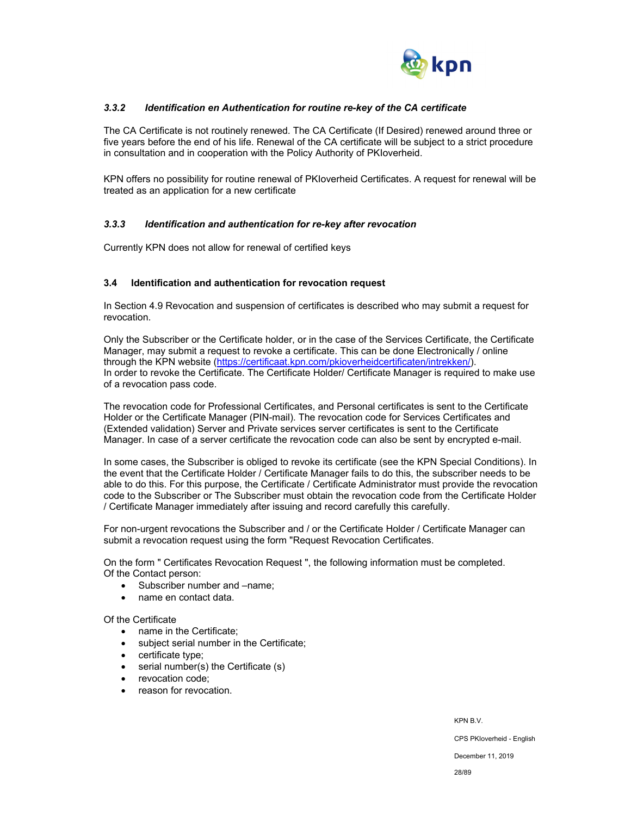

## *3.3.2 Identification en Authentication for routine re-key of the CA certificate*

The CA Certificate is not routinely renewed. The CA Certificate (If Desired) renewed around three or five years before the end of his life. Renewal of the CA certificate will be subject to a strict procedure in consultation and in cooperation with the Policy Authority of PKIoverheid.

KPN offers no possibility for routine renewal of PKIoverheid Certificates. A request for renewal will be treated as an application for a new certificate

#### *3.3.3 Identification and authentication for re-key after revocation*

Currently KPN does not allow for renewal of certified keys

#### **3.4 Identification and authentication for revocation request**

In Section 4.9 Revocation and suspension of certificates is described who may submit a request for revocation.

Only the Subscriber or the Certificate holder, or in the case of the Services Certificate, the Certificate Manager, may submit a request to revoke a certificate. This can be done Electronically / online through the KPN website (https://certificaat.kpn.com/pkioverheidcertificaten/intrekken/). In order to revoke the Certificate. The Certificate Holder/ Certificate Manager is required to make use of a revocation pass code.

The revocation code for Professional Certificates, and Personal certificates is sent to the Certificate Holder or the Certificate Manager (PIN-mail). The revocation code for Services Certificates and (Extended validation) Server and Private services server certificates is sent to the Certificate Manager. In case of a server certificate the revocation code can also be sent by encrypted e-mail.

In some cases, the Subscriber is obliged to revoke its certificate (see the KPN Special Conditions). In the event that the Certificate Holder / Certificate Manager fails to do this, the subscriber needs to be able to do this. For this purpose, the Certificate / Certificate Administrator must provide the revocation code to the Subscriber or The Subscriber must obtain the revocation code from the Certificate Holder / Certificate Manager immediately after issuing and record carefully this carefully.

For non-urgent revocations the Subscriber and / or the Certificate Holder / Certificate Manager can submit a revocation request using the form "Request Revocation Certificates.

On the form " Certificates Revocation Request ", the following information must be completed. Of the Contact person:

- Subscriber number and –name;
- name en contact data.

#### Of the Certificate

- name in the Certificate:
- subject serial number in the Certificate;
- certificate type;
- serial number(s) the Certificate (s)
- revocation code:
- reason for revocation.

KPN B.V.

CPS PKIoverheid - English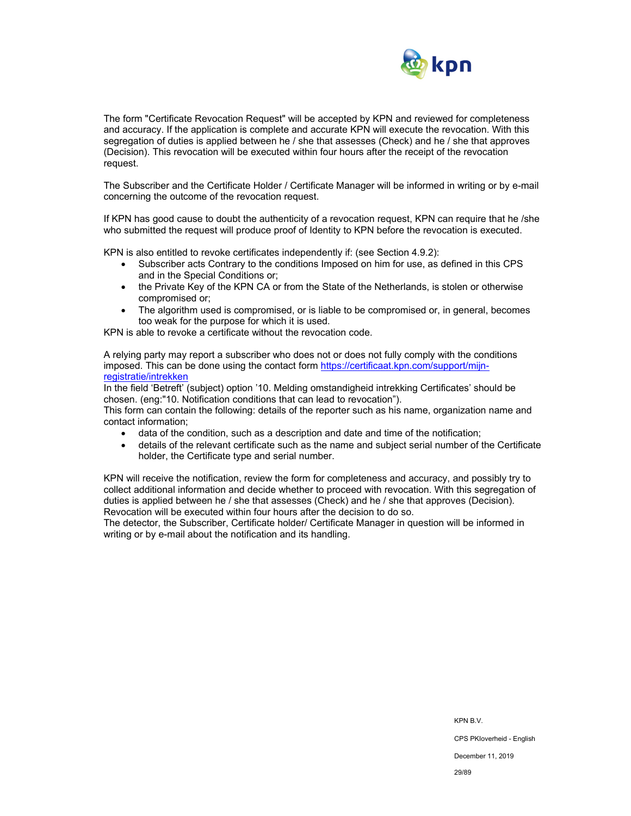

The form "Certificate Revocation Request" will be accepted by KPN and reviewed for completeness and accuracy. If the application is complete and accurate KPN will execute the revocation. With this segregation of duties is applied between he / she that assesses (Check) and he / she that approves (Decision). This revocation will be executed within four hours after the receipt of the revocation request.

The Subscriber and the Certificate Holder / Certificate Manager will be informed in writing or by e-mail concerning the outcome of the revocation request.

If KPN has good cause to doubt the authenticity of a revocation request, KPN can require that he /she who submitted the request will produce proof of Identity to KPN before the revocation is executed.

KPN is also entitled to revoke certificates independently if: (see Section 4.9.2):

- Subscriber acts Contrary to the conditions Imposed on him for use, as defined in this CPS and in the Special Conditions or;
- the Private Key of the KPN CA or from the State of the Netherlands, is stolen or otherwise compromised or;
- The algorithm used is compromised, or is liable to be compromised or, in general, becomes too weak for the purpose for which it is used.

KPN is able to revoke a certificate without the revocation code.

A relying party may report a subscriber who does not or does not fully comply with the conditions imposed. This can be done using the contact form https://certificaat.kpn.com/support/mijnregistratie/intrekken

In the field 'Betreft' (subject) option '10. Melding omstandigheid intrekking Certificates' should be chosen. (eng:"10. Notification conditions that can lead to revocation").

This form can contain the following: details of the reporter such as his name, organization name and contact information;

- data of the condition, such as a description and date and time of the notification;
- details of the relevant certificate such as the name and subject serial number of the Certificate holder, the Certificate type and serial number.

KPN will receive the notification, review the form for completeness and accuracy, and possibly try to collect additional information and decide whether to proceed with revocation. With this segregation of duties is applied between he / she that assesses (Check) and he / she that approves (Decision). Revocation will be executed within four hours after the decision to do so.

The detector, the Subscriber, Certificate holder/ Certificate Manager in question will be informed in writing or by e-mail about the notification and its handling.

29/89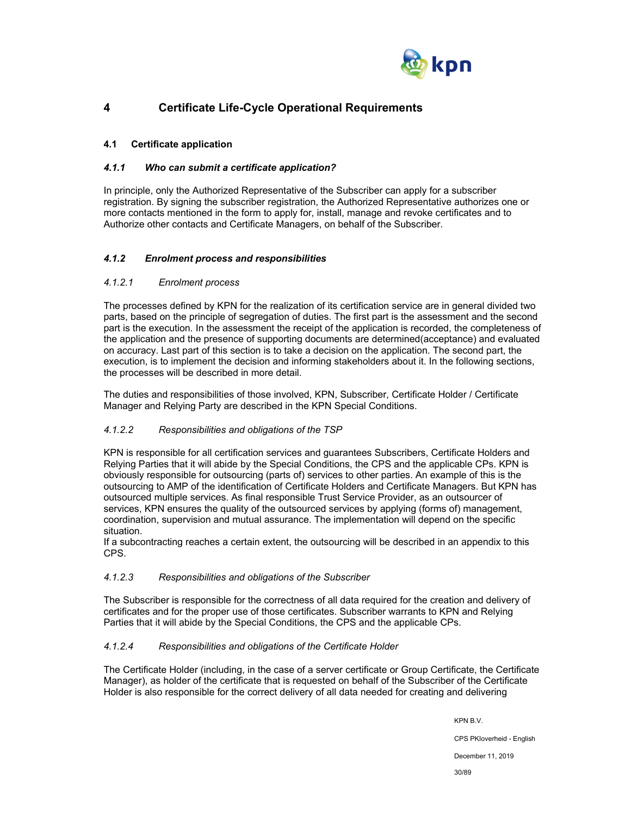

## **4 Certificate Life-Cycle Operational Requirements**

## **4.1 Certificate application**

## *4.1.1 Who can submit a certificate application?*

In principle, only the Authorized Representative of the Subscriber can apply for a subscriber registration. By signing the subscriber registration, the Authorized Representative authorizes one or more contacts mentioned in the form to apply for, install, manage and revoke certificates and to Authorize other contacts and Certificate Managers, on behalf of the Subscriber.

## *4.1.2 Enrolment process and responsibilities*

## *4.1.2.1 Enrolment process*

The processes defined by KPN for the realization of its certification service are in general divided two parts, based on the principle of segregation of duties. The first part is the assessment and the second part is the execution. In the assessment the receipt of the application is recorded, the completeness of the application and the presence of supporting documents are determined(acceptance) and evaluated on accuracy. Last part of this section is to take a decision on the application. The second part, the execution, is to implement the decision and informing stakeholders about it. In the following sections, the processes will be described in more detail.

The duties and responsibilities of those involved, KPN, Subscriber, Certificate Holder / Certificate Manager and Relying Party are described in the KPN Special Conditions.

## *4.1.2.2 Responsibilities and obligations of the TSP*

KPN is responsible for all certification services and guarantees Subscribers, Certificate Holders and Relying Parties that it will abide by the Special Conditions, the CPS and the applicable CPs. KPN is obviously responsible for outsourcing (parts of) services to other parties. An example of this is the outsourcing to AMP of the identification of Certificate Holders and Certificate Managers. But KPN has outsourced multiple services. As final responsible Trust Service Provider, as an outsourcer of services, KPN ensures the quality of the outsourced services by applying (forms of) management, coordination, supervision and mutual assurance. The implementation will depend on the specific situation.

If a subcontracting reaches a certain extent, the outsourcing will be described in an appendix to this CPS.

#### *4.1.2.3 Responsibilities and obligations of the Subscriber*

The Subscriber is responsible for the correctness of all data required for the creation and delivery of certificates and for the proper use of those certificates. Subscriber warrants to KPN and Relying Parties that it will abide by the Special Conditions, the CPS and the applicable CPs.

## *4.1.2.4 Responsibilities and obligations of the Certificate Holder*

The Certificate Holder (including, in the case of a server certificate or Group Certificate, the Certificate Manager), as holder of the certificate that is requested on behalf of the Subscriber of the Certificate Holder is also responsible for the correct delivery of all data needed for creating and delivering

KPN B.V.

CPS PKIoverheid - English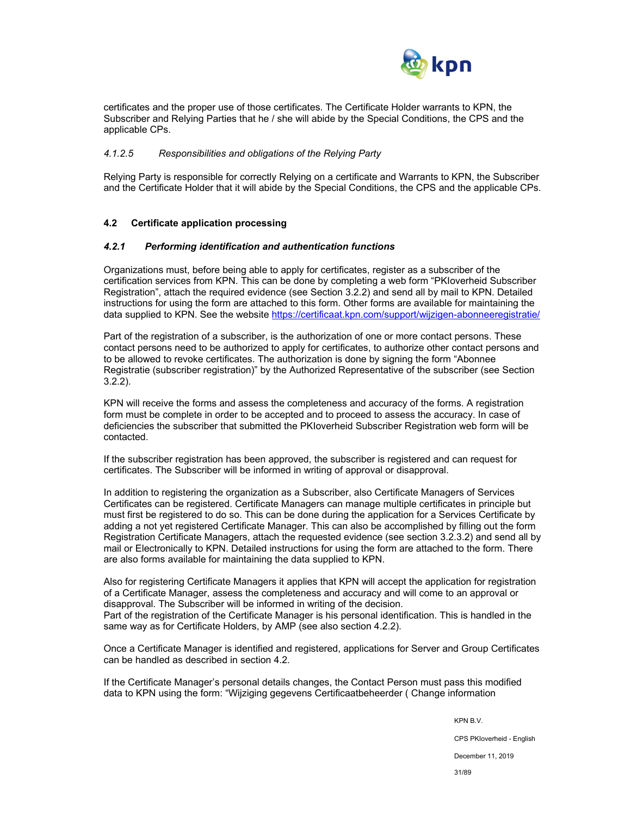

certificates and the proper use of those certificates. The Certificate Holder warrants to KPN, the Subscriber and Relying Parties that he / she will abide by the Special Conditions, the CPS and the applicable CPs.

## *4.1.2.5 Responsibilities and obligations of the Relying Party*

Relying Party is responsible for correctly Relying on a certificate and Warrants to KPN, the Subscriber and the Certificate Holder that it will abide by the Special Conditions, the CPS and the applicable CPs.

#### **4.2 Certificate application processing**

#### *4.2.1 Performing identification and authentication functions*

Organizations must, before being able to apply for certificates, register as a subscriber of the certification services from KPN. This can be done by completing a web form "PKIoverheid Subscriber Registration", attach the required evidence (see Section 3.2.2) and send all by mail to KPN. Detailed instructions for using the form are attached to this form. Other forms are available for maintaining the data supplied to KPN. See the website https://certificaat.kpn.com/support/wijzigen-abonneeregistratie/

Part of the registration of a subscriber, is the authorization of one or more contact persons. These contact persons need to be authorized to apply for certificates, to authorize other contact persons and to be allowed to revoke certificates. The authorization is done by signing the form "Abonnee Registratie (subscriber registration)" by the Authorized Representative of the subscriber (see Section 3.2.2).

KPN will receive the forms and assess the completeness and accuracy of the forms. A registration form must be complete in order to be accepted and to proceed to assess the accuracy. In case of deficiencies the subscriber that submitted the PKIoverheid Subscriber Registration web form will be contacted.

If the subscriber registration has been approved, the subscriber is registered and can request for certificates. The Subscriber will be informed in writing of approval or disapproval.

In addition to registering the organization as a Subscriber, also Certificate Managers of Services Certificates can be registered. Certificate Managers can manage multiple certificates in principle but must first be registered to do so. This can be done during the application for a Services Certificate by adding a not yet registered Certificate Manager. This can also be accomplished by filling out the form Registration Certificate Managers, attach the requested evidence (see section 3.2.3.2) and send all by mail or Electronically to KPN. Detailed instructions for using the form are attached to the form. There are also forms available for maintaining the data supplied to KPN.

Also for registering Certificate Managers it applies that KPN will accept the application for registration of a Certificate Manager, assess the completeness and accuracy and will come to an approval or disapproval. The Subscriber will be informed in writing of the decision. Part of the registration of the Certificate Manager is his personal identification. This is handled in the same way as for Certificate Holders, by AMP (see also section 4.2.2).

Once a Certificate Manager is identified and registered, applications for Server and Group Certificates can be handled as described in section 4.2.

If the Certificate Manager's personal details changes, the Contact Person must pass this modified data to KPN using the form: "Wijziging gegevens Certificaatbeheerder ( Change information

KPN B.V.

CPS PKIoverheid - English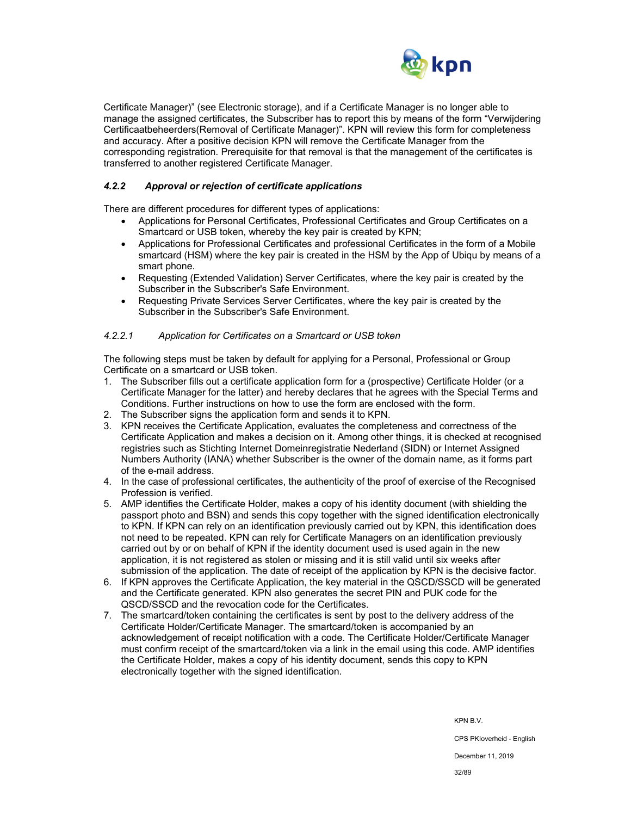

Certificate Manager)" (see Electronic storage), and if a Certificate Manager is no longer able to manage the assigned certificates, the Subscriber has to report this by means of the form "Verwijdering Certificaatbeheerders(Removal of Certificate Manager)". KPN will review this form for completeness and accuracy. After a positive decision KPN will remove the Certificate Manager from the corresponding registration. Prerequisite for that removal is that the management of the certificates is transferred to another registered Certificate Manager.

## *4.2.2 Approval or rejection of certificate applications*

There are different procedures for different types of applications:

- Applications for Personal Certificates, Professional Certificates and Group Certificates on a Smartcard or USB token, whereby the key pair is created by KPN;
- Applications for Professional Certificates and professional Certificates in the form of a Mobile smartcard (HSM) where the key pair is created in the HSM by the App of Ubiqu by means of a smart phone.
- Requesting (Extended Validation) Server Certificates, where the key pair is created by the Subscriber in the Subscriber's Safe Environment.
- Requesting Private Services Server Certificates, where the key pair is created by the Subscriber in the Subscriber's Safe Environment.

#### *4.2.2.1 Application for Certificates on a Smartcard or USB token*

The following steps must be taken by default for applying for a Personal, Professional or Group Certificate on a smartcard or USB token.

- 1. The Subscriber fills out a certificate application form for a (prospective) Certificate Holder (or a Certificate Manager for the latter) and hereby declares that he agrees with the Special Terms and Conditions. Further instructions on how to use the form are enclosed with the form.
- 2. The Subscriber signs the application form and sends it to KPN.
- 3. KPN receives the Certificate Application, evaluates the completeness and correctness of the Certificate Application and makes a decision on it. Among other things, it is checked at recognised registries such as Stichting Internet Domeinregistratie Nederland (SIDN) or Internet Assigned Numbers Authority (IANA) whether Subscriber is the owner of the domain name, as it forms part of the e-mail address.
- 4. In the case of professional certificates, the authenticity of the proof of exercise of the Recognised Profession is verified.
- 5. AMP identifies the Certificate Holder, makes a copy of his identity document (with shielding the passport photo and BSN) and sends this copy together with the signed identification electronically to KPN. If KPN can rely on an identification previously carried out by KPN, this identification does not need to be repeated. KPN can rely for Certificate Managers on an identification previously carried out by or on behalf of KPN if the identity document used is used again in the new application, it is not registered as stolen or missing and it is still valid until six weeks after submission of the application. The date of receipt of the application by KPN is the decisive factor.
- 6. If KPN approves the Certificate Application, the key material in the QSCD/SSCD will be generated and the Certificate generated. KPN also generates the secret PIN and PUK code for the QSCD/SSCD and the revocation code for the Certificates.
- 7. The smartcard/token containing the certificates is sent by post to the delivery address of the Certificate Holder/Certificate Manager. The smartcard/token is accompanied by an acknowledgement of receipt notification with a code. The Certificate Holder/Certificate Manager must confirm receipt of the smartcard/token via a link in the email using this code. AMP identifies the Certificate Holder, makes a copy of his identity document, sends this copy to KPN electronically together with the signed identification.

KPN B.V.

CPS PKIoverheid - English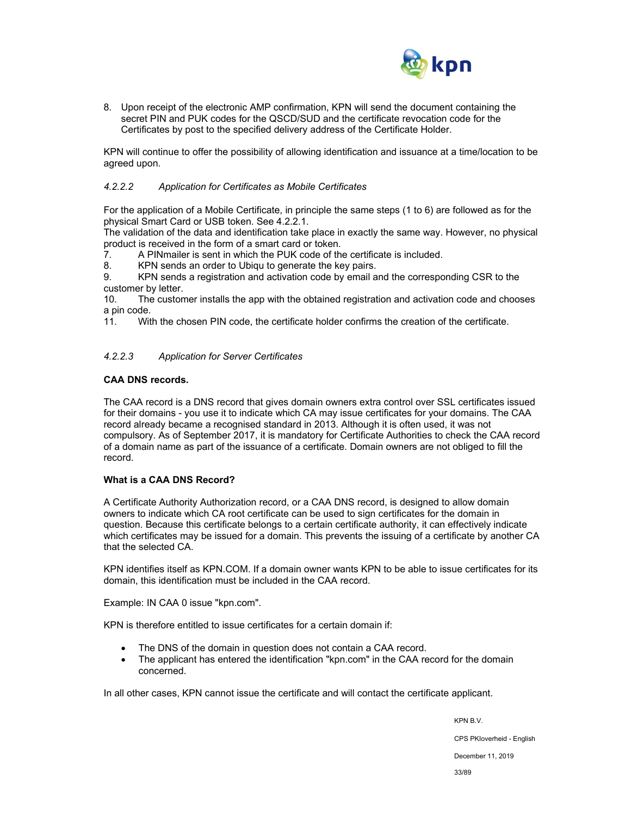

8. Upon receipt of the electronic AMP confirmation, KPN will send the document containing the secret PIN and PUK codes for the QSCD/SUD and the certificate revocation code for the Certificates by post to the specified delivery address of the Certificate Holder.

KPN will continue to offer the possibility of allowing identification and issuance at a time/location to be agreed upon.

## *4.2.2.2 Application for Certificates as Mobile Certificates*

For the application of a Mobile Certificate, in principle the same steps (1 to 6) are followed as for the physical Smart Card or USB token. See 4.2.2.1.

The validation of the data and identification take place in exactly the same way. However, no physical product is received in the form of a smart card or token.

7. A PINmailer is sent in which the PUK code of the certificate is included.

8. KPN sends an order to Ubiqu to generate the key pairs.

9. KPN sends a registration and activation code by email and the corresponding CSR to the customer by letter.

10. The customer installs the app with the obtained registration and activation code and chooses a pin code.

11. With the chosen PIN code, the certificate holder confirms the creation of the certificate.

#### *4.2.2.3 Application for Server Certificates*

## **CAA DNS records.**

The CAA record is a DNS record that gives domain owners extra control over SSL certificates issued for their domains - you use it to indicate which CA may issue certificates for your domains. The CAA record already became a recognised standard in 2013. Although it is often used, it was not compulsory. As of September 2017, it is mandatory for Certificate Authorities to check the CAA record of a domain name as part of the issuance of a certificate. Domain owners are not obliged to fill the record.

#### **What is a CAA DNS Record?**

A Certificate Authority Authorization record, or a CAA DNS record, is designed to allow domain owners to indicate which CA root certificate can be used to sign certificates for the domain in question. Because this certificate belongs to a certain certificate authority, it can effectively indicate which certificates may be issued for a domain. This prevents the issuing of a certificate by another CA that the selected CA.

KPN identifies itself as KPN.COM. If a domain owner wants KPN to be able to issue certificates for its domain, this identification must be included in the CAA record.

Example: IN CAA 0 issue "kpn.com".

KPN is therefore entitled to issue certificates for a certain domain if:

- The DNS of the domain in question does not contain a CAA record.
- The applicant has entered the identification "kpn.com" in the CAA record for the domain concerned.

In all other cases, KPN cannot issue the certificate and will contact the certificate applicant.

KPN B.V. CPS PKIoverheid - English December 11, 2019 33/89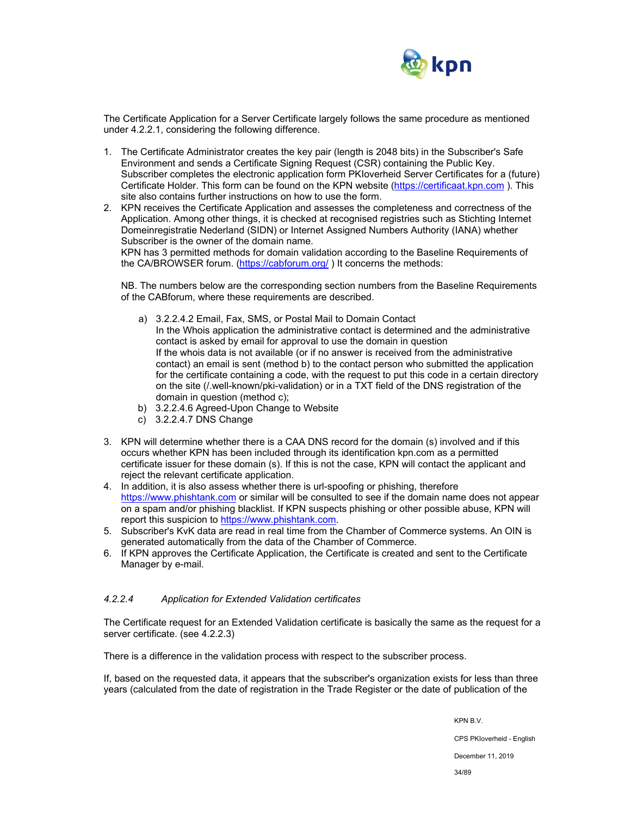

The Certificate Application for a Server Certificate largely follows the same procedure as mentioned under 4.2.2.1, considering the following difference.

- 1. The Certificate Administrator creates the key pair (length is 2048 bits) in the Subscriber's Safe Environment and sends a Certificate Signing Request (CSR) containing the Public Key. Subscriber completes the electronic application form PKIoverheid Server Certificates for a (future) Certificate Holder. This form can be found on the KPN website (https://certificaat.kpn.com ). This site also contains further instructions on how to use the form.
- 2. KPN receives the Certificate Application and assesses the completeness and correctness of the Application. Among other things, it is checked at recognised registries such as Stichting Internet Domeinregistratie Nederland (SIDN) or Internet Assigned Numbers Authority (IANA) whether Subscriber is the owner of the domain name.

KPN has 3 permitted methods for domain validation according to the Baseline Requirements of the CA/BROWSER forum. (https://cabforum.org/ ) It concerns the methods:

NB. The numbers below are the corresponding section numbers from the Baseline Requirements of the CABforum, where these requirements are described.

- a) 3.2.2.4.2 Email, Fax, SMS, or Postal Mail to Domain Contact In the Whois application the administrative contact is determined and the administrative contact is asked by email for approval to use the domain in question If the whois data is not available (or if no answer is received from the administrative contact) an email is sent (method b) to the contact person who submitted the application for the certificate containing a code, with the request to put this code in a certain directory on the site (/.well-known/pki-validation) or in a TXT field of the DNS registration of the domain in question (method c);
- b) 3.2.2.4.6 Agreed-Upon Change to Website
- c) 3.2.2.4.7 DNS Change
- 3. KPN will determine whether there is a CAA DNS record for the domain (s) involved and if this occurs whether KPN has been included through its identification kpn.com as a permitted certificate issuer for these domain (s). If this is not the case, KPN will contact the applicant and reject the relevant certificate application.
- 4. In addition, it is also assess whether there is url-spoofing or phishing, therefore https://www.phishtank.com or similar will be consulted to see if the domain name does not appear on a spam and/or phishing blacklist. If KPN suspects phishing or other possible abuse, KPN will report this suspicion to https://www.phishtank.com.
- 5. Subscriber's KvK data are read in real time from the Chamber of Commerce systems. An OIN is generated automatically from the data of the Chamber of Commerce.
- 6. If KPN approves the Certificate Application, the Certificate is created and sent to the Certificate Manager by e-mail.

#### *4.2.2.4 Application for Extended Validation certificates*

The Certificate request for an Extended Validation certificate is basically the same as the request for a server certificate. (see 4.2.2.3)

There is a difference in the validation process with respect to the subscriber process.

If, based on the requested data, it appears that the subscriber's organization exists for less than three years (calculated from the date of registration in the Trade Register or the date of publication of the

KPN B.V.

CPS PKIoverheid - English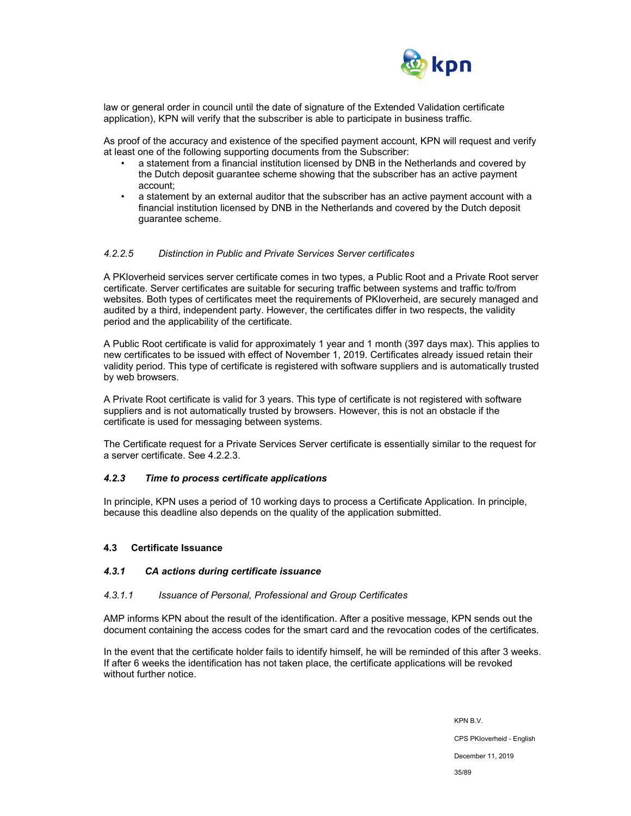

law or general order in council until the date of signature of the Extended Validation certificate application), KPN will verify that the subscriber is able to participate in business traffic.

As proof of the accuracy and existence of the specified payment account, KPN will request and verify at least one of the following supporting documents from the Subscriber:

- a statement from a financial institution licensed by DNB in the Netherlands and covered by the Dutch deposit guarantee scheme showing that the subscriber has an active payment account;
- a statement by an external auditor that the subscriber has an active payment account with a financial institution licensed by DNB in the Netherlands and covered by the Dutch deposit guarantee scheme.

#### *4.2.2.5 Distinction in Public and Private Services Server certificates*

A PKIoverheid services server certificate comes in two types, a Public Root and a Private Root server certificate. Server certificates are suitable for securing traffic between systems and traffic to/from websites. Both types of certificates meet the requirements of PKIoverheid, are securely managed and audited by a third, independent party. However, the certificates differ in two respects, the validity period and the applicability of the certificate.

A Public Root certificate is valid for approximately 1 year and 1 month (397 days max). This applies to new certificates to be issued with effect of November 1, 2019. Certificates already issued retain their validity period. This type of certificate is registered with software suppliers and is automatically trusted by web browsers.

A Private Root certificate is valid for 3 years. This type of certificate is not registered with software suppliers and is not automatically trusted by browsers. However, this is not an obstacle if the certificate is used for messaging between systems.

The Certificate request for a Private Services Server certificate is essentially similar to the request for a server certificate. See 4.2.2.3.

#### *4.2.3 Time to process certificate applications*

In principle, KPN uses a period of 10 working days to process a Certificate Application. In principle, because this deadline also depends on the quality of the application submitted.

#### **4.3 Certificate Issuance**

#### *4.3.1 CA actions during certificate issuance*

#### *4.3.1.1 Issuance of Personal, Professional and Group Certificates*

AMP informs KPN about the result of the identification. After a positive message, KPN sends out the document containing the access codes for the smart card and the revocation codes of the certificates.

In the event that the certificate holder fails to identify himself, he will be reminded of this after 3 weeks. If after 6 weeks the identification has not taken place, the certificate applications will be revoked without further notice.

> KPN B.V. CPS PKIoverheid - English December 11, 2019 35/89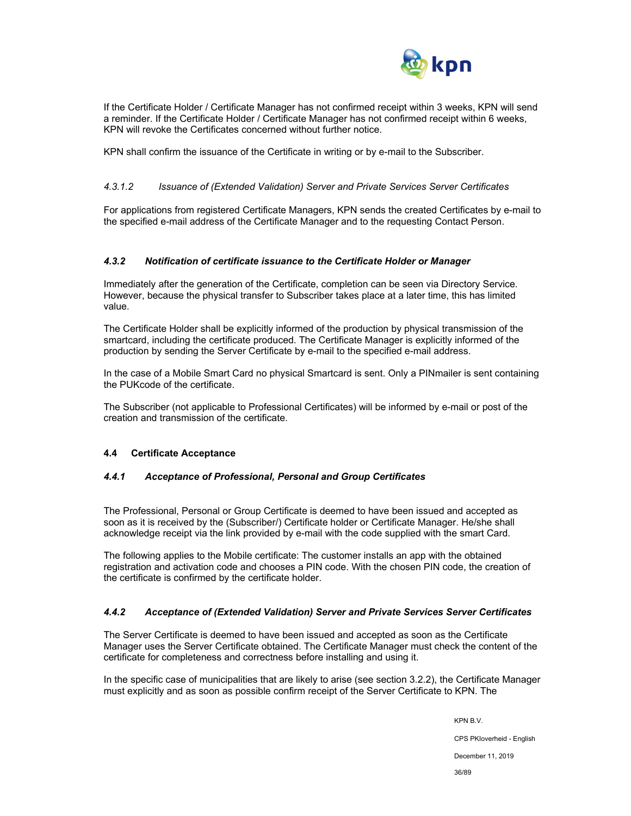

If the Certificate Holder / Certificate Manager has not confirmed receipt within 3 weeks, KPN will send a reminder. If the Certificate Holder / Certificate Manager has not confirmed receipt within 6 weeks, KPN will revoke the Certificates concerned without further notice.

KPN shall confirm the issuance of the Certificate in writing or by e-mail to the Subscriber.

## *4.3.1.2 Issuance of (Extended Validation) Server and Private Services Server Certificates*

For applications from registered Certificate Managers, KPN sends the created Certificates by e-mail to the specified e-mail address of the Certificate Manager and to the requesting Contact Person.

## *4.3.2 Notification of certificate issuance to the Certificate Holder or Manager*

Immediately after the generation of the Certificate, completion can be seen via Directory Service. However, because the physical transfer to Subscriber takes place at a later time, this has limited value.

The Certificate Holder shall be explicitly informed of the production by physical transmission of the smartcard, including the certificate produced. The Certificate Manager is explicitly informed of the production by sending the Server Certificate by e-mail to the specified e-mail address.

In the case of a Mobile Smart Card no physical Smartcard is sent. Only a PINmailer is sent containing the PUKcode of the certificate.

The Subscriber (not applicable to Professional Certificates) will be informed by e-mail or post of the creation and transmission of the certificate.

#### **4.4 Certificate Acceptance**

## *4.4.1 Acceptance of Professional, Personal and Group Certificates*

The Professional, Personal or Group Certificate is deemed to have been issued and accepted as soon as it is received by the (Subscriber/) Certificate holder or Certificate Manager. He/she shall acknowledge receipt via the link provided by e-mail with the code supplied with the smart Card.

The following applies to the Mobile certificate: The customer installs an app with the obtained registration and activation code and chooses a PIN code. With the chosen PIN code, the creation of the certificate is confirmed by the certificate holder.

#### *4.4.2 Acceptance of (Extended Validation) Server and Private Services Server Certificates*

The Server Certificate is deemed to have been issued and accepted as soon as the Certificate Manager uses the Server Certificate obtained. The Certificate Manager must check the content of the certificate for completeness and correctness before installing and using it.

In the specific case of municipalities that are likely to arise (see section 3.2.2), the Certificate Manager must explicitly and as soon as possible confirm receipt of the Server Certificate to KPN. The

KPN B.V.

CPS PKIoverheid - English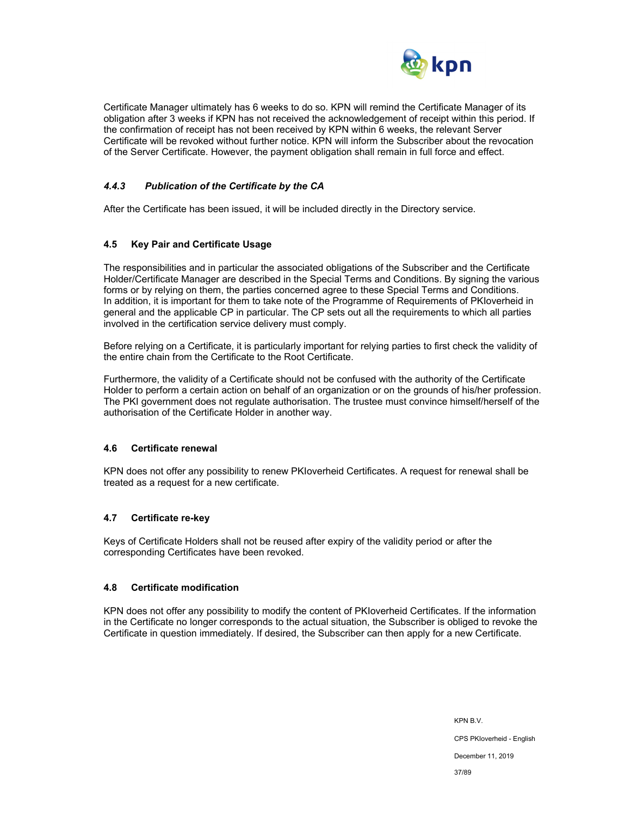

Certificate Manager ultimately has 6 weeks to do so. KPN will remind the Certificate Manager of its obligation after 3 weeks if KPN has not received the acknowledgement of receipt within this period. If the confirmation of receipt has not been received by KPN within 6 weeks, the relevant Server Certificate will be revoked without further notice. KPN will inform the Subscriber about the revocation of the Server Certificate. However, the payment obligation shall remain in full force and effect.

### *4.4.3 Publication of the Certificate by the CA*

After the Certificate has been issued, it will be included directly in the Directory service.

### **4.5 Key Pair and Certificate Usage**

The responsibilities and in particular the associated obligations of the Subscriber and the Certificate Holder/Certificate Manager are described in the Special Terms and Conditions. By signing the various forms or by relying on them, the parties concerned agree to these Special Terms and Conditions. In addition, it is important for them to take note of the Programme of Requirements of PKIoverheid in general and the applicable CP in particular. The CP sets out all the requirements to which all parties involved in the certification service delivery must comply.

Before relying on a Certificate, it is particularly important for relying parties to first check the validity of the entire chain from the Certificate to the Root Certificate.

Furthermore, the validity of a Certificate should not be confused with the authority of the Certificate Holder to perform a certain action on behalf of an organization or on the grounds of his/her profession. The PKI government does not regulate authorisation. The trustee must convince himself/herself of the authorisation of the Certificate Holder in another way.

### **4.6 Certificate renewal**

KPN does not offer any possibility to renew PKIoverheid Certificates. A request for renewal shall be treated as a request for a new certificate.

### **4.7 Certificate re-key**

Keys of Certificate Holders shall not be reused after expiry of the validity period or after the corresponding Certificates have been revoked.

### **4.8 Certificate modification**

KPN does not offer any possibility to modify the content of PKIoverheid Certificates. If the information in the Certificate no longer corresponds to the actual situation, the Subscriber is obliged to revoke the Certificate in question immediately. If desired, the Subscriber can then apply for a new Certificate.

> KPN B.V. CPS PKIoverheid - English December 11, 2019 37/89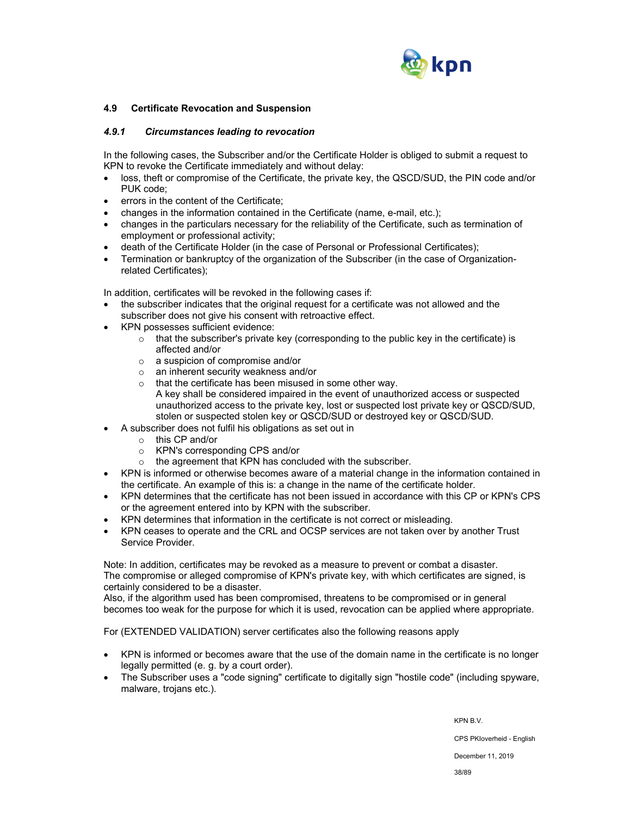

### **4.9 Certificate Revocation and Suspension**

### *4.9.1 Circumstances leading to revocation*

In the following cases, the Subscriber and/or the Certificate Holder is obliged to submit a request to KPN to revoke the Certificate immediately and without delay:

- loss, theft or compromise of the Certificate, the private key, the QSCD/SUD, the PIN code and/or PUK code;
- errors in the content of the Certificate;
- changes in the information contained in the Certificate (name, e-mail, etc.);
- changes in the particulars necessary for the reliability of the Certificate, such as termination of employment or professional activity;
- death of the Certificate Holder (in the case of Personal or Professional Certificates);
- Termination or bankruptcy of the organization of the Subscriber (in the case of Organizationrelated Certificates);

In addition, certificates will be revoked in the following cases if:

- the subscriber indicates that the original request for a certificate was not allowed and the subscriber does not give his consent with retroactive effect.
- KPN possesses sufficient evidence:
	- $\circ$  that the subscriber's private key (corresponding to the public key in the certificate) is affected and/or
	- o a suspicion of compromise and/or
	- o an inherent security weakness and/or
	- o that the certificate has been misused in some other way. A key shall be considered impaired in the event of unauthorized access or suspected unauthorized access to the private key, lost or suspected lost private key or QSCD/SUD, stolen or suspected stolen key or QSCD/SUD or destroyed key or QSCD/SUD.
- A subscriber does not fulfil his obligations as set out in
	- o this CP and/or
	- o KPN's corresponding CPS and/or
	- o the agreement that KPN has concluded with the subscriber.
- KPN is informed or otherwise becomes aware of a material change in the information contained in the certificate. An example of this is: a change in the name of the certificate holder.
- KPN determines that the certificate has not been issued in accordance with this CP or KPN's CPS or the agreement entered into by KPN with the subscriber.
- KPN determines that information in the certificate is not correct or misleading.
- KPN ceases to operate and the CRL and OCSP services are not taken over by another Trust Service Provider.

Note: In addition, certificates may be revoked as a measure to prevent or combat a disaster. The compromise or alleged compromise of KPN's private key, with which certificates are signed, is certainly considered to be a disaster.

Also, if the algorithm used has been compromised, threatens to be compromised or in general becomes too weak for the purpose for which it is used, revocation can be applied where appropriate.

For (EXTENDED VALIDATION) server certificates also the following reasons apply

- KPN is informed or becomes aware that the use of the domain name in the certificate is no longer legally permitted (e. g. by a court order).
- The Subscriber uses a "code signing" certificate to digitally sign "hostile code" (including spyware, malware, trojans etc.).

KPN B.V.

CPS PKIoverheid - English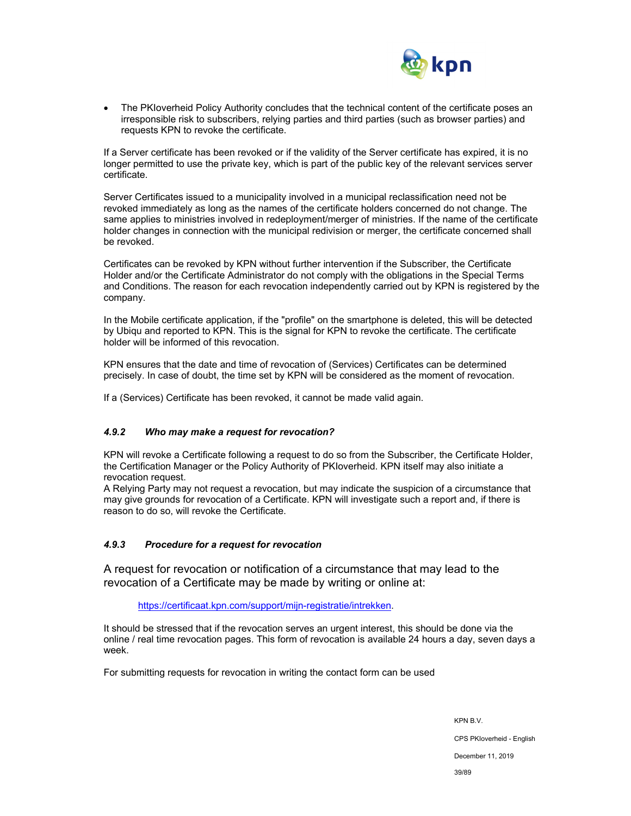

 The PKIoverheid Policy Authority concludes that the technical content of the certificate poses an irresponsible risk to subscribers, relying parties and third parties (such as browser parties) and requests KPN to revoke the certificate.

If a Server certificate has been revoked or if the validity of the Server certificate has expired, it is no longer permitted to use the private key, which is part of the public key of the relevant services server certificate.

Server Certificates issued to a municipality involved in a municipal reclassification need not be revoked immediately as long as the names of the certificate holders concerned do not change. The same applies to ministries involved in redeployment/merger of ministries. If the name of the certificate holder changes in connection with the municipal redivision or merger, the certificate concerned shall be revoked.

Certificates can be revoked by KPN without further intervention if the Subscriber, the Certificate Holder and/or the Certificate Administrator do not comply with the obligations in the Special Terms and Conditions. The reason for each revocation independently carried out by KPN is registered by the company.

In the Mobile certificate application, if the "profile" on the smartphone is deleted, this will be detected by Ubiqu and reported to KPN. This is the signal for KPN to revoke the certificate. The certificate holder will be informed of this revocation.

KPN ensures that the date and time of revocation of (Services) Certificates can be determined precisely. In case of doubt, the time set by KPN will be considered as the moment of revocation.

If a (Services) Certificate has been revoked, it cannot be made valid again.

## *4.9.2 Who may make a request for revocation?*

KPN will revoke a Certificate following a request to do so from the Subscriber, the Certificate Holder, the Certification Manager or the Policy Authority of PKIoverheid. KPN itself may also initiate a revocation request.

A Relying Party may not request a revocation, but may indicate the suspicion of a circumstance that may give grounds for revocation of a Certificate. KPN will investigate such a report and, if there is reason to do so, will revoke the Certificate.

### *4.9.3 Procedure for a request for revocation*

A request for revocation or notification of a circumstance that may lead to the revocation of a Certificate may be made by writing or online at:

https://certificaat.kpn.com/support/mijn-registratie/intrekken.

It should be stressed that if the revocation serves an urgent interest, this should be done via the online / real time revocation pages. This form of revocation is available 24 hours a day, seven days a week.

For submitting requests for revocation in writing the contact form can be used

KPN B.V. CPS PKIoverheid - English December 11, 2019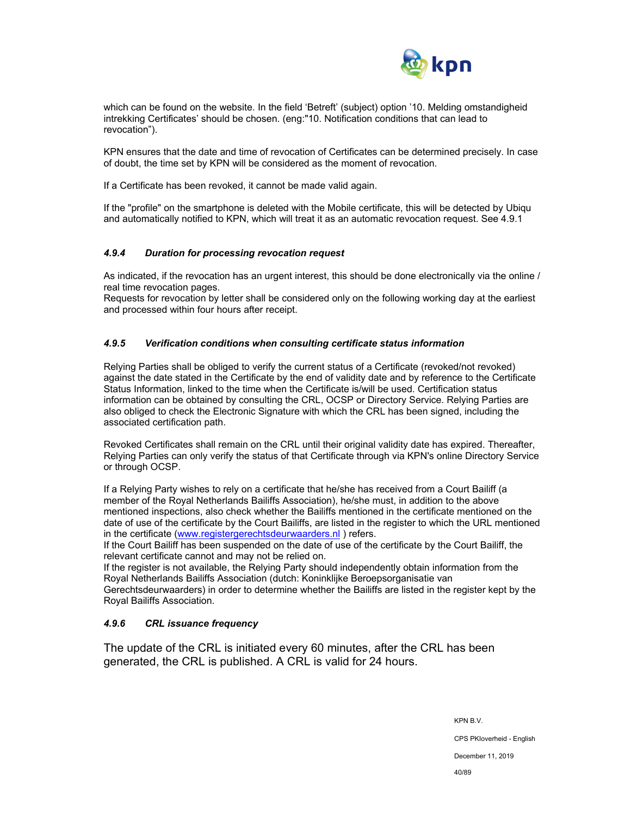

which can be found on the website. In the field 'Betreft' (subject) option '10. Melding omstandigheid intrekking Certificates' should be chosen. (eng:"10. Notification conditions that can lead to revocation").

KPN ensures that the date and time of revocation of Certificates can be determined precisely. In case of doubt, the time set by KPN will be considered as the moment of revocation.

If a Certificate has been revoked, it cannot be made valid again.

If the "profile" on the smartphone is deleted with the Mobile certificate, this will be detected by Ubiqu and automatically notified to KPN, which will treat it as an automatic revocation request. See 4.9.1

### *4.9.4 Duration for processing revocation request*

As indicated, if the revocation has an urgent interest, this should be done electronically via the online / real time revocation pages.

Requests for revocation by letter shall be considered only on the following working day at the earliest and processed within four hours after receipt.

### *4.9.5 Verification conditions when consulting certificate status information*

Relying Parties shall be obliged to verify the current status of a Certificate (revoked/not revoked) against the date stated in the Certificate by the end of validity date and by reference to the Certificate Status Information, linked to the time when the Certificate is/will be used. Certification status information can be obtained by consulting the CRL, OCSP or Directory Service. Relying Parties are also obliged to check the Electronic Signature with which the CRL has been signed, including the associated certification path.

Revoked Certificates shall remain on the CRL until their original validity date has expired. Thereafter, Relying Parties can only verify the status of that Certificate through via KPN's online Directory Service or through OCSP.

If a Relying Party wishes to rely on a certificate that he/she has received from a Court Bailiff (a member of the Royal Netherlands Bailiffs Association), he/she must, in addition to the above mentioned inspections, also check whether the Bailiffs mentioned in the certificate mentioned on the date of use of the certificate by the Court Bailiffs, are listed in the register to which the URL mentioned in the certificate (www.registergerechtsdeurwaarders.nl ) refers.

If the Court Bailiff has been suspended on the date of use of the certificate by the Court Bailiff, the relevant certificate cannot and may not be relied on.

If the register is not available, the Relying Party should independently obtain information from the Royal Netherlands Bailiffs Association (dutch: Koninklijke Beroepsorganisatie van Gerechtsdeurwaarders) in order to determine whether the Bailiffs are listed in the register kept by the Royal Bailiffs Association.

## *4.9.6 CRL issuance frequency*

The update of the CRL is initiated every 60 minutes, after the CRL has been generated, the CRL is published. A CRL is valid for 24 hours.

KPN B.V.

CPS PKIoverheid - English

December 11, 2019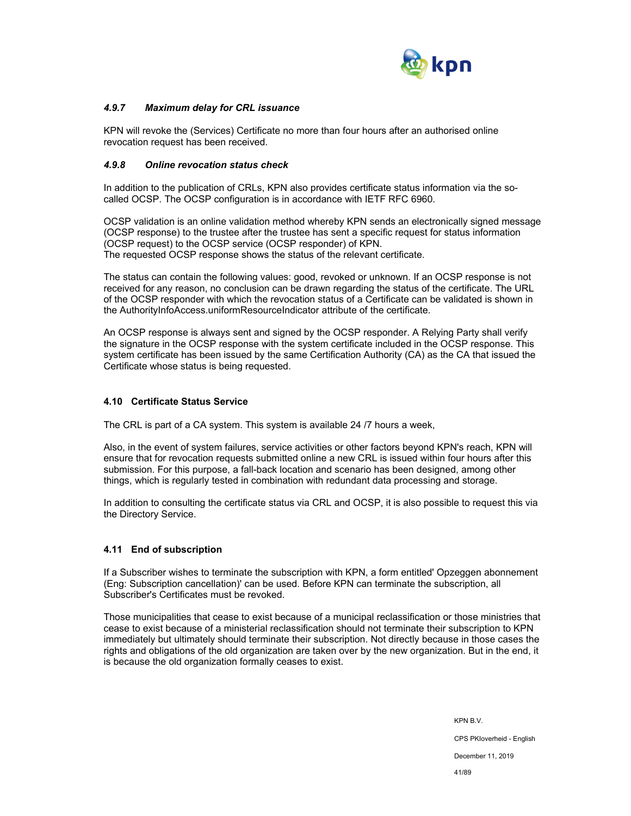

### *4.9.7 Maximum delay for CRL issuance*

KPN will revoke the (Services) Certificate no more than four hours after an authorised online revocation request has been received.

### *4.9.8 Online revocation status check*

In addition to the publication of CRLs, KPN also provides certificate status information via the socalled OCSP. The OCSP configuration is in accordance with IETF RFC 6960.

OCSP validation is an online validation method whereby KPN sends an electronically signed message (OCSP response) to the trustee after the trustee has sent a specific request for status information (OCSP request) to the OCSP service (OCSP responder) of KPN. The requested OCSP response shows the status of the relevant certificate.

The status can contain the following values: good, revoked or unknown. If an OCSP response is not received for any reason, no conclusion can be drawn regarding the status of the certificate. The URL of the OCSP responder with which the revocation status of a Certificate can be validated is shown in the AuthorityInfoAccess.uniformResourceIndicator attribute of the certificate.

An OCSP response is always sent and signed by the OCSP responder. A Relying Party shall verify the signature in the OCSP response with the system certificate included in the OCSP response. This system certificate has been issued by the same Certification Authority (CA) as the CA that issued the Certificate whose status is being requested.

### **4.10 Certificate Status Service**

The CRL is part of a CA system. This system is available 24 /7 hours a week,

Also, in the event of system failures, service activities or other factors beyond KPN's reach, KPN will ensure that for revocation requests submitted online a new CRL is issued within four hours after this submission. For this purpose, a fall-back location and scenario has been designed, among other things, which is regularly tested in combination with redundant data processing and storage.

In addition to consulting the certificate status via CRL and OCSP, it is also possible to request this via the Directory Service.

### **4.11 End of subscription**

If a Subscriber wishes to terminate the subscription with KPN, a form entitled' Opzeggen abonnement (Eng: Subscription cancellation)' can be used. Before KPN can terminate the subscription, all Subscriber's Certificates must be revoked.

Those municipalities that cease to exist because of a municipal reclassification or those ministries that cease to exist because of a ministerial reclassification should not terminate their subscription to KPN immediately but ultimately should terminate their subscription. Not directly because in those cases the rights and obligations of the old organization are taken over by the new organization. But in the end, it is because the old organization formally ceases to exist.

> KPN B.V. CPS PKIoverheid - English December 11, 2019 41/89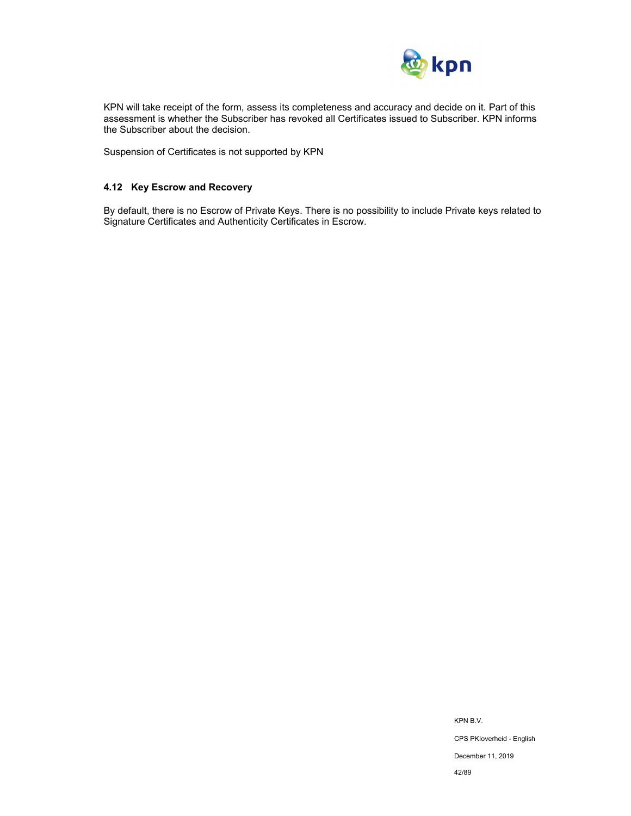

KPN will take receipt of the form, assess its completeness and accuracy and decide on it. Part of this assessment is whether the Subscriber has revoked all Certificates issued to Subscriber. KPN informs the Subscriber about the decision.

Suspension of Certificates is not supported by KPN

## **4.12 Key Escrow and Recovery**

By default, there is no Escrow of Private Keys. There is no possibility to include Private keys related to Signature Certificates and Authenticity Certificates in Escrow.

> KPN B.V. CPS PKIoverheid - English December 11, 2019 42/89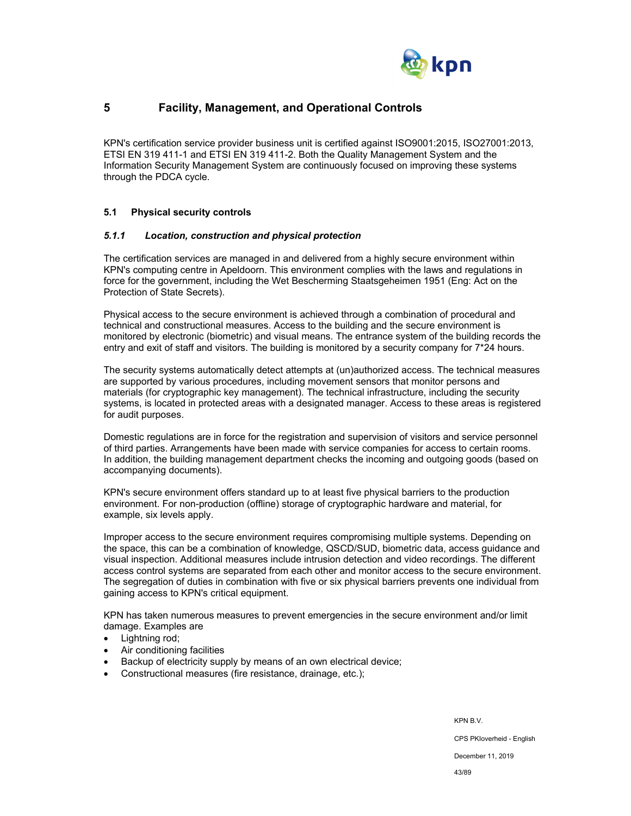

# **5 Facility, Management, and Operational Controls**

KPN's certification service provider business unit is certified against ISO9001:2015, ISO27001:2013, ETSI EN 319 411-1 and ETSI EN 319 411-2. Both the Quality Management System and the Information Security Management System are continuously focused on improving these systems through the PDCA cycle.

### **5.1 Physical security controls**

### *5.1.1 Location, construction and physical protection*

The certification services are managed in and delivered from a highly secure environment within KPN's computing centre in Apeldoorn. This environment complies with the laws and regulations in force for the government, including the Wet Bescherming Staatsgeheimen 1951 (Eng: Act on the Protection of State Secrets).

Physical access to the secure environment is achieved through a combination of procedural and technical and constructional measures. Access to the building and the secure environment is monitored by electronic (biometric) and visual means. The entrance system of the building records the entry and exit of staff and visitors. The building is monitored by a security company for 7\*24 hours.

The security systems automatically detect attempts at (un)authorized access. The technical measures are supported by various procedures, including movement sensors that monitor persons and materials (for cryptographic key management). The technical infrastructure, including the security systems, is located in protected areas with a designated manager. Access to these areas is registered for audit purposes.

Domestic regulations are in force for the registration and supervision of visitors and service personnel of third parties. Arrangements have been made with service companies for access to certain rooms. In addition, the building management department checks the incoming and outgoing goods (based on accompanying documents).

KPN's secure environment offers standard up to at least five physical barriers to the production environment. For non-production (offline) storage of cryptographic hardware and material, for example, six levels apply.

Improper access to the secure environment requires compromising multiple systems. Depending on the space, this can be a combination of knowledge, QSCD/SUD, biometric data, access guidance and visual inspection. Additional measures include intrusion detection and video recordings. The different access control systems are separated from each other and monitor access to the secure environment. The segregation of duties in combination with five or six physical barriers prevents one individual from gaining access to KPN's critical equipment.

KPN has taken numerous measures to prevent emergencies in the secure environment and/or limit damage. Examples are

- Lightning rod;
- Air conditioning facilities
- Backup of electricity supply by means of an own electrical device;
- Constructional measures (fire resistance, drainage, etc.);

KPN B.V.

CPS PKIoverheid - English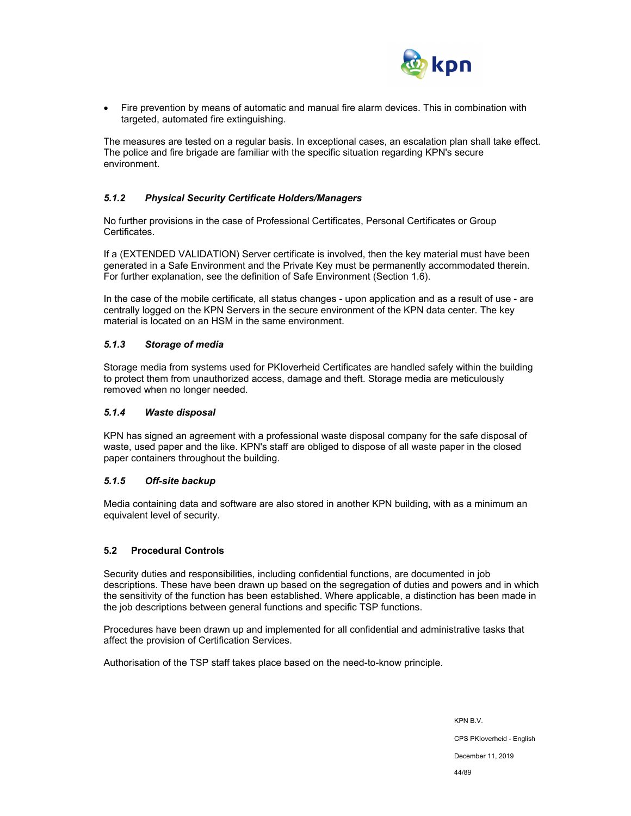

 Fire prevention by means of automatic and manual fire alarm devices. This in combination with targeted, automated fire extinguishing.

The measures are tested on a regular basis. In exceptional cases, an escalation plan shall take effect. The police and fire brigade are familiar with the specific situation regarding KPN's secure environment.

## *5.1.2 Physical Security Certificate Holders/Managers*

No further provisions in the case of Professional Certificates, Personal Certificates or Group Certificates.

If a (EXTENDED VALIDATION) Server certificate is involved, then the key material must have been generated in a Safe Environment and the Private Key must be permanently accommodated therein. For further explanation, see the definition of Safe Environment (Section 1.6).

In the case of the mobile certificate, all status changes - upon application and as a result of use - are centrally logged on the KPN Servers in the secure environment of the KPN data center. The key material is located on an HSM in the same environment.

### *5.1.3 Storage of media*

Storage media from systems used for PKIoverheid Certificates are handled safely within the building to protect them from unauthorized access, damage and theft. Storage media are meticulously removed when no longer needed.

### *5.1.4 Waste disposal*

KPN has signed an agreement with a professional waste disposal company for the safe disposal of waste, used paper and the like. KPN's staff are obliged to dispose of all waste paper in the closed paper containers throughout the building.

## *5.1.5 Off-site backup*

Media containing data and software are also stored in another KPN building, with as a minimum an equivalent level of security.

## **5.2 Procedural Controls**

Security duties and responsibilities, including confidential functions, are documented in job descriptions. These have been drawn up based on the segregation of duties and powers and in which the sensitivity of the function has been established. Where applicable, a distinction has been made in the job descriptions between general functions and specific TSP functions.

Procedures have been drawn up and implemented for all confidential and administrative tasks that affect the provision of Certification Services.

Authorisation of the TSP staff takes place based on the need-to-know principle.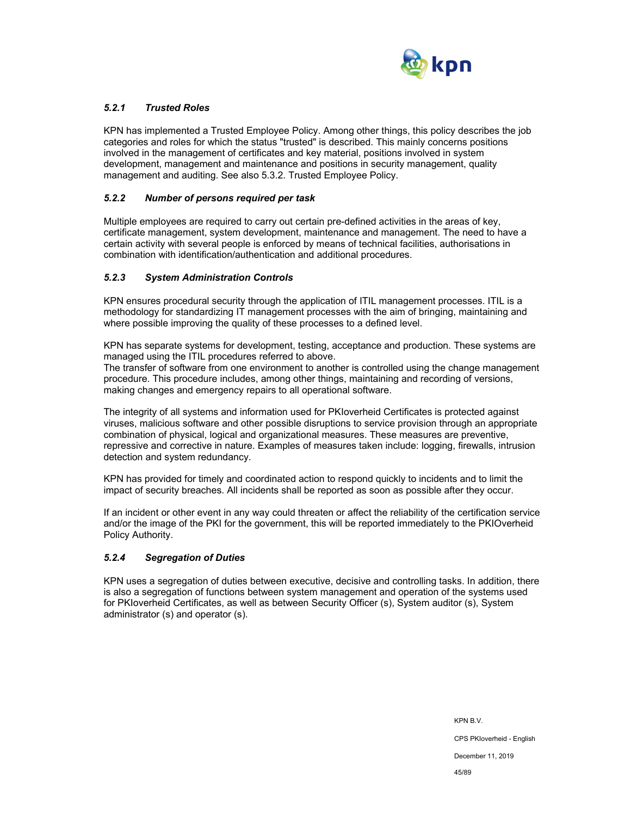

## *5.2.1 Trusted Roles*

KPN has implemented a Trusted Employee Policy. Among other things, this policy describes the job categories and roles for which the status "trusted" is described. This mainly concerns positions involved in the management of certificates and key material, positions involved in system development, management and maintenance and positions in security management, quality management and auditing. See also 5.3.2. Trusted Employee Policy.

### *5.2.2 Number of persons required per task*

Multiple employees are required to carry out certain pre-defined activities in the areas of key, certificate management, system development, maintenance and management. The need to have a certain activity with several people is enforced by means of technical facilities, authorisations in combination with identification/authentication and additional procedures.

### *5.2.3 System Administration Controls*

KPN ensures procedural security through the application of ITIL management processes. ITIL is a methodology for standardizing IT management processes with the aim of bringing, maintaining and where possible improving the quality of these processes to a defined level.

KPN has separate systems for development, testing, acceptance and production. These systems are managed using the ITIL procedures referred to above.

The transfer of software from one environment to another is controlled using the change management procedure. This procedure includes, among other things, maintaining and recording of versions, making changes and emergency repairs to all operational software.

The integrity of all systems and information used for PKIoverheid Certificates is protected against viruses, malicious software and other possible disruptions to service provision through an appropriate combination of physical, logical and organizational measures. These measures are preventive, repressive and corrective in nature. Examples of measures taken include: logging, firewalls, intrusion detection and system redundancy.

KPN has provided for timely and coordinated action to respond quickly to incidents and to limit the impact of security breaches. All incidents shall be reported as soon as possible after they occur.

If an incident or other event in any way could threaten or affect the reliability of the certification service and/or the image of the PKI for the government, this will be reported immediately to the PKIOverheid Policy Authority.

### *5.2.4 Segregation of Duties*

KPN uses a segregation of duties between executive, decisive and controlling tasks. In addition, there is also a segregation of functions between system management and operation of the systems used for PKIoverheid Certificates, as well as between Security Officer (s), System auditor (s), System administrator (s) and operator (s).

> KPN B.V. CPS PKIoverheid - English December 11, 2019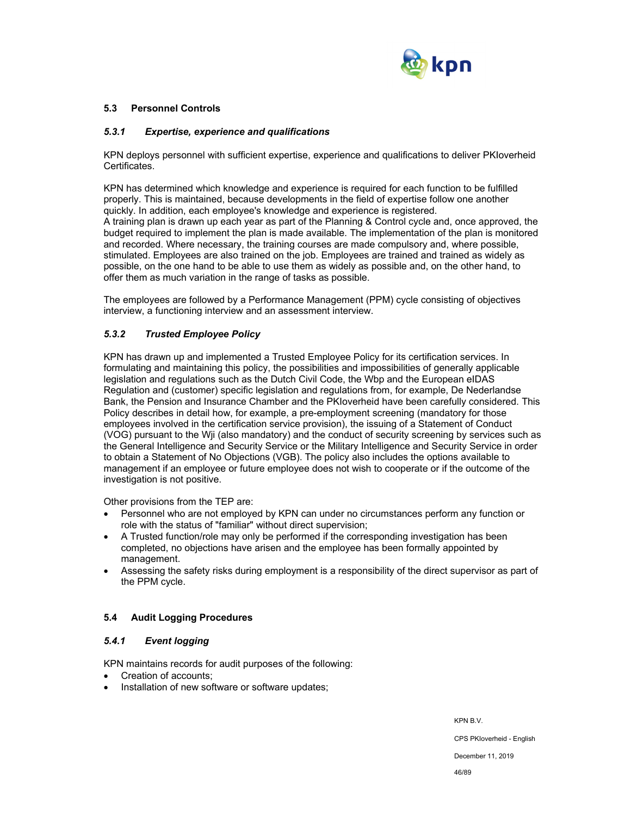

### **5.3 Personnel Controls**

### *5.3.1 Expertise, experience and qualifications*

KPN deploys personnel with sufficient expertise, experience and qualifications to deliver PKIoverheid Certificates.

KPN has determined which knowledge and experience is required for each function to be fulfilled properly. This is maintained, because developments in the field of expertise follow one another quickly. In addition, each employee's knowledge and experience is registered. A training plan is drawn up each year as part of the Planning & Control cycle and, once approved, the budget required to implement the plan is made available. The implementation of the plan is monitored and recorded. Where necessary, the training courses are made compulsory and, where possible, stimulated. Employees are also trained on the job. Employees are trained and trained as widely as possible, on the one hand to be able to use them as widely as possible and, on the other hand, to offer them as much variation in the range of tasks as possible.

The employees are followed by a Performance Management (PPM) cycle consisting of objectives interview, a functioning interview and an assessment interview.

## *5.3.2 Trusted Employee Policy*

KPN has drawn up and implemented a Trusted Employee Policy for its certification services. In formulating and maintaining this policy, the possibilities and impossibilities of generally applicable legislation and regulations such as the Dutch Civil Code, the Wbp and the European eIDAS Regulation and (customer) specific legislation and regulations from, for example, De Nederlandse Bank, the Pension and Insurance Chamber and the PKIoverheid have been carefully considered. This Policy describes in detail how, for example, a pre-employment screening (mandatory for those employees involved in the certification service provision), the issuing of a Statement of Conduct (VOG) pursuant to the Wji (also mandatory) and the conduct of security screening by services such as the General Intelligence and Security Service or the Military Intelligence and Security Service in order to obtain a Statement of No Objections (VGB). The policy also includes the options available to management if an employee or future employee does not wish to cooperate or if the outcome of the investigation is not positive.

Other provisions from the TEP are:

- Personnel who are not employed by KPN can under no circumstances perform any function or role with the status of "familiar" without direct supervision;
- A Trusted function/role may only be performed if the corresponding investigation has been completed, no objections have arisen and the employee has been formally appointed by management.
- Assessing the safety risks during employment is a responsibility of the direct supervisor as part of the PPM cycle.

## **5.4 Audit Logging Procedures**

## *5.4.1 Event logging*

KPN maintains records for audit purposes of the following:

- Creation of accounts;
- Installation of new software or software updates;

KPN B.V.

CPS PKIoverheid - English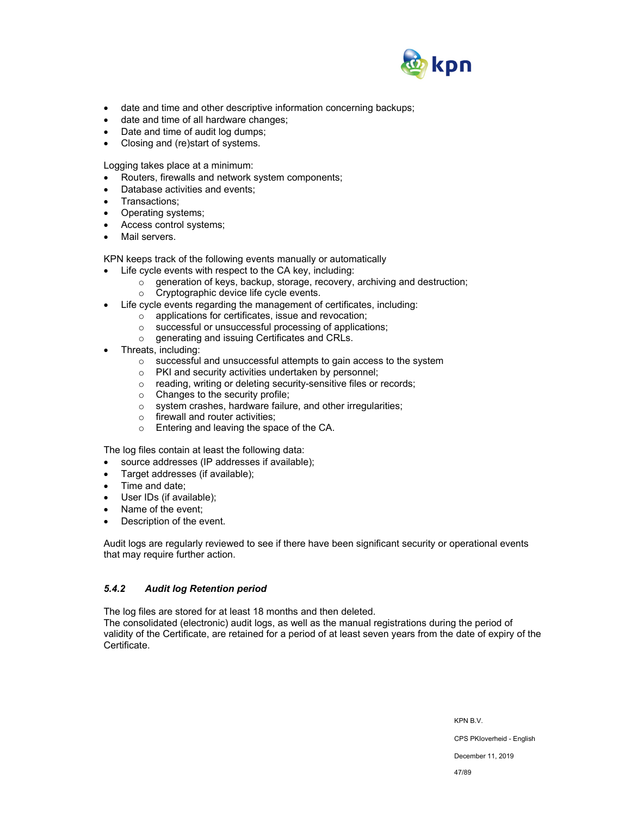

- date and time and other descriptive information concerning backups;
- date and time of all hardware changes;
- Date and time of audit log dumps;
- Closing and (re)start of systems.

Logging takes place at a minimum:

- Routers, firewalls and network system components;
- Database activities and events;
- Transactions;
- Operating systems;
- Access control systems;
- Mail servers.

KPN keeps track of the following events manually or automatically

- Life cycle events with respect to the CA key, including:
	- o generation of keys, backup, storage, recovery, archiving and destruction;
	- o Cryptographic device life cycle events.
- Life cycle events regarding the management of certificates, including:
	- o applications for certificates, issue and revocation;
		- o successful or unsuccessful processing of applications;
		- o generating and issuing Certificates and CRLs.
- Threats, including:
	- o successful and unsuccessful attempts to gain access to the system
	- o PKI and security activities undertaken by personnel;
	- o reading, writing or deleting security-sensitive files or records;
	- $\circ$  Changes to the security profile;
	- o system crashes, hardware failure, and other irregularities;
	- o firewall and router activities;
	- o Entering and leaving the space of the CA.

The log files contain at least the following data:

- source addresses (IP addresses if available);
- Target addresses (if available);
- Time and date;
- User IDs (if available);
- Name of the event;
- Description of the event.

Audit logs are regularly reviewed to see if there have been significant security or operational events that may require further action.

## *5.4.2 Audit log Retention period*

The log files are stored for at least 18 months and then deleted.

The consolidated (electronic) audit logs, as well as the manual registrations during the period of validity of the Certificate, are retained for a period of at least seven years from the date of expiry of the Certificate.

KPN B.V.

CPS PKIoverheid - English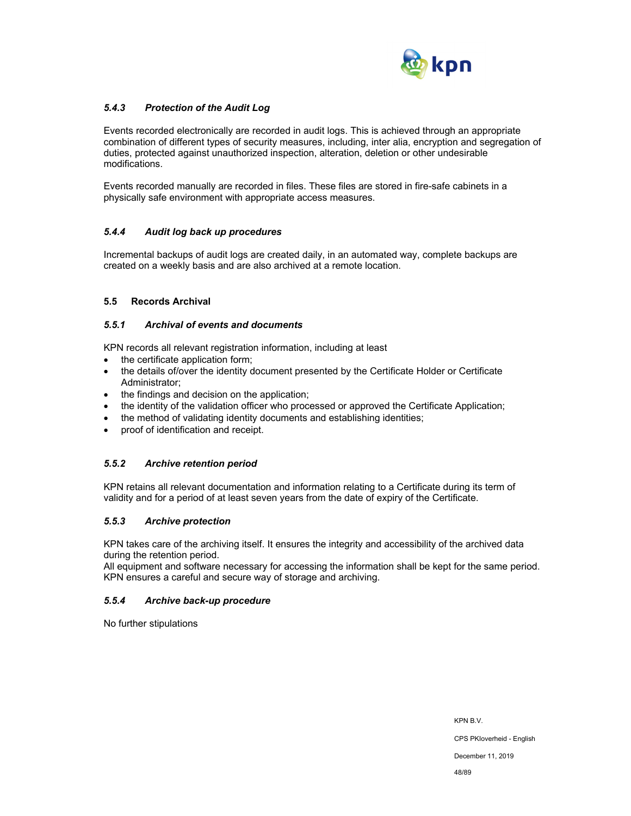

## *5.4.3 Protection of the Audit Log*

Events recorded electronically are recorded in audit logs. This is achieved through an appropriate combination of different types of security measures, including, inter alia, encryption and segregation of duties, protected against unauthorized inspection, alteration, deletion or other undesirable modifications.

Events recorded manually are recorded in files. These files are stored in fire-safe cabinets in a physically safe environment with appropriate access measures.

## *5.4.4 Audit log back up procedures*

Incremental backups of audit logs are created daily, in an automated way, complete backups are created on a weekly basis and are also archived at a remote location.

### **5.5 Records Archival**

### *5.5.1 Archival of events and documents*

KPN records all relevant registration information, including at least

- the certificate application form:
- the details of/over the identity document presented by the Certificate Holder or Certificate Administrator;
- the findings and decision on the application;
- the identity of the validation officer who processed or approved the Certificate Application;
- the method of validating identity documents and establishing identities;
- proof of identification and receipt.

## *5.5.2 Archive retention period*

KPN retains all relevant documentation and information relating to a Certificate during its term of validity and for a period of at least seven years from the date of expiry of the Certificate.

## *5.5.3 Archive protection*

KPN takes care of the archiving itself. It ensures the integrity and accessibility of the archived data during the retention period.

All equipment and software necessary for accessing the information shall be kept for the same period. KPN ensures a careful and secure way of storage and archiving.

## *5.5.4 Archive back-up procedure*

No further stipulations

KPN B.V.

CPS PKIoverheid - English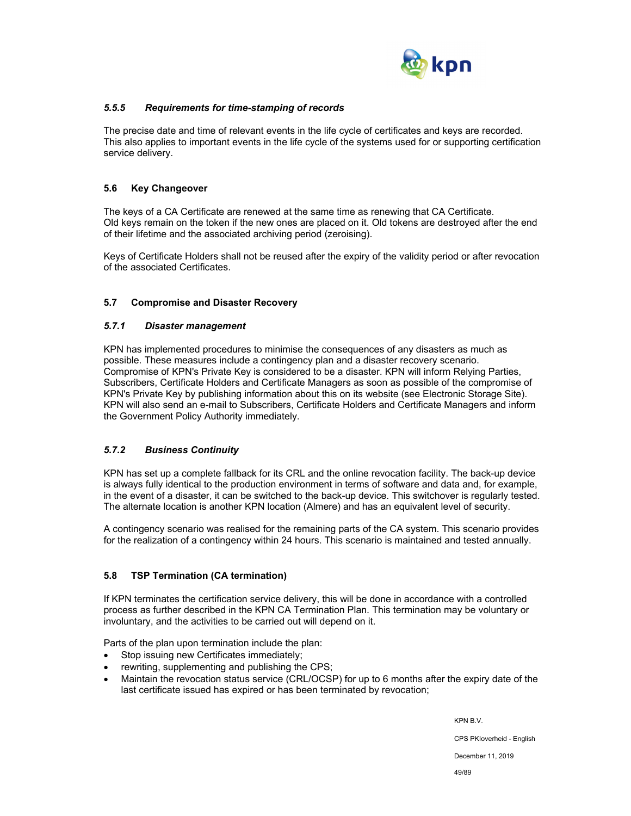

## *5.5.5 Requirements for time-stamping of records*

The precise date and time of relevant events in the life cycle of certificates and keys are recorded. This also applies to important events in the life cycle of the systems used for or supporting certification service delivery.

## **5.6 Key Changeover**

The keys of a CA Certificate are renewed at the same time as renewing that CA Certificate. Old keys remain on the token if the new ones are placed on it. Old tokens are destroyed after the end of their lifetime and the associated archiving period (zeroising).

Keys of Certificate Holders shall not be reused after the expiry of the validity period or after revocation of the associated Certificates.

## **5.7 Compromise and Disaster Recovery**

## *5.7.1 Disaster management*

KPN has implemented procedures to minimise the consequences of any disasters as much as possible. These measures include a contingency plan and a disaster recovery scenario. Compromise of KPN's Private Key is considered to be a disaster. KPN will inform Relying Parties, Subscribers, Certificate Holders and Certificate Managers as soon as possible of the compromise of KPN's Private Key by publishing information about this on its website (see Electronic Storage Site). KPN will also send an e-mail to Subscribers, Certificate Holders and Certificate Managers and inform the Government Policy Authority immediately.

## *5.7.2 Business Continuity*

KPN has set up a complete fallback for its CRL and the online revocation facility. The back-up device is always fully identical to the production environment in terms of software and data and, for example, in the event of a disaster, it can be switched to the back-up device. This switchover is regularly tested. The alternate location is another KPN location (Almere) and has an equivalent level of security.

A contingency scenario was realised for the remaining parts of the CA system. This scenario provides for the realization of a contingency within 24 hours. This scenario is maintained and tested annually.

## **5.8 TSP Termination (CA termination)**

If KPN terminates the certification service delivery, this will be done in accordance with a controlled process as further described in the KPN CA Termination Plan. This termination may be voluntary or involuntary, and the activities to be carried out will depend on it.

Parts of the plan upon termination include the plan:

- Stop issuing new Certificates immediately;
- rewriting, supplementing and publishing the CPS;
- Maintain the revocation status service (CRL/OCSP) for up to 6 months after the expiry date of the last certificate issued has expired or has been terminated by revocation;

KPN B.V.

CPS PKIoverheid - English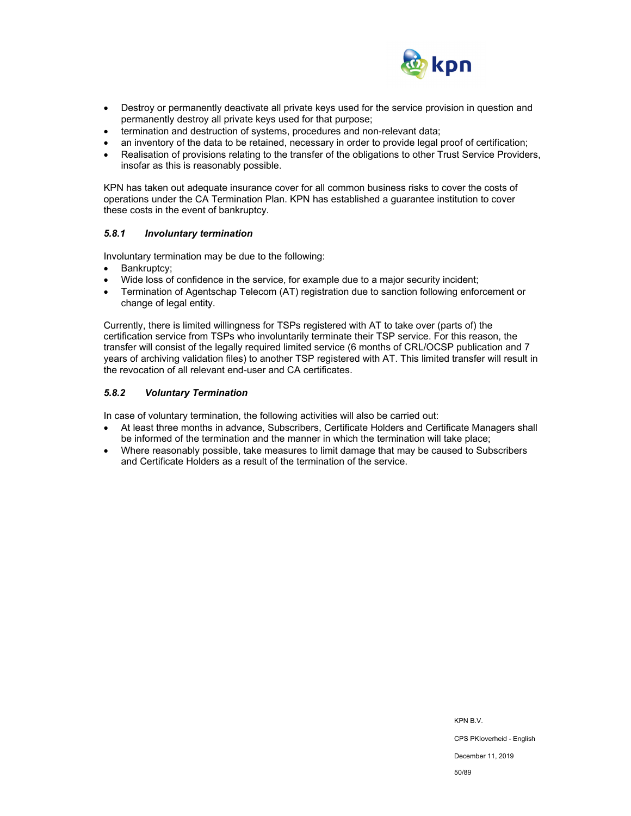

- Destroy or permanently deactivate all private keys used for the service provision in question and permanently destroy all private keys used for that purpose;
- termination and destruction of systems, procedures and non-relevant data;
- an inventory of the data to be retained, necessary in order to provide legal proof of certification;
- Realisation of provisions relating to the transfer of the obligations to other Trust Service Providers, insofar as this is reasonably possible.

KPN has taken out adequate insurance cover for all common business risks to cover the costs of operations under the CA Termination Plan. KPN has established a guarantee institution to cover these costs in the event of bankruptcy.

### *5.8.1 Involuntary termination*

Involuntary termination may be due to the following:

- Bankruptcy;
- Wide loss of confidence in the service, for example due to a major security incident;
- Termination of Agentschap Telecom (AT) registration due to sanction following enforcement or change of legal entity.

Currently, there is limited willingness for TSPs registered with AT to take over (parts of) the certification service from TSPs who involuntarily terminate their TSP service. For this reason, the transfer will consist of the legally required limited service (6 months of CRL/OCSP publication and 7 years of archiving validation files) to another TSP registered with AT. This limited transfer will result in the revocation of all relevant end-user and CA certificates.

### *5.8.2 Voluntary Termination*

In case of voluntary termination, the following activities will also be carried out:

- At least three months in advance, Subscribers, Certificate Holders and Certificate Managers shall be informed of the termination and the manner in which the termination will take place;
- Where reasonably possible, take measures to limit damage that may be caused to Subscribers and Certificate Holders as a result of the termination of the service.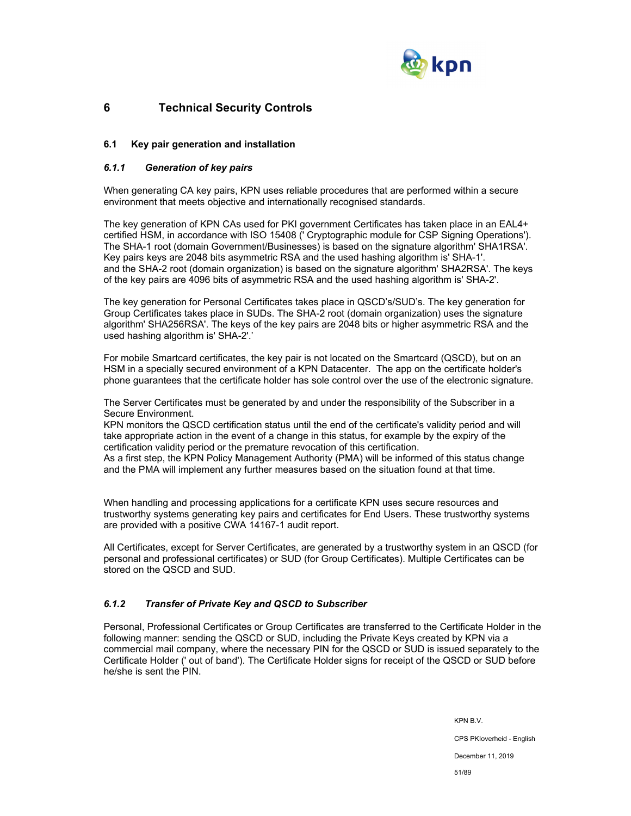

# **6 Technical Security Controls**

## **6.1 Key pair generation and installation**

## *6.1.1 Generation of key pairs*

When generating CA key pairs, KPN uses reliable procedures that are performed within a secure environment that meets objective and internationally recognised standards.

The key generation of KPN CAs used for PKI government Certificates has taken place in an EAL4+ certified HSM, in accordance with ISO 15408 (' Cryptographic module for CSP Signing Operations'). The SHA-1 root (domain Government/Businesses) is based on the signature algorithm' SHA1RSA'. Key pairs keys are 2048 bits asymmetric RSA and the used hashing algorithm is' SHA-1'. and the SHA-2 root (domain organization) is based on the signature algorithm' SHA2RSA'. The keys of the key pairs are 4096 bits of asymmetric RSA and the used hashing algorithm is' SHA-2'.

The key generation for Personal Certificates takes place in QSCD's/SUD's. The key generation for Group Certificates takes place in SUDs. The SHA-2 root (domain organization) uses the signature algorithm' SHA256RSA'. The keys of the key pairs are 2048 bits or higher asymmetric RSA and the used hashing algorithm is' SHA-2'.'

For mobile Smartcard certificates, the key pair is not located on the Smartcard (QSCD), but on an HSM in a specially secured environment of a KPN Datacenter. The app on the certificate holder's phone guarantees that the certificate holder has sole control over the use of the electronic signature.

The Server Certificates must be generated by and under the responsibility of the Subscriber in a Secure Environment.

KPN monitors the QSCD certification status until the end of the certificate's validity period and will take appropriate action in the event of a change in this status, for example by the expiry of the certification validity period or the premature revocation of this certification.

As a first step, the KPN Policy Management Authority (PMA) will be informed of this status change and the PMA will implement any further measures based on the situation found at that time.

When handling and processing applications for a certificate KPN uses secure resources and trustworthy systems generating key pairs and certificates for End Users. These trustworthy systems are provided with a positive CWA 14167-1 audit report.

All Certificates, except for Server Certificates, are generated by a trustworthy system in an QSCD (for personal and professional certificates) or SUD (for Group Certificates). Multiple Certificates can be stored on the QSCD and SUD.

## *6.1.2 Transfer of Private Key and QSCD to Subscriber*

Personal, Professional Certificates or Group Certificates are transferred to the Certificate Holder in the following manner: sending the QSCD or SUD, including the Private Keys created by KPN via a commercial mail company, where the necessary PIN for the QSCD or SUD is issued separately to the Certificate Holder (' out of band'). The Certificate Holder signs for receipt of the QSCD or SUD before he/she is sent the PIN.

> KPN B.V. CPS PKIoverheid - English December 11, 2019 51/89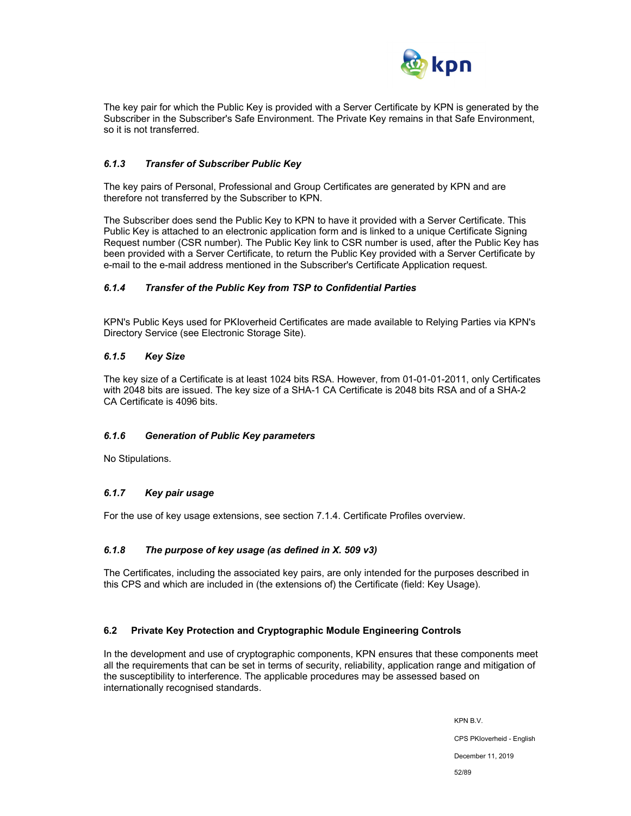

The key pair for which the Public Key is provided with a Server Certificate by KPN is generated by the Subscriber in the Subscriber's Safe Environment. The Private Key remains in that Safe Environment, so it is not transferred.

## *6.1.3 Transfer of Subscriber Public Key*

The key pairs of Personal, Professional and Group Certificates are generated by KPN and are therefore not transferred by the Subscriber to KPN.

The Subscriber does send the Public Key to KPN to have it provided with a Server Certificate. This Public Key is attached to an electronic application form and is linked to a unique Certificate Signing Request number (CSR number). The Public Key link to CSR number is used, after the Public Key has been provided with a Server Certificate, to return the Public Key provided with a Server Certificate by e-mail to the e-mail address mentioned in the Subscriber's Certificate Application request.

## *6.1.4 Transfer of the Public Key from TSP to Confidential Parties*

KPN's Public Keys used for PKIoverheid Certificates are made available to Relying Parties via KPN's Directory Service (see Electronic Storage Site).

### *6.1.5 Key Size*

The key size of a Certificate is at least 1024 bits RSA. However, from 01-01-01-2011, only Certificates with 2048 bits are issued. The key size of a SHA-1 CA Certificate is 2048 bits RSA and of a SHA-2 CA Certificate is 4096 bits.

### *6.1.6 Generation of Public Key parameters*

No Stipulations.

### *6.1.7 Key pair usage*

For the use of key usage extensions, see section 7.1.4. Certificate Profiles overview.

### *6.1.8 The purpose of key usage (as defined in X. 509 v3)*

The Certificates, including the associated key pairs, are only intended for the purposes described in this CPS and which are included in (the extensions of) the Certificate (field: Key Usage).

### **6.2 Private Key Protection and Cryptographic Module Engineering Controls**

In the development and use of cryptographic components, KPN ensures that these components meet all the requirements that can be set in terms of security, reliability, application range and mitigation of the susceptibility to interference. The applicable procedures may be assessed based on internationally recognised standards.

> KPN B.V. CPS PKIoverheid - English December 11, 2019 52/89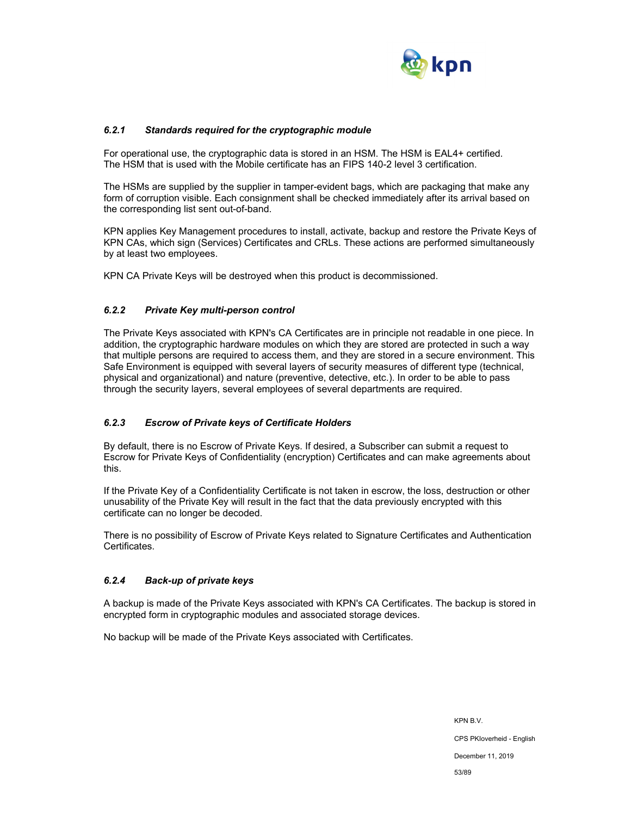

## *6.2.1 Standards required for the cryptographic module*

For operational use, the cryptographic data is stored in an HSM. The HSM is EAL4+ certified. The HSM that is used with the Mobile certificate has an FIPS 140-2 level 3 certification.

The HSMs are supplied by the supplier in tamper-evident bags, which are packaging that make any form of corruption visible. Each consignment shall be checked immediately after its arrival based on the corresponding list sent out-of-band.

KPN applies Key Management procedures to install, activate, backup and restore the Private Keys of KPN CAs, which sign (Services) Certificates and CRLs. These actions are performed simultaneously by at least two employees.

KPN CA Private Keys will be destroyed when this product is decommissioned.

### *6.2.2 Private Key multi-person control*

The Private Keys associated with KPN's CA Certificates are in principle not readable in one piece. In addition, the cryptographic hardware modules on which they are stored are protected in such a way that multiple persons are required to access them, and they are stored in a secure environment. This Safe Environment is equipped with several layers of security measures of different type (technical, physical and organizational) and nature (preventive, detective, etc.). In order to be able to pass through the security layers, several employees of several departments are required.

### *6.2.3 Escrow of Private keys of Certificate Holders*

By default, there is no Escrow of Private Keys. If desired, a Subscriber can submit a request to Escrow for Private Keys of Confidentiality (encryption) Certificates and can make agreements about this.

If the Private Key of a Confidentiality Certificate is not taken in escrow, the loss, destruction or other unusability of the Private Key will result in the fact that the data previously encrypted with this certificate can no longer be decoded.

There is no possibility of Escrow of Private Keys related to Signature Certificates and Authentication Certificates.

### *6.2.4 Back-up of private keys*

A backup is made of the Private Keys associated with KPN's CA Certificates. The backup is stored in encrypted form in cryptographic modules and associated storage devices.

No backup will be made of the Private Keys associated with Certificates.

KPN B.V. CPS PKIoverheid - English December 11, 2019 53/89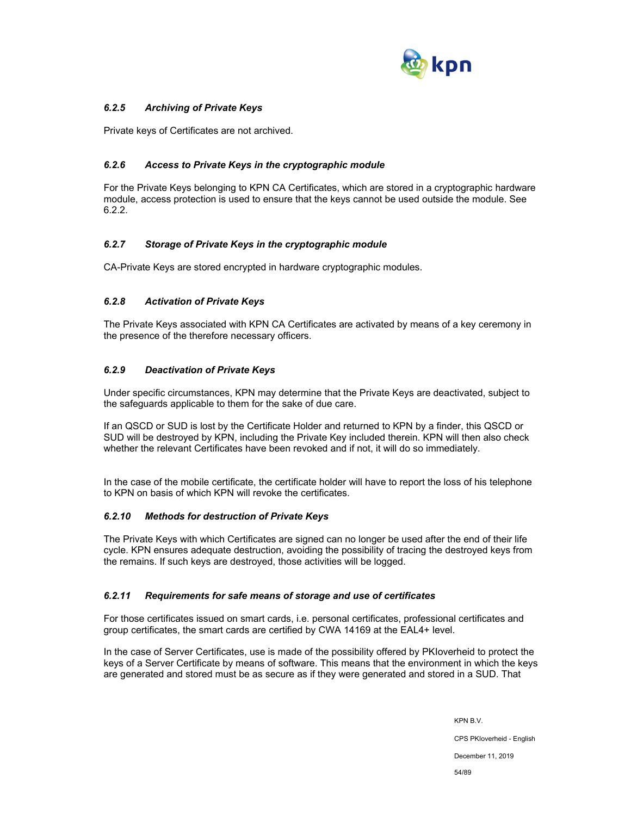

## *6.2.5 Archiving of Private Keys*

Private keys of Certificates are not archived.

## *6.2.6 Access to Private Keys in the cryptographic module*

For the Private Keys belonging to KPN CA Certificates, which are stored in a cryptographic hardware module, access protection is used to ensure that the keys cannot be used outside the module. See 6.2.2.

## *6.2.7 Storage of Private Keys in the cryptographic module*

CA-Private Keys are stored encrypted in hardware cryptographic modules.

## *6.2.8 Activation of Private Keys*

The Private Keys associated with KPN CA Certificates are activated by means of a key ceremony in the presence of the therefore necessary officers.

## *6.2.9 Deactivation of Private Keys*

Under specific circumstances, KPN may determine that the Private Keys are deactivated, subject to the safeguards applicable to them for the sake of due care.

If an QSCD or SUD is lost by the Certificate Holder and returned to KPN by a finder, this QSCD or SUD will be destroyed by KPN, including the Private Key included therein. KPN will then also check whether the relevant Certificates have been revoked and if not, it will do so immediately.

In the case of the mobile certificate, the certificate holder will have to report the loss of his telephone to KPN on basis of which KPN will revoke the certificates.

## *6.2.10 Methods for destruction of Private Keys*

The Private Keys with which Certificates are signed can no longer be used after the end of their life cycle. KPN ensures adequate destruction, avoiding the possibility of tracing the destroyed keys from the remains. If such keys are destroyed, those activities will be logged.

## *6.2.11 Requirements for safe means of storage and use of certificates*

For those certificates issued on smart cards, i.e. personal certificates, professional certificates and group certificates, the smart cards are certified by CWA 14169 at the EAL4+ level.

In the case of Server Certificates, use is made of the possibility offered by PKIoverheid to protect the keys of a Server Certificate by means of software. This means that the environment in which the keys are generated and stored must be as secure as if they were generated and stored in a SUD. That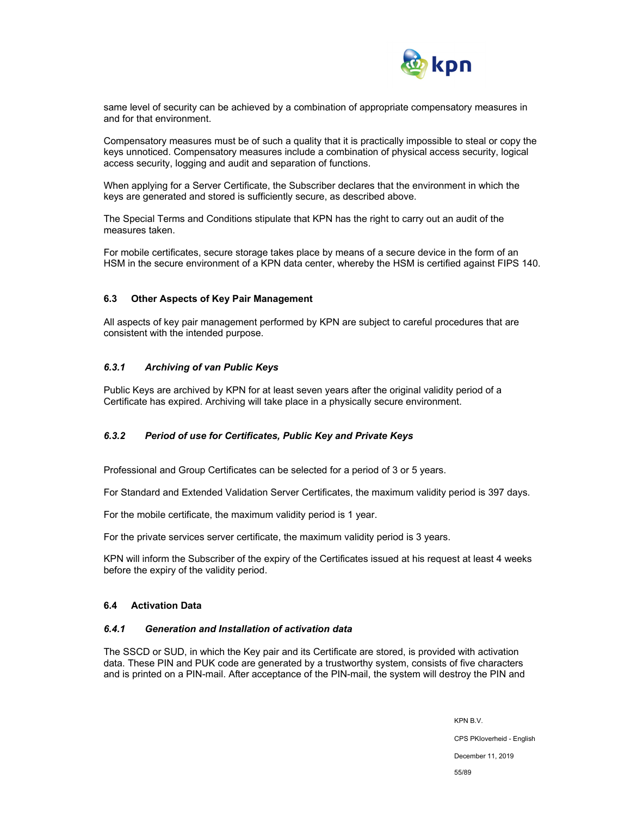

same level of security can be achieved by a combination of appropriate compensatory measures in and for that environment.

Compensatory measures must be of such a quality that it is practically impossible to steal or copy the keys unnoticed. Compensatory measures include a combination of physical access security, logical access security, logging and audit and separation of functions.

When applying for a Server Certificate, the Subscriber declares that the environment in which the keys are generated and stored is sufficiently secure, as described above.

The Special Terms and Conditions stipulate that KPN has the right to carry out an audit of the measures taken.

For mobile certificates, secure storage takes place by means of a secure device in the form of an HSM in the secure environment of a KPN data center, whereby the HSM is certified against FIPS 140.

### **6.3 Other Aspects of Key Pair Management**

All aspects of key pair management performed by KPN are subject to careful procedures that are consistent with the intended purpose.

### *6.3.1 Archiving of van Public Keys*

Public Keys are archived by KPN for at least seven years after the original validity period of a Certificate has expired. Archiving will take place in a physically secure environment.

## *6.3.2 Period of use for Certificates, Public Key and Private Keys*

Professional and Group Certificates can be selected for a period of 3 or 5 years.

For Standard and Extended Validation Server Certificates, the maximum validity period is 397 days.

For the mobile certificate, the maximum validity period is 1 year.

For the private services server certificate, the maximum validity period is 3 years.

KPN will inform the Subscriber of the expiry of the Certificates issued at his request at least 4 weeks before the expiry of the validity period.

### **6.4 Activation Data**

### *6.4.1 Generation and Installation of activation data*

The SSCD or SUD, in which the Key pair and its Certificate are stored, is provided with activation data. These PIN and PUK code are generated by a trustworthy system, consists of five characters and is printed on a PIN-mail. After acceptance of the PIN-mail, the system will destroy the PIN and

CPS PKIoverheid - English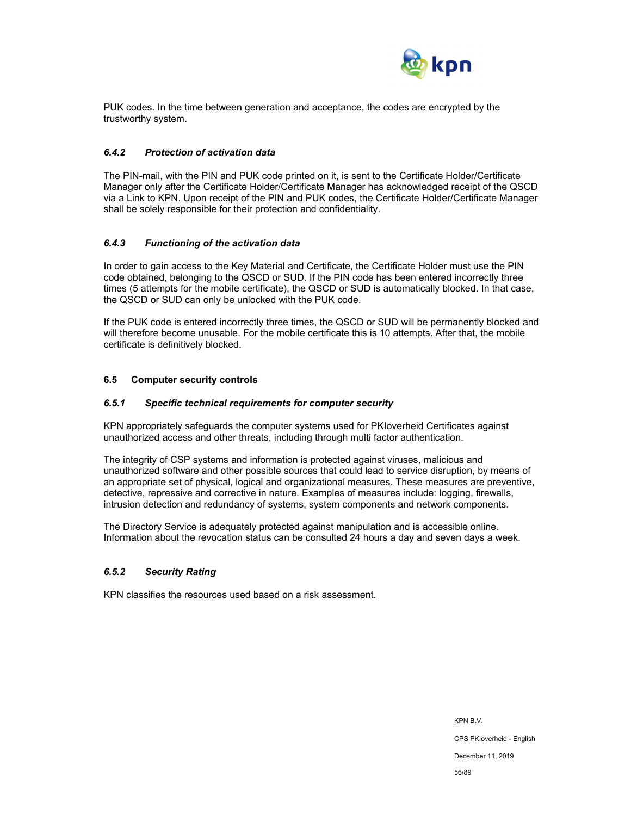

PUK codes. In the time between generation and acceptance, the codes are encrypted by the trustworthy system.

### *6.4.2 Protection of activation data*

The PIN-mail, with the PIN and PUK code printed on it, is sent to the Certificate Holder/Certificate Manager only after the Certificate Holder/Certificate Manager has acknowledged receipt of the QSCD via a Link to KPN. Upon receipt of the PIN and PUK codes, the Certificate Holder/Certificate Manager shall be solely responsible for their protection and confidentiality.

### *6.4.3 Functioning of the activation data*

In order to gain access to the Key Material and Certificate, the Certificate Holder must use the PIN code obtained, belonging to the QSCD or SUD. If the PIN code has been entered incorrectly three times (5 attempts for the mobile certificate), the QSCD or SUD is automatically blocked. In that case, the QSCD or SUD can only be unlocked with the PUK code.

If the PUK code is entered incorrectly three times, the QSCD or SUD will be permanently blocked and will therefore become unusable. For the mobile certificate this is 10 attempts. After that, the mobile certificate is definitively blocked.

### **6.5 Computer security controls**

### *6.5.1 Specific technical requirements for computer security*

KPN appropriately safeguards the computer systems used for PKIoverheid Certificates against unauthorized access and other threats, including through multi factor authentication.

The integrity of CSP systems and information is protected against viruses, malicious and unauthorized software and other possible sources that could lead to service disruption, by means of an appropriate set of physical, logical and organizational measures. These measures are preventive, detective, repressive and corrective in nature. Examples of measures include: logging, firewalls, intrusion detection and redundancy of systems, system components and network components.

The Directory Service is adequately protected against manipulation and is accessible online. Information about the revocation status can be consulted 24 hours a day and seven days a week.

### *6.5.2 Security Rating*

KPN classifies the resources used based on a risk assessment.

KPN B.V. CPS PKIoverheid - English December 11, 2019 56/89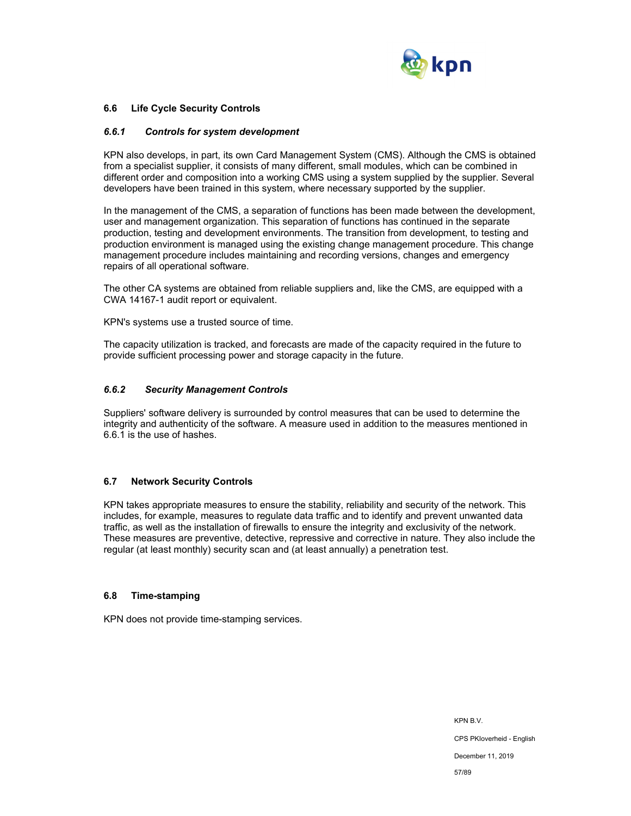

### **6.6 Life Cycle Security Controls**

### *6.6.1 Controls for system development*

KPN also develops, in part, its own Card Management System (CMS). Although the CMS is obtained from a specialist supplier, it consists of many different, small modules, which can be combined in different order and composition into a working CMS using a system supplied by the supplier. Several developers have been trained in this system, where necessary supported by the supplier.

In the management of the CMS, a separation of functions has been made between the development, user and management organization. This separation of functions has continued in the separate production, testing and development environments. The transition from development, to testing and production environment is managed using the existing change management procedure. This change management procedure includes maintaining and recording versions, changes and emergency repairs of all operational software.

The other CA systems are obtained from reliable suppliers and, like the CMS, are equipped with a CWA 14167-1 audit report or equivalent.

KPN's systems use a trusted source of time.

The capacity utilization is tracked, and forecasts are made of the capacity required in the future to provide sufficient processing power and storage capacity in the future.

#### *6.6.2 Security Management Controls*

Suppliers' software delivery is surrounded by control measures that can be used to determine the integrity and authenticity of the software. A measure used in addition to the measures mentioned in 6.6.1 is the use of hashes.

### **6.7 Network Security Controls**

KPN takes appropriate measures to ensure the stability, reliability and security of the network. This includes, for example, measures to regulate data traffic and to identify and prevent unwanted data traffic, as well as the installation of firewalls to ensure the integrity and exclusivity of the network. These measures are preventive, detective, repressive and corrective in nature. They also include the regular (at least monthly) security scan and (at least annually) a penetration test.

#### **6.8 Time-stamping**

KPN does not provide time-stamping services.

KPN B.V. CPS PKIoverheid - English December 11, 2019 57/89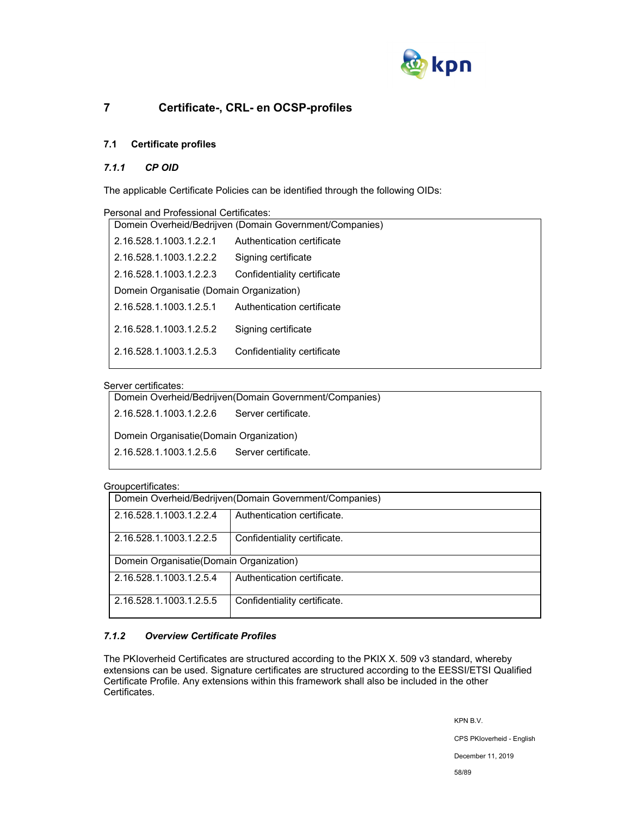

# **7 Certificate-, CRL- en OCSP-profiles**

# **7.1 Certificate profiles**

## *7.1.1 CP OID*

The applicable Certificate Policies can be identified through the following OIDs:

| Personal and Professional Certificates:                 |                             |  |
|---------------------------------------------------------|-----------------------------|--|
| Domein Overheid/Bedrijven (Domain Government/Companies) |                             |  |
| 2.16.528.1.1003.1.2.2.1                                 | Authentication certificate  |  |
| 2.16.528.1.1003.1.2.2.2                                 | Signing certificate         |  |
| 2.16.528.1.1003.1.2.2.3                                 | Confidentiality certificate |  |
| Domein Organisatie (Domain Organization)                |                             |  |
| 2.16.528.1.1003.1.2.5.1                                 | Authentication certificate  |  |
| 2.16.528.1.1003.1.2.5.2                                 | Signing certificate         |  |
| 2.16.528.1.1003.1.2.5.3                                 | Confidentiality certificate |  |

## Server certificates:

| Domein Overheid/Bedrijven(Domain Government/Companies) |  |  |
|--------------------------------------------------------|--|--|
| 2.16.528.1.1003.1.2.2.6<br>Server certificate.         |  |  |
| Domein Organisatie (Domain Organization)               |  |  |
| 2.16.528.1.1003.1.2.5.6<br>Server certificate.         |  |  |
|                                                        |  |  |

### Groupcertificates:

| -----------------                                      |                                                         |                              |  |  |
|--------------------------------------------------------|---------------------------------------------------------|------------------------------|--|--|
|                                                        | Domein Overheid/Bedrijven(Domain Government/Companies)  |                              |  |  |
| Authentication certificate.<br>2.16.528.1.1003.1.2.2.4 |                                                         |                              |  |  |
|                                                        | Confidentiality certificate.<br>2.16.528.1.1003.1.2.2.5 |                              |  |  |
|                                                        | Domein Organisatie (Domain Organization)                |                              |  |  |
| Authentication certificate.<br>2.16.528.1.1003.1.2.5.4 |                                                         |                              |  |  |
|                                                        | 2.16.528.1.1003.1.2.5.5                                 | Confidentiality certificate. |  |  |

## *7.1.2 Overview Certificate Profiles*

The PKIoverheid Certificates are structured according to the PKIX X. 509 v3 standard, whereby extensions can be used. Signature certificates are structured according to the EESSI/ETSI Qualified Certificate Profile. Any extensions within this framework shall also be included in the other Certificates.

KPN B.V.

CPS PKIoverheid - English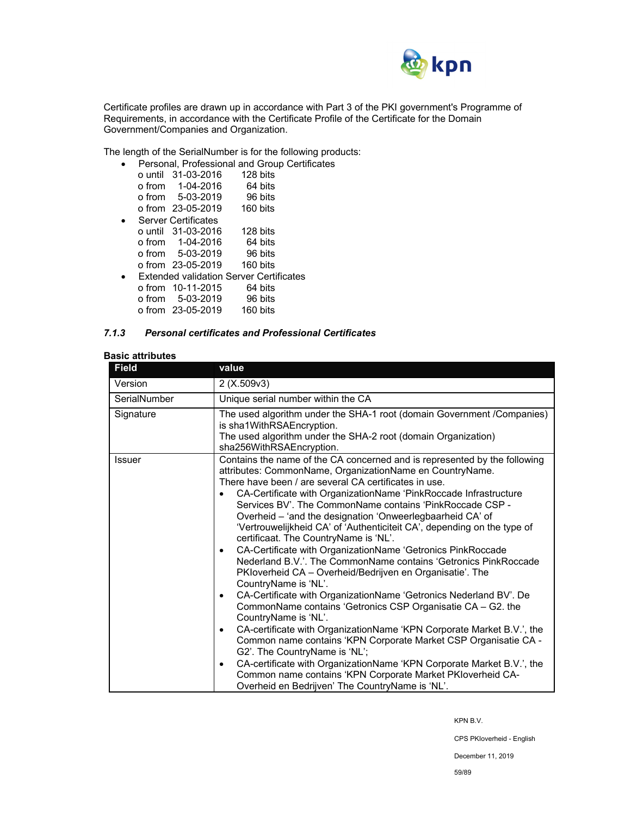

Certificate profiles are drawn up in accordance with Part 3 of the PKI government's Programme of Requirements, in accordance with the Certificate Profile of the Certificate for the Domain Government/Companies and Organization.

The length of the SerialNumber is for the following products:

|  |                            | Personal, Professional and Group Certificates  |  |
|--|----------------------------|------------------------------------------------|--|
|  | o until 31-03-2016         | 128 bits                                       |  |
|  | o from 1-04-2016           | 64 bits                                        |  |
|  | o from 5-03-2019           | 96 bits                                        |  |
|  | o from 23-05-2019          | 160 bits                                       |  |
|  | <b>Server Certificates</b> |                                                |  |
|  | $\alpha$ until 31-03-2016  | 128 bits                                       |  |
|  | o from 1-04-2016           | 64 bits                                        |  |
|  | o from 5-03-2019           | 96 bits                                        |  |
|  | o from 23-05-2019          | 160 bits                                       |  |
|  |                            | <b>Extended validation Server Certificates</b> |  |
|  | o from 10-11-2015          | 64 bits                                        |  |
|  | o from 5-03-2019           | 96 bits                                        |  |
|  | o from 23-05-2019          | 160 bits                                       |  |

### *7.1.3 Personal certificates and Professional Certificates*

## **Basic attributes**

| <b>Field</b>  | value                                                                                                                                                                                                                                                                                                                                                                                                                                                                                                                                                                                                                                                                                                                                                                                                                                                                                                                                                                                                                                                                                                                                                                                                                                                                    |  |  |
|---------------|--------------------------------------------------------------------------------------------------------------------------------------------------------------------------------------------------------------------------------------------------------------------------------------------------------------------------------------------------------------------------------------------------------------------------------------------------------------------------------------------------------------------------------------------------------------------------------------------------------------------------------------------------------------------------------------------------------------------------------------------------------------------------------------------------------------------------------------------------------------------------------------------------------------------------------------------------------------------------------------------------------------------------------------------------------------------------------------------------------------------------------------------------------------------------------------------------------------------------------------------------------------------------|--|--|
| Version       | 2 (X.509v3)                                                                                                                                                                                                                                                                                                                                                                                                                                                                                                                                                                                                                                                                                                                                                                                                                                                                                                                                                                                                                                                                                                                                                                                                                                                              |  |  |
| SerialNumber  | Unique serial number within the CA                                                                                                                                                                                                                                                                                                                                                                                                                                                                                                                                                                                                                                                                                                                                                                                                                                                                                                                                                                                                                                                                                                                                                                                                                                       |  |  |
| Signature     | The used algorithm under the SHA-1 root (domain Government / Companies)<br>is sha1WithRSAEncryption.<br>The used algorithm under the SHA-2 root (domain Organization)<br>sha256WithRSAEncryption.                                                                                                                                                                                                                                                                                                                                                                                                                                                                                                                                                                                                                                                                                                                                                                                                                                                                                                                                                                                                                                                                        |  |  |
| <b>Issuer</b> | Contains the name of the CA concerned and is represented by the following<br>attributes: CommonName, OrganizationName en CountryName.<br>There have been / are several CA certificates in use.<br>CA-Certificate with OrganizationName 'PinkRoccade Infrastructure<br>Services BV'. The CommonName contains 'PinkRoccade CSP -<br>Overheid - 'and the designation 'Onweerlegbaarheid CA' of<br>'Vertrouwelijkheid CA' of 'Authenticiteit CA', depending on the type of<br>certificaat. The CountryName is 'NL'.<br>CA-Certificate with OrganizationName 'Getronics PinkRoccade<br>Nederland B.V.'. The CommonName contains 'Getronics PinkRoccade<br>PKloverheid CA - Overheid/Bedrijven en Organisatie'. The<br>CountryName is 'NL'.<br>CA-Certificate with OrganizationName 'Getronics Nederland BV'. De<br>CommonName contains 'Getronics CSP Organisatie CA - G2. the<br>CountryName is 'NL'.<br>CA-certificate with OrganizationName 'KPN Corporate Market B.V.', the<br>Common name contains 'KPN Corporate Market CSP Organisatie CA -<br>G2'. The CountryName is 'NL';<br>CA-certificate with OrganizationName 'KPN Corporate Market B.V.', the<br>Common name contains 'KPN Corporate Market PKIoverheid CA-<br>Overheid en Bedrijven' The CountryName is 'NL'. |  |  |

KPN B.V.

CPS PKIoverheid - English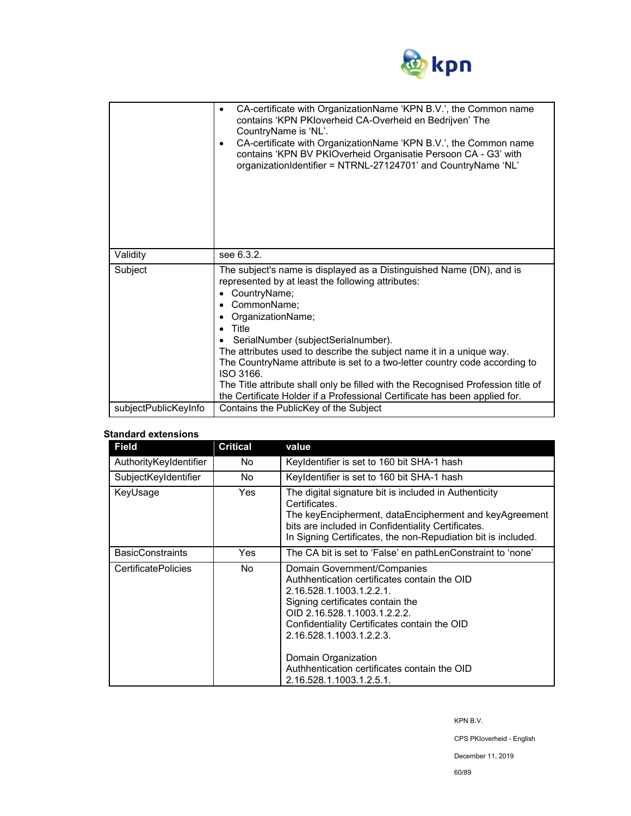

|                      | CA-certificate with OrganizationName 'KPN B.V.', the Common name<br>٠<br>contains 'KPN PKIoverheid CA-Overheid en Bedrijven' The<br>CountryName is 'NL'.<br>CA-certificate with OrganizationName 'KPN B.V.', the Common name<br>٠<br>contains 'KPN BV PKIOverheid Organisatie Persoon CA - G3' with<br>organizationIdentifier = NTRNL-27124701' and CountryName 'NL'                                                                                                                                                                                                    |  |
|----------------------|-------------------------------------------------------------------------------------------------------------------------------------------------------------------------------------------------------------------------------------------------------------------------------------------------------------------------------------------------------------------------------------------------------------------------------------------------------------------------------------------------------------------------------------------------------------------------|--|
| Validity             | see 6.3.2.                                                                                                                                                                                                                                                                                                                                                                                                                                                                                                                                                              |  |
| Subject              | The subject's name is displayed as a Distinguished Name (DN), and is<br>represented by at least the following attributes:<br>CountryName;<br>٠<br>CommonName;<br>OrganizationName;<br>Title<br>SerialNumber (subjectSerialnumber).<br>The attributes used to describe the subject name it in a unique way.<br>The CountryName attribute is set to a two-letter country code according to<br>ISO 3166.<br>The Title attribute shall only be filled with the Recognised Profession title of<br>the Certificate Holder if a Professional Certificate has been applied for. |  |
| subjectPublicKeyInfo | Contains the PublicKey of the Subject                                                                                                                                                                                                                                                                                                                                                                                                                                                                                                                                   |  |

## **Standard extensions**

| <b>Field</b>               | <b>Critical</b> | value                                                                                                                                                                                                                                                                                                                                                      |
|----------------------------|-----------------|------------------------------------------------------------------------------------------------------------------------------------------------------------------------------------------------------------------------------------------------------------------------------------------------------------------------------------------------------------|
| AuthorityKeyIdentifier     | No.             | Keyldentifier is set to 160 bit SHA-1 hash                                                                                                                                                                                                                                                                                                                 |
| SubjectKeyIdentifier       | No.             | Keyldentifier is set to 160 bit SHA-1 hash                                                                                                                                                                                                                                                                                                                 |
| KeyUsage                   | <b>Yes</b>      | The digital signature bit is included in Authenticity<br>Certificates.<br>The keyEncipherment, dataEncipherment and keyAgreement<br>bits are included in Confidentiality Certificates.<br>In Signing Certificates, the non-Repudiation bit is included.                                                                                                    |
| <b>BasicConstraints</b>    | Yes             | The CA bit is set to 'False' en pathLenConstraint to 'none'                                                                                                                                                                                                                                                                                                |
| <b>CertificatePolicies</b> | No.             | Domain Government/Companies<br>Authhentication certificates contain the OID<br>2.16.528.1.1003.1.2.2.1.<br>Signing certificates contain the<br>OID 2.16.528.1.1003.1.2.2.2.<br>Confidentiality Certificates contain the OID<br>2.16.528.1.1003.1.2.2.3.<br>Domain Organization<br>Authhentication certificates contain the OID<br>2.16.528.1.1003.1.2.5.1. |

KPN B.V.

CPS PKIoverheid - English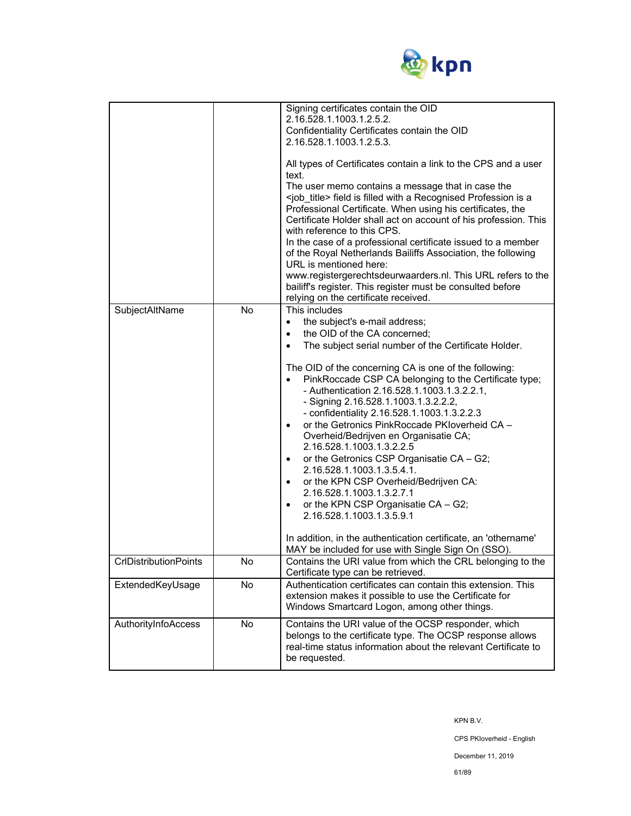

| SubjectAltName               | No | Signing certificates contain the OID<br>2.16.528.1.1003.1.2.5.2.<br>Confidentiality Certificates contain the OID<br>2.16.528.1.1003.1.2.5.3.<br>All types of Certificates contain a link to the CPS and a user<br>text.<br>The user memo contains a message that in case the<br><job_title> field is filled with a Recognised Profession is a<br/>Professional Certificate. When using his certificates, the<br/>Certificate Holder shall act on account of his profession. This<br/>with reference to this CPS.<br/>In the case of a professional certificate issued to a member<br/>of the Royal Netherlands Bailiffs Association, the following<br/>URL is mentioned here:<br/>www.registergerechtsdeurwaarders.nl. This URL refers to the<br/>bailiff's register. This register must be consulted before<br/>relying on the certificate received.<br/>This includes<br/>the subject's e-mail address;<br/><math>\bullet</math><br/>the OID of the CA concerned;<br/><math display="inline">\bullet</math><br/>The subject serial number of the Certificate Holder.<br/><math display="inline">\bullet</math><br/>The OID of the concerning CA is one of the following:<br/>PinkRoccade CSP CA belonging to the Certificate type;<br/>- Authentication 2.16.528.1.1003.1.3.2.2.1,<br/>- Signing 2.16.528.1.1003.1.3.2.2.2,<br/>- confidentiality 2.16.528.1.1003.1.3.2.2.3<br/>or the Getronics PinkRoccade PKIoverheid CA -<br/><math display="inline">\bullet</math><br/>Overheid/Bedrijven en Organisatie CA;<br/>2.16.528.1.1003.1.3.2.2.5<br/>or the Getronics CSP Organisatie CA - G2;<br/><math display="inline">\bullet</math><br/>2.16.528.1.1003.1.3.5.4.1.<br/>or the KPN CSP Overheid/Bedrijven CA:<br/><math display="inline">\bullet</math><br/>2.16.528.1.1003.1.3.2.7.1<br/>or the KPN CSP Organisatie CA - G2;<br/><math display="inline">\bullet</math><br/>2.16.528.1.1003.1.3.5.9.1<br/>In addition, in the authentication certificate, an 'othername'</job_title> |
|------------------------------|----|-------------------------------------------------------------------------------------------------------------------------------------------------------------------------------------------------------------------------------------------------------------------------------------------------------------------------------------------------------------------------------------------------------------------------------------------------------------------------------------------------------------------------------------------------------------------------------------------------------------------------------------------------------------------------------------------------------------------------------------------------------------------------------------------------------------------------------------------------------------------------------------------------------------------------------------------------------------------------------------------------------------------------------------------------------------------------------------------------------------------------------------------------------------------------------------------------------------------------------------------------------------------------------------------------------------------------------------------------------------------------------------------------------------------------------------------------------------------------------------------------------------------------------------------------------------------------------------------------------------------------------------------------------------------------------------------------------------------------------------------------------------------------------------------------------------------------------------------------------------------------------------------------------------------------------------------------------------------------------------------|
| <b>CrIDistributionPoints</b> | No | MAY be included for use with Single Sign On (SSO).<br>Contains the URI value from which the CRL belonging to the                                                                                                                                                                                                                                                                                                                                                                                                                                                                                                                                                                                                                                                                                                                                                                                                                                                                                                                                                                                                                                                                                                                                                                                                                                                                                                                                                                                                                                                                                                                                                                                                                                                                                                                                                                                                                                                                          |
| ExtendedKeyUsage             | No | Certificate type can be retrieved.<br>Authentication certificates can contain this extension. This<br>extension makes it possible to use the Certificate for<br>Windows Smartcard Logon, among other things.                                                                                                                                                                                                                                                                                                                                                                                                                                                                                                                                                                                                                                                                                                                                                                                                                                                                                                                                                                                                                                                                                                                                                                                                                                                                                                                                                                                                                                                                                                                                                                                                                                                                                                                                                                              |
| AuthorityInfoAccess          | No | Contains the URI value of the OCSP responder, which<br>belongs to the certificate type. The OCSP response allows<br>real-time status information about the relevant Certificate to<br>be requested.                                                                                                                                                                                                                                                                                                                                                                                                                                                                                                                                                                                                                                                                                                                                                                                                                                                                                                                                                                                                                                                                                                                                                                                                                                                                                                                                                                                                                                                                                                                                                                                                                                                                                                                                                                                       |

CPS PKIoverheid - English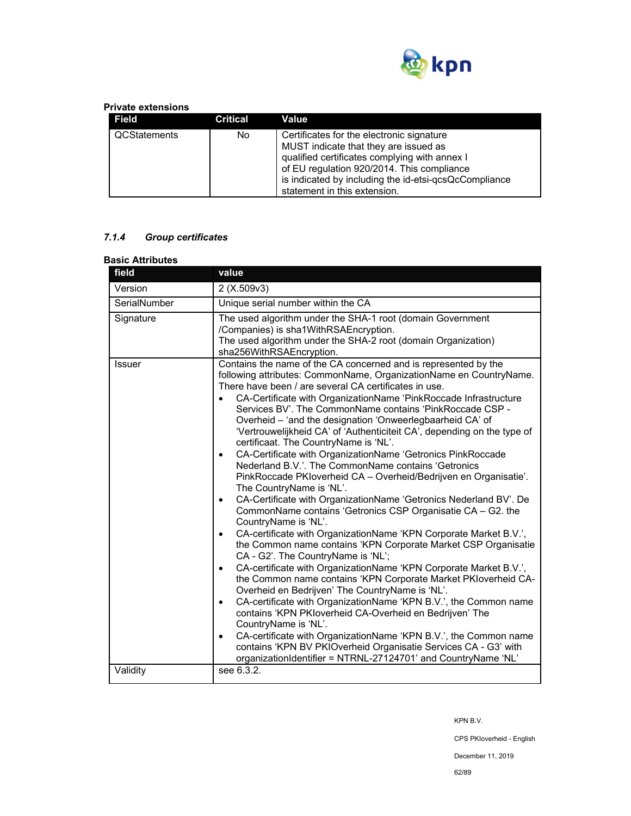

## **Private extensions**

| Field        | Critical | Value                                                                                                                                                                                                                                                                      |
|--------------|----------|----------------------------------------------------------------------------------------------------------------------------------------------------------------------------------------------------------------------------------------------------------------------------|
| QCStatements | No       | Certificates for the electronic signature<br>MUST indicate that they are issued as<br>qualified certificates complying with annex I<br>of EU regulation 920/2014. This compliance<br>is indicated by including the id-etsi-qcsQcCompliance<br>statement in this extension. |

# *7.1.4 Group certificates*

| <b>Basic Attributes</b> |                                                                                                                                                                                                                                                                                                                                                                                                                                                                                                                                                                                                                                                                                                                                                                                                                                                                                                                                                                                                                                                                                                                                                                                                                                                                                                                                                                                                                                                                                                                                                                                                                                                                                                                                    |
|-------------------------|------------------------------------------------------------------------------------------------------------------------------------------------------------------------------------------------------------------------------------------------------------------------------------------------------------------------------------------------------------------------------------------------------------------------------------------------------------------------------------------------------------------------------------------------------------------------------------------------------------------------------------------------------------------------------------------------------------------------------------------------------------------------------------------------------------------------------------------------------------------------------------------------------------------------------------------------------------------------------------------------------------------------------------------------------------------------------------------------------------------------------------------------------------------------------------------------------------------------------------------------------------------------------------------------------------------------------------------------------------------------------------------------------------------------------------------------------------------------------------------------------------------------------------------------------------------------------------------------------------------------------------------------------------------------------------------------------------------------------------|
| field                   | value                                                                                                                                                                                                                                                                                                                                                                                                                                                                                                                                                                                                                                                                                                                                                                                                                                                                                                                                                                                                                                                                                                                                                                                                                                                                                                                                                                                                                                                                                                                                                                                                                                                                                                                              |
| Version                 | 2 (X.509v3)                                                                                                                                                                                                                                                                                                                                                                                                                                                                                                                                                                                                                                                                                                                                                                                                                                                                                                                                                                                                                                                                                                                                                                                                                                                                                                                                                                                                                                                                                                                                                                                                                                                                                                                        |
| SerialNumber            | Unique serial number within the CA                                                                                                                                                                                                                                                                                                                                                                                                                                                                                                                                                                                                                                                                                                                                                                                                                                                                                                                                                                                                                                                                                                                                                                                                                                                                                                                                                                                                                                                                                                                                                                                                                                                                                                 |
| Signature               | The used algorithm under the SHA-1 root (domain Government<br>/Companies) is sha1WithRSAEncryption.<br>The used algorithm under the SHA-2 root (domain Organization)<br>sha256WithRSAEncryption.                                                                                                                                                                                                                                                                                                                                                                                                                                                                                                                                                                                                                                                                                                                                                                                                                                                                                                                                                                                                                                                                                                                                                                                                                                                                                                                                                                                                                                                                                                                                   |
| <b>Issuer</b>           | Contains the name of the CA concerned and is represented by the<br>following attributes: CommonName, OrganizationName en CountryName.<br>There have been / are several CA certificates in use.<br>CA-Certificate with OrganizationName 'PinkRoccade Infrastructure<br>$\bullet$<br>Services BV'. The CommonName contains 'PinkRoccade CSP -<br>Overheid - 'and the designation 'Onweerlegbaarheid CA' of<br>'Vertrouwelijkheid CA' of 'Authenticiteit CA', depending on the type of<br>certificaat. The CountryName is 'NL'.<br>CA-Certificate with OrganizationName 'Getronics PinkRoccade<br>$\bullet$<br>Nederland B.V.'. The CommonName contains 'Getronics<br>PinkRoccade PKIoverheid CA - Overheid/Bedrijven en Organisatie'.<br>The CountryName is 'NL'.<br>CA-Certificate with OrganizationName 'Getronics Nederland BV'. De<br>$\bullet$<br>CommonName contains 'Getronics CSP Organisatie CA - G2. the<br>CountryName is 'NL'.<br>CA-certificate with OrganizationName 'KPN Corporate Market B.V.',<br>$\bullet$<br>the Common name contains 'KPN Corporate Market CSP Organisatie<br>CA - G2'. The CountryName is 'NL';<br>CA-certificate with OrganizationName 'KPN Corporate Market B.V.',<br>$\bullet$<br>the Common name contains 'KPN Corporate Market PKIoverheid CA-<br>Overheid en Bedrijven' The CountryName is 'NL'.<br>CA-certificate with OrganizationName 'KPN B.V.', the Common name<br>$\bullet$<br>contains 'KPN PKIoverheid CA-Overheid en Bedrijven' The<br>CountryName is 'NL'.<br>CA-certificate with OrganizationName 'KPN B.V.', the Common name<br>$\bullet$<br>contains 'KPN BV PKIOverheid Organisatie Services CA - G3' with<br>organizationIdentifier = NTRNL-27124701' and CountryName 'NL' |
| Validity                | see 6.3.2.                                                                                                                                                                                                                                                                                                                                                                                                                                                                                                                                                                                                                                                                                                                                                                                                                                                                                                                                                                                                                                                                                                                                                                                                                                                                                                                                                                                                                                                                                                                                                                                                                                                                                                                         |

KPN B.V.

CPS PKIoverheid - English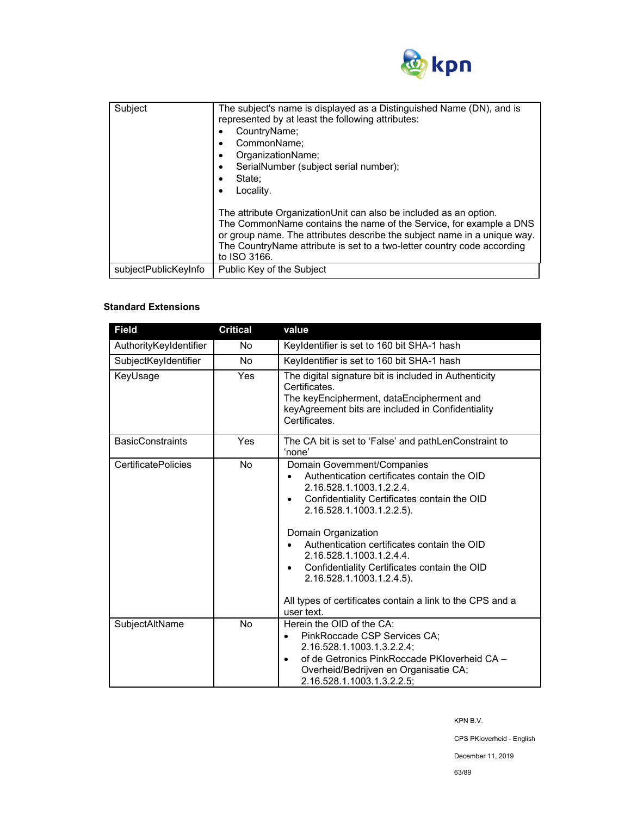

| Subject              | The subject's name is displayed as a Distinguished Name (DN), and is<br>represented by at least the following attributes:<br>CountryName;<br>CommonName:<br>٠<br>OrganizationName;<br>٠<br>SerialNumber (subject serial number);<br>٠<br>State:<br>Locality.<br>The attribute OrganizationUnit can also be included as an option. |
|----------------------|-----------------------------------------------------------------------------------------------------------------------------------------------------------------------------------------------------------------------------------------------------------------------------------------------------------------------------------|
|                      | The CommonName contains the name of the Service, for example a DNS<br>or group name. The attributes describe the subject name in a unique way.<br>The CountryName attribute is set to a two-letter country code according<br>to ISO 3166.                                                                                         |
| subjectPublicKeyInfo | Public Key of the Subject                                                                                                                                                                                                                                                                                                         |

# **Standard Extensions**

| <b>Field</b>               | <b>Critical</b> | value                                                                                                                                                                                                                                                                                                                                                                                                                                         |  |
|----------------------------|-----------------|-----------------------------------------------------------------------------------------------------------------------------------------------------------------------------------------------------------------------------------------------------------------------------------------------------------------------------------------------------------------------------------------------------------------------------------------------|--|
| AuthorityKeyIdentifier     | No.             | Keyldentifier is set to 160 bit SHA-1 hash                                                                                                                                                                                                                                                                                                                                                                                                    |  |
| SubjectKeyIdentifier       | <b>No</b>       | Keyldentifier is set to 160 bit SHA-1 hash                                                                                                                                                                                                                                                                                                                                                                                                    |  |
| KeyUsage                   | Yes             | The digital signature bit is included in Authenticity<br>Certificates.<br>The keyEncipherment, dataEncipherment and<br>keyAgreement bits are included in Confidentiality<br>Certificates.                                                                                                                                                                                                                                                     |  |
| <b>BasicConstraints</b>    | Yes             | The CA bit is set to 'False' and pathLenConstraint to<br>'none'                                                                                                                                                                                                                                                                                                                                                                               |  |
| <b>CertificatePolicies</b> | No.             | Domain Government/Companies<br>Authentication certificates contain the OID<br>2.16.528.1.1003.1.2.2.4.<br>Confidentiality Certificates contain the OID<br>2.16.528.1.1003.1.2.2.5).<br>Domain Organization<br>Authentication certificates contain the OID<br>2.16.528.1.1003.1.2.4.4.<br>Confidentiality Certificates contain the OID<br>2.16.528.1.1003.1.2.4.5).<br>All types of certificates contain a link to the CPS and a<br>user text. |  |
| SubjectAltName             | <b>No</b>       | Herein the OID of the CA:<br>PinkRoccade CSP Services CA;<br>٠<br>2.16.528.1.1003.1.3.2.2.4;<br>of de Getronics PinkRoccade PKIoverheid CA -<br>Overheid/Bedrijven en Organisatie CA;<br>2.16.528.1.1003.1.3.2.2.5;                                                                                                                                                                                                                           |  |

KPN B.V.

CPS PKIoverheid - English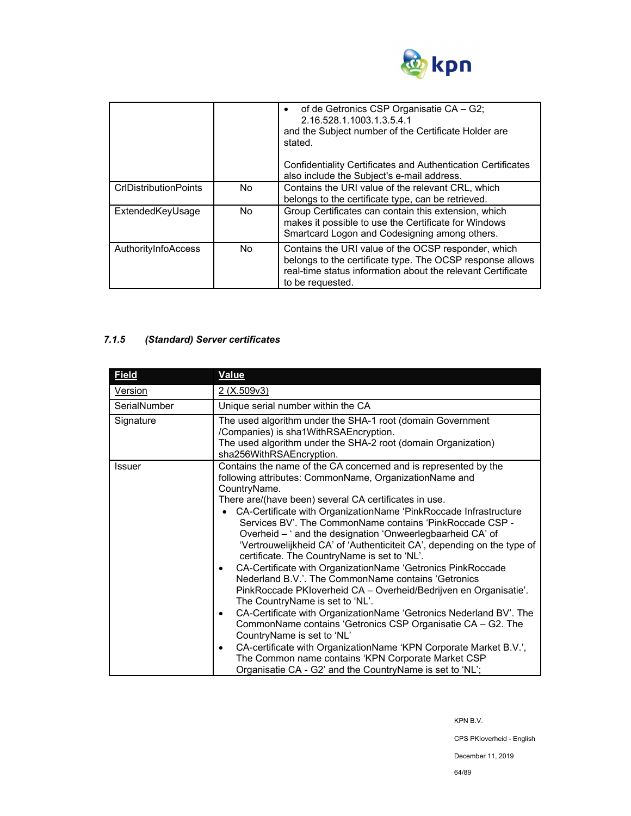

|                              |     | of de Getronics CSP Organisatie CA - G2;<br>2.16.528.1.1003.1.3.5.4.1<br>and the Subject number of the Certificate Holder are<br>stated.<br>Confidentiality Certificates and Authentication Certificates<br>also include the Subject's e-mail address. |
|------------------------------|-----|--------------------------------------------------------------------------------------------------------------------------------------------------------------------------------------------------------------------------------------------------------|
|                              |     |                                                                                                                                                                                                                                                        |
| <b>CrIDistributionPoints</b> | No. | Contains the URI value of the relevant CRL, which<br>belongs to the certificate type, can be retrieved.                                                                                                                                                |
| ExtendedKeyUsage             | No. | Group Certificates can contain this extension, which<br>makes it possible to use the Certificate for Windows<br>Smartcard Logon and Codesigning among others.                                                                                          |
| AuthorityInfoAccess          | No. | Contains the URI value of the OCSP responder, which<br>belongs to the certificate type. The OCSP response allows<br>real-time status information about the relevant Certificate<br>to be requested.                                                    |

# *7.1.5 (Standard) Server certificates*

| <b>Field</b>  | <b>Value</b>                                                                                                                                                                                                                                                                                                                                                                                                                                                                                                                                                                                                                                                                                                                                                                                                                                                                                                                                                                                                                                                                                                                                                          |  |  |
|---------------|-----------------------------------------------------------------------------------------------------------------------------------------------------------------------------------------------------------------------------------------------------------------------------------------------------------------------------------------------------------------------------------------------------------------------------------------------------------------------------------------------------------------------------------------------------------------------------------------------------------------------------------------------------------------------------------------------------------------------------------------------------------------------------------------------------------------------------------------------------------------------------------------------------------------------------------------------------------------------------------------------------------------------------------------------------------------------------------------------------------------------------------------------------------------------|--|--|
| Version       | 2 (X.509v3)                                                                                                                                                                                                                                                                                                                                                                                                                                                                                                                                                                                                                                                                                                                                                                                                                                                                                                                                                                                                                                                                                                                                                           |  |  |
| SerialNumber  | Unique serial number within the CA                                                                                                                                                                                                                                                                                                                                                                                                                                                                                                                                                                                                                                                                                                                                                                                                                                                                                                                                                                                                                                                                                                                                    |  |  |
| Signature     | The used algorithm under the SHA-1 root (domain Government<br>/Companies) is sha1WithRSAEncryption.<br>The used algorithm under the SHA-2 root (domain Organization)                                                                                                                                                                                                                                                                                                                                                                                                                                                                                                                                                                                                                                                                                                                                                                                                                                                                                                                                                                                                  |  |  |
| <b>Issuer</b> | sha256WithRSAEncryption.<br>Contains the name of the CA concerned and is represented by the<br>following attributes: CommonName, OrganizationName and<br>CountryName.<br>There are/(have been) several CA certificates in use.<br>CA-Certificate with OrganizationName 'PinkRoccade Infrastructure<br>Services BV'. The CommonName contains 'PinkRoccade CSP -<br>Overheid - ' and the designation 'Onweerlegbaarheid CA' of<br>'Vertrouwelijkheid CA' of 'Authenticiteit CA', depending on the type of<br>certificate. The CountryName is set to 'NL'.<br>CA-Certificate with OrganizationName 'Getronics PinkRoccade<br>٠<br>Nederland B.V.'. The CommonName contains 'Getronics<br>PinkRoccade PKIoverheid CA - Overheid/Bedrijven en Organisatie'.<br>The CountryName is set to 'NL'.<br>CA-Certificate with OrganizationName 'Getronics Nederland BV'. The<br>$\bullet$<br>CommonName contains 'Getronics CSP Organisatie CA - G2. The<br>CountryName is set to 'NL'<br>CA-certificate with OrganizationName 'KPN Corporate Market B.V.',<br>٠<br>The Common name contains 'KPN Corporate Market CSP<br>Organisatie CA - G2' and the CountryName is set to 'NL'; |  |  |

KPN B.V.

CPS PKIoverheid - English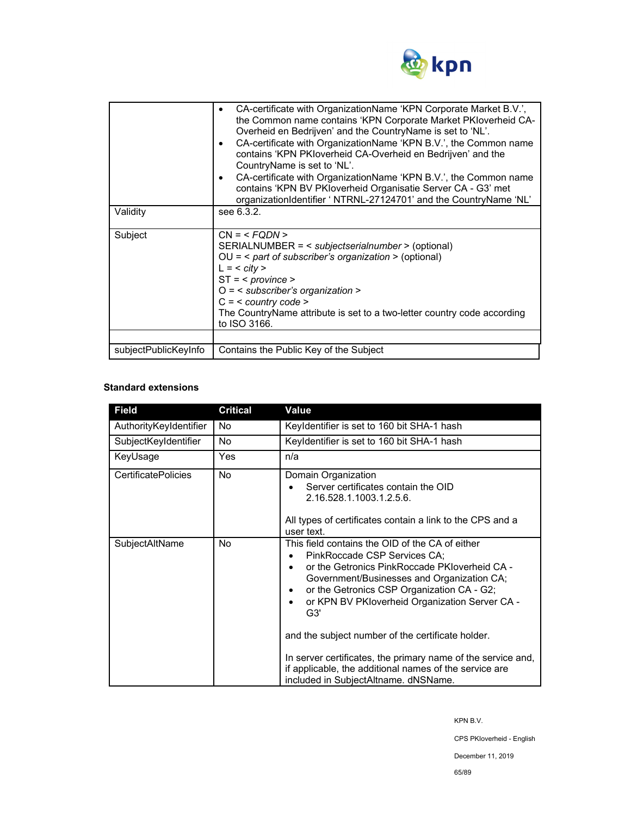

| Validity             | CA-certificate with OrganizationName 'KPN Corporate Market B.V.',<br>٠<br>the Common name contains 'KPN Corporate Market PKIoverheid CA-<br>Overheid en Bedrijven' and the CountryName is set to 'NL'.<br>CA-certificate with OrganizationName 'KPN B.V.', the Common name<br>٠<br>contains 'KPN PKloverheid CA-Overheid en Bedrijven' and the<br>CountryName is set to 'NL'.<br>CA-certificate with OrganizationName 'KPN B.V.', the Common name<br>$\bullet$<br>contains 'KPN BV PKloverheid Organisatie Server CA - G3' met<br>organizationIdentifier ' NTRNL-27124701' and the CountryName 'NL'<br>see 6.3.2. |  |
|----------------------|-------------------------------------------------------------------------------------------------------------------------------------------------------------------------------------------------------------------------------------------------------------------------------------------------------------------------------------------------------------------------------------------------------------------------------------------------------------------------------------------------------------------------------------------------------------------------------------------------------------------|--|
| Subject              | $CN = $<br>SERIALNUMBER = < subjectserialnumber > (optional)<br>$OU =$ < part of subscriber's organization > (optional)<br>$L = <$ city ><br>$ST = <$ province ><br>$O =$ < subscriber's organization ><br>$C = <$ country code ><br>The CountryName attribute is set to a two-letter country code according<br>to ISO 3166.                                                                                                                                                                                                                                                                                      |  |
|                      |                                                                                                                                                                                                                                                                                                                                                                                                                                                                                                                                                                                                                   |  |
| subjectPublicKeyInfo | Contains the Public Key of the Subject                                                                                                                                                                                                                                                                                                                                                                                                                                                                                                                                                                            |  |

## **Standard extensions**

| <b>Field</b>               | <b>Critical</b> | Value                                                                                                                                                                                                                                                                                                                                                                                                                                                                                                                  |
|----------------------------|-----------------|------------------------------------------------------------------------------------------------------------------------------------------------------------------------------------------------------------------------------------------------------------------------------------------------------------------------------------------------------------------------------------------------------------------------------------------------------------------------------------------------------------------------|
| AuthorityKeyIdentifier     | No.             | Keyldentifier is set to 160 bit SHA-1 hash                                                                                                                                                                                                                                                                                                                                                                                                                                                                             |
| SubjectKeyIdentifier       | <b>No</b>       | Keyldentifier is set to 160 bit SHA-1 hash                                                                                                                                                                                                                                                                                                                                                                                                                                                                             |
| KeyUsage                   | Yes             | n/a                                                                                                                                                                                                                                                                                                                                                                                                                                                                                                                    |
| <b>CertificatePolicies</b> | No              | Domain Organization<br>Server certificates contain the OID<br>2.16.528.1.1003.1.2.5.6.<br>All types of certificates contain a link to the CPS and a<br>user text.                                                                                                                                                                                                                                                                                                                                                      |
| SubjectAltName             | No              | This field contains the OID of the CA of either<br>PinkRoccade CSP Services CA:<br>or the Getronics PinkRoccade PKIoverheid CA -<br>Government/Businesses and Organization CA;<br>or the Getronics CSP Organization CA - G2;<br>٠<br>or KPN BV PKloverheid Organization Server CA -<br>٠<br>G3'<br>and the subject number of the certificate holder.<br>In server certificates, the primary name of the service and,<br>if applicable, the additional names of the service are<br>included in SubjectAltname. dNSName. |

KPN B.V.

CPS PKIoverheid - English

December 11, 2019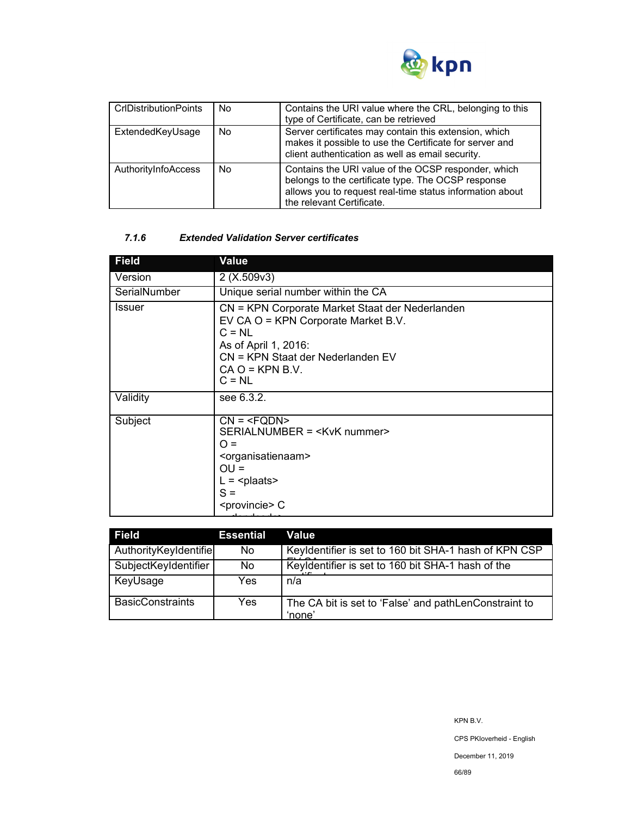

| <b>CrIDistributionPoints</b> | No | Contains the URI value where the CRL, belonging to this<br>type of Certificate, can be retrieved                                                                                                   |
|------------------------------|----|----------------------------------------------------------------------------------------------------------------------------------------------------------------------------------------------------|
| ExtendedKeyUsage             | No | Server certificates may contain this extension, which<br>makes it possible to use the Certificate for server and<br>client authentication as well as email security.                               |
| AuthorityInfoAccess          | No | Contains the URI value of the OCSP responder, which<br>belongs to the certificate type. The OCSP response<br>allows you to request real-time status information about<br>the relevant Certificate. |

## *7.1.6 Extended Validation Server certificates*

| <b>Field</b>  | Value                                                                                                                                                                                            |
|---------------|--------------------------------------------------------------------------------------------------------------------------------------------------------------------------------------------------|
| Version       | 2(X.509v3)                                                                                                                                                                                       |
| SerialNumber  | Unique serial number within the CA                                                                                                                                                               |
| <b>Issuer</b> | CN = KPN Corporate Market Staat der Nederlanden<br>EV CA O = KPN Corporate Market B.V.<br>$C = NL$<br>As of April 1, 2016:<br>CN = KPN Staat der Nederlanden EV<br>$CA O = KPN B.V.$<br>$C = NL$ |
| Validity      | see 6.3.2.                                                                                                                                                                                       |
| Subject       | $CN = SERIALNUMBER = ∩ =OU =L = plaatsS = C$                                                                                                                                                     |

| <b>Field</b>            | <b>Essential</b> | Value                                                           |
|-------------------------|------------------|-----------------------------------------------------------------|
| AuthorityKeyIdentifie   | No.              | Keyldentifier is set to 160 bit SHA-1 hash of KPN CSP           |
| SubjectKeyIdentifier    | No.              | Keyldentifier is set to 160 bit SHA-1 hash of the               |
| KeyUsage                | Yes              | n/a                                                             |
| <b>BasicConstraints</b> | Yes.             | The CA bit is set to 'False' and pathLenConstraint to<br>'none' |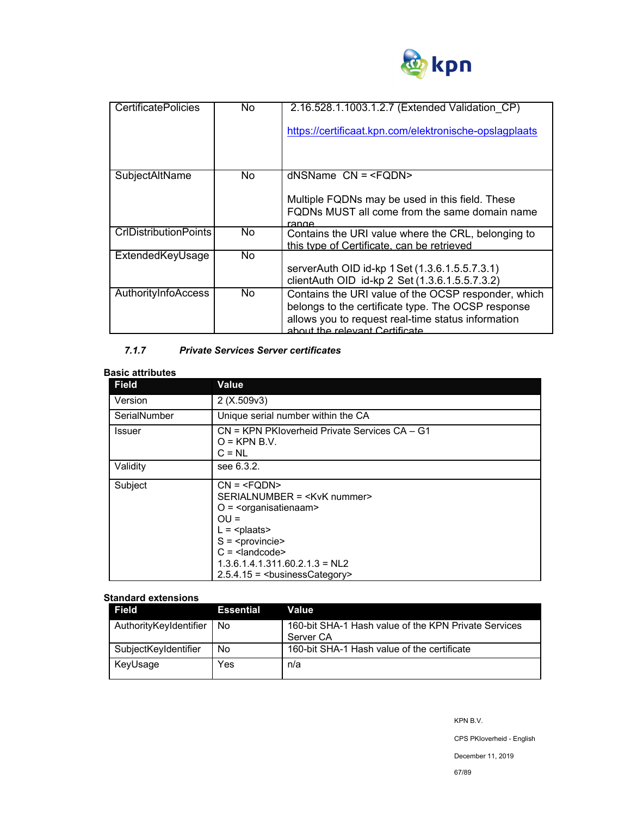

| <b>CertificatePolicies</b>   | No. | 2.16.528.1.1003.1.2.7 (Extended Validation CP)         |
|------------------------------|-----|--------------------------------------------------------|
|                              |     | https://certificaat.kpn.com/elektronische-opslagplaats |
|                              |     |                                                        |
|                              |     |                                                        |
| SubjectAltName               | No. | $d$ NSName $CN = $                                     |
|                              |     |                                                        |
|                              |     | Multiple FQDNs may be used in this field. These        |
|                              |     | FQDNs MUST all come from the same domain name          |
|                              |     | ranne                                                  |
| <b>CrIDistributionPoints</b> | No. | Contains the URI value where the CRL, belonging to     |
|                              |     | this type of Certificate, can be retrieved             |
| ExtendedKeyUsage             | No. |                                                        |
|                              |     | serverAuth OID id-kp 1 Set (1.3.6.1.5.5.7.3.1)         |
|                              |     | clientAuth OID id-kp 2 Set (1.3.6.1.5.5.7.3.2)         |
| AuthorityInfoAccess          | No. | Contains the URI value of the OCSP responder, which    |
|                              |     | belongs to the certificate type. The OCSP response     |
|                              |     | allows you to request real-time status information     |
|                              |     | about the relevant Certificate                         |
|                              |     |                                                        |

# *7.1.7 Private Services Server certificates*

## **Basic attributes**

| <b>Field</b>  | <b>Value</b>                                                                                                                |  |  |
|---------------|-----------------------------------------------------------------------------------------------------------------------------|--|--|
| Version       | 2(X.509v3)                                                                                                                  |  |  |
| SerialNumber  | Unique serial number within the CA                                                                                          |  |  |
| <b>Issuer</b> | CN = KPN PKIoverheid Private Services CA - G1<br>$O =$ KPN B.V.<br>$C = NL$                                                 |  |  |
| Validity      | see 6.3.2.                                                                                                                  |  |  |
| Subject       | $CN = SERIALNUMBER = O = \langleorganisatienaam>OU =L = S = C = 1.3.6.1.4.1.311.60.2.1.3 = NL22.5.4.15 = businessCategory>$ |  |  |

### **Standard extensions**

| Field                  | <b>Essential</b> | Value                                                             |
|------------------------|------------------|-------------------------------------------------------------------|
| AuthorityKeyIdentifier | <b>No</b>        | 160-bit SHA-1 Hash value of the KPN Private Services<br>Server CA |
| SubjectKeyIdentifier   | No               | 160-bit SHA-1 Hash value of the certificate                       |
| KeyUsage               | Yes              | n/a                                                               |

CPS PKIoverheid - English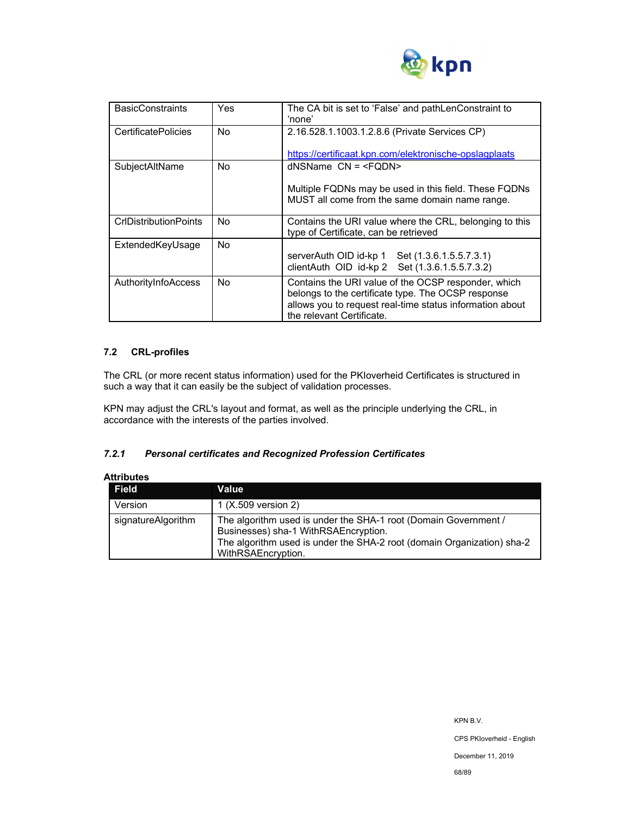

| <b>BasicConstraints</b>      | Yes | The CA bit is set to 'False' and pathLenConstraint to<br>'none'                                                                                                                                    |
|------------------------------|-----|----------------------------------------------------------------------------------------------------------------------------------------------------------------------------------------------------|
| <b>CertificatePolicies</b>   | No. | 2.16.528.1.1003.1.2.8.6 (Private Services CP)                                                                                                                                                      |
|                              |     | https://certificaat.kpn.com/elektronische-opslagplaats                                                                                                                                             |
| SubjectAltName               | No. | $d$ NSName $CN = $                                                                                                                                                                                 |
|                              |     | Multiple FQDNs may be used in this field. These FQDNs<br>MUST all come from the same domain name range.                                                                                            |
| <b>CrIDistributionPoints</b> | No. | Contains the URI value where the CRL, belonging to this<br>type of Certificate, can be retrieved                                                                                                   |
| ExtendedKeyUsage             | No. | serverAuth OID id-kp 1 Set (1.3.6.1.5.5.7.3.1)<br>clientAuth OID id-kp 2 Set (1.3.6.1.5.5.7.3.2)                                                                                                   |
| AuthorityInfoAccess          | No. | Contains the URI value of the OCSP responder, which<br>belongs to the certificate type. The OCSP response<br>allows you to request real-time status information about<br>the relevant Certificate. |

## **7.2 CRL-profiles**

The CRL (or more recent status information) used for the PKIoverheid Certificates is structured in such a way that it can easily be the subject of validation processes.

KPN may adjust the CRL's layout and format, as well as the principle underlying the CRL, in accordance with the interests of the parties involved.

## *7.2.1 Personal certificates and Recognized Profession Certificates*

| Attributes         |                                                                                                                                                                                                         |
|--------------------|---------------------------------------------------------------------------------------------------------------------------------------------------------------------------------------------------------|
| <b>Field</b>       | Value                                                                                                                                                                                                   |
| Version            | 1 (X.509 version 2)                                                                                                                                                                                     |
| signatureAlgorithm | The algorithm used is under the SHA-1 root (Domain Government /<br>Businesses) sha-1 WithRSAEncryption.<br>The algorithm used is under the SHA-2 root (domain Organization) sha-2<br>WithRSAEncryption. |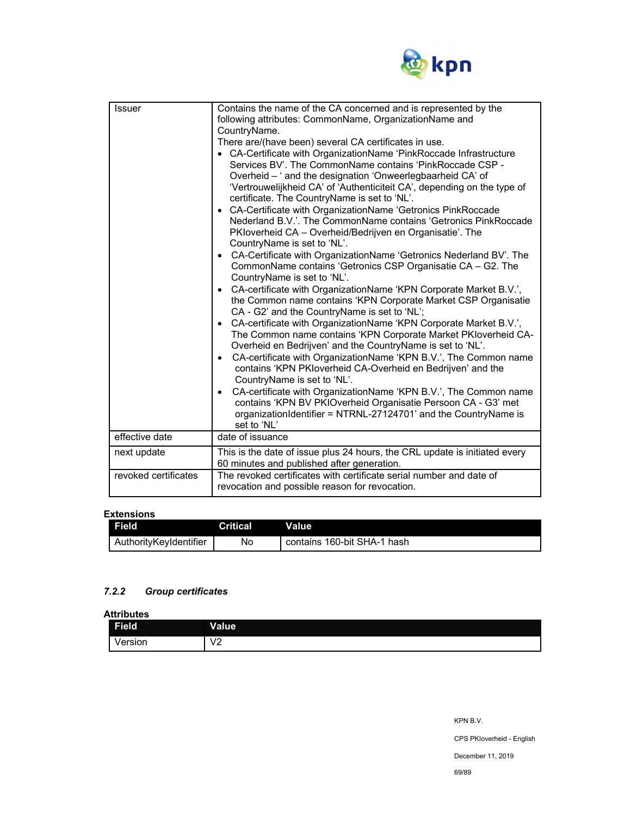

| Issuer               | Contains the name of the CA concerned and is represented by the<br>following attributes: CommonName, OrganizationName and<br>CountryName.<br>There are/(have been) several CA certificates in use.<br>• CA-Certificate with OrganizationName 'PinkRoccade Infrastructure<br>Services BV'. The CommonName contains 'PinkRoccade CSP -<br>Overheid - ' and the designation 'Onweerlegbaarheid CA' of<br>'Vertrouwelijkheid CA' of 'Authenticiteit CA', depending on the type of<br>certificate. The CountryName is set to 'NL'.<br>CA-Certificate with OrganizationName 'Getronics PinkRoccade<br>Nederland B.V.'. The CommonName contains 'Getronics PinkRoccade<br>PKIoverheid CA – Overheid/Bedrijven en Organisatie'. The<br>CountryName is set to 'NL'.<br>CA-Certificate with OrganizationName 'Getronics Nederland BV'. The<br>$\bullet$<br>CommonName contains 'Getronics CSP Organisatie CA - G2. The<br>CountryName is set to 'NL'.<br>CA-certificate with OrganizationName 'KPN Corporate Market B.V.',<br>$\bullet$<br>the Common name contains 'KPN Corporate Market CSP Organisatie<br>CA - G2' and the CountryName is set to 'NL';<br>CA-certificate with OrganizationName 'KPN Corporate Market B.V.',<br>$\bullet$<br>The Common name contains 'KPN Corporate Market PKloverheid CA-<br>Overheid en Bedrijven' and the CountryName is set to 'NL'.<br>CA-certificate with OrganizationName 'KPN B.V.', The Common name<br>$\bullet$<br>contains 'KPN PKIoverheid CA-Overheid en Bedrijven' and the<br>CountryName is set to 'NL'.<br>CA-certificate with OrganizationName 'KPN B.V.', The Common name<br>$\bullet$<br>contains 'KPN BV PKIOverheid Organisatie Persoon CA - G3' met<br>organizationIdentifier = NTRNL-27124701' and the CountryName is |
|----------------------|-----------------------------------------------------------------------------------------------------------------------------------------------------------------------------------------------------------------------------------------------------------------------------------------------------------------------------------------------------------------------------------------------------------------------------------------------------------------------------------------------------------------------------------------------------------------------------------------------------------------------------------------------------------------------------------------------------------------------------------------------------------------------------------------------------------------------------------------------------------------------------------------------------------------------------------------------------------------------------------------------------------------------------------------------------------------------------------------------------------------------------------------------------------------------------------------------------------------------------------------------------------------------------------------------------------------------------------------------------------------------------------------------------------------------------------------------------------------------------------------------------------------------------------------------------------------------------------------------------------------------------------------------------------------------------------------------------------------------------------------------------------------------|
|                      | set to 'NL'                                                                                                                                                                                                                                                                                                                                                                                                                                                                                                                                                                                                                                                                                                                                                                                                                                                                                                                                                                                                                                                                                                                                                                                                                                                                                                                                                                                                                                                                                                                                                                                                                                                                                                                                                           |
| effective date       | date of issuance                                                                                                                                                                                                                                                                                                                                                                                                                                                                                                                                                                                                                                                                                                                                                                                                                                                                                                                                                                                                                                                                                                                                                                                                                                                                                                                                                                                                                                                                                                                                                                                                                                                                                                                                                      |
| next update          | This is the date of issue plus 24 hours, the CRL update is initiated every<br>60 minutes and published after generation.                                                                                                                                                                                                                                                                                                                                                                                                                                                                                                                                                                                                                                                                                                                                                                                                                                                                                                                                                                                                                                                                                                                                                                                                                                                                                                                                                                                                                                                                                                                                                                                                                                              |
| revoked certificates | The revoked certificates with certificate serial number and date of<br>revocation and possible reason for revocation.                                                                                                                                                                                                                                                                                                                                                                                                                                                                                                                                                                                                                                                                                                                                                                                                                                                                                                                                                                                                                                                                                                                                                                                                                                                                                                                                                                                                                                                                                                                                                                                                                                                 |

### **Extensions**

| <b>Field</b>           | <b>Critical</b> | Value                       |
|------------------------|-----------------|-----------------------------|
| AuthorityKeyIdentifier | No              | contains 160-bit SHA-1 hash |

## *7.2.2 Group certificates*

**Attributes** 

| .<br>Field | Value                  |
|------------|------------------------|
| Version    | $\sqrt{2}$<br>v<br>0 Z |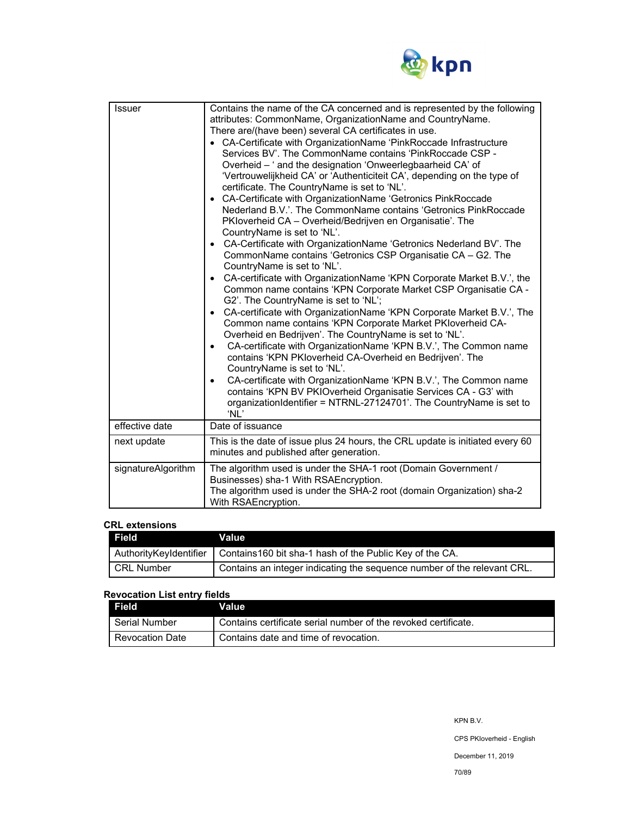

| <b>Issuer</b>      | Contains the name of the CA concerned and is represented by the following<br>attributes: CommonName, OrganizationName and CountryName.<br>There are/(have been) several CA certificates in use.<br>• CA-Certificate with OrganizationName 'PinkRoccade Infrastructure<br>Services BV'. The CommonName contains 'PinkRoccade CSP -<br>Overheid - ' and the designation 'Onweerlegbaarheid CA' of<br>'Vertrouwelijkheid CA' or 'Authenticiteit CA', depending on the type of<br>certificate. The CountryName is set to 'NL'.<br>• CA-Certificate with OrganizationName 'Getronics PinkRoccade<br>Nederland B.V.'. The CommonName contains 'Getronics PinkRoccade<br>PKloverheid CA - Overheid/Bedrijven en Organisatie'. The<br>CountryName is set to 'NL'.<br>• CA-Certificate with OrganizationName 'Getronics Nederland BV'. The<br>CommonName contains 'Getronics CSP Organisatie CA - G2. The<br>CountryName is set to 'NL'.<br>• CA-certificate with OrganizationName 'KPN Corporate Market B.V.', the<br>Common name contains 'KPN Corporate Market CSP Organisatie CA -<br>G2'. The CountryName is set to 'NL';<br>CA-certificate with OrganizationName 'KPN Corporate Market B.V.', The<br>$\bullet$<br>Common name contains 'KPN Corporate Market PKIoverheid CA-<br>Overheid en Bedrijven'. The CountryName is set to 'NL'.<br>CA-certificate with OrganizationName 'KPN B.V.', The Common name<br>$\bullet$<br>contains 'KPN PKIoverheid CA-Overheid en Bedrijven'. The<br>CountryName is set to 'NL'.<br>CA-certificate with OrganizationName 'KPN B.V.', The Common name<br>$\bullet$<br>contains 'KPN BV PKIOverheid Organisatie Services CA - G3' with<br>organizationIdentifier = NTRNL-27124701'. The CountryName is set to<br>'NL' |
|--------------------|-----------------------------------------------------------------------------------------------------------------------------------------------------------------------------------------------------------------------------------------------------------------------------------------------------------------------------------------------------------------------------------------------------------------------------------------------------------------------------------------------------------------------------------------------------------------------------------------------------------------------------------------------------------------------------------------------------------------------------------------------------------------------------------------------------------------------------------------------------------------------------------------------------------------------------------------------------------------------------------------------------------------------------------------------------------------------------------------------------------------------------------------------------------------------------------------------------------------------------------------------------------------------------------------------------------------------------------------------------------------------------------------------------------------------------------------------------------------------------------------------------------------------------------------------------------------------------------------------------------------------------------------------------------------------------------------------------------------------------------------------------|
| effective date     | Date of issuance                                                                                                                                                                                                                                                                                                                                                                                                                                                                                                                                                                                                                                                                                                                                                                                                                                                                                                                                                                                                                                                                                                                                                                                                                                                                                                                                                                                                                                                                                                                                                                                                                                                                                                                                    |
| next update        | This is the date of issue plus 24 hours, the CRL update is initiated every 60<br>minutes and published after generation.                                                                                                                                                                                                                                                                                                                                                                                                                                                                                                                                                                                                                                                                                                                                                                                                                                                                                                                                                                                                                                                                                                                                                                                                                                                                                                                                                                                                                                                                                                                                                                                                                            |
| signatureAlgorithm | The algorithm used is under the SHA-1 root (Domain Government /<br>Businesses) sha-1 With RSAEncryption.<br>The algorithm used is under the SHA-2 root (domain Organization) sha-2<br>With RSAEncryption.                                                                                                                                                                                                                                                                                                                                                                                                                                                                                                                                                                                                                                                                                                                                                                                                                                                                                                                                                                                                                                                                                                                                                                                                                                                                                                                                                                                                                                                                                                                                           |

### **CRL extensions**

| . Field <b>I</b> | Value                                                                              |
|------------------|------------------------------------------------------------------------------------|
|                  | Authority Keyldentifier   Contains 160 bit sha-1 hash of the Public Key of the CA. |
| l CRL Number     | Contains an integer indicating the sequence number of the relevant CRL.            |

# **Revocation List entry fields**

| Field           | Value                                                          |
|-----------------|----------------------------------------------------------------|
| ∣ Serial Number | Contains certificate serial number of the revoked certificate. |
| Revocation Date | Contains date and time of revocation.                          |

CPS PKIoverheid - English

December 11, 2019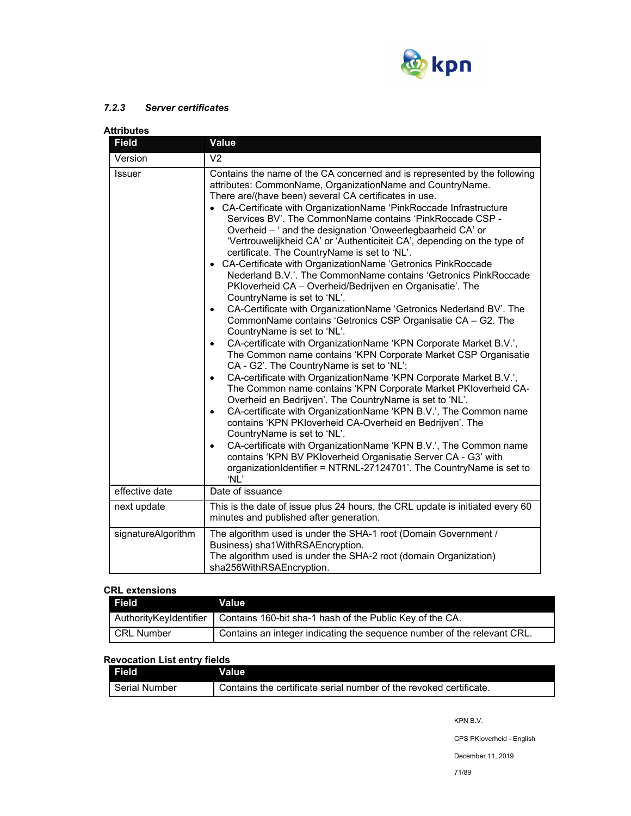

# *7.2.3 Server certificates*

| Attributes         |                                                                                                                                                                                                                                                                                                                                                                                                                                                                                                                                                                                                                                                                                                                                                                                                                                                                                                                                                                                                                                                                                                                                                                                                                                                                                                                                                                                                                                                                                                                                                                                                                                                                                                                                                                         |  |
|--------------------|-------------------------------------------------------------------------------------------------------------------------------------------------------------------------------------------------------------------------------------------------------------------------------------------------------------------------------------------------------------------------------------------------------------------------------------------------------------------------------------------------------------------------------------------------------------------------------------------------------------------------------------------------------------------------------------------------------------------------------------------------------------------------------------------------------------------------------------------------------------------------------------------------------------------------------------------------------------------------------------------------------------------------------------------------------------------------------------------------------------------------------------------------------------------------------------------------------------------------------------------------------------------------------------------------------------------------------------------------------------------------------------------------------------------------------------------------------------------------------------------------------------------------------------------------------------------------------------------------------------------------------------------------------------------------------------------------------------------------------------------------------------------------|--|
| <b>Field</b>       | Value                                                                                                                                                                                                                                                                                                                                                                                                                                                                                                                                                                                                                                                                                                                                                                                                                                                                                                                                                                                                                                                                                                                                                                                                                                                                                                                                                                                                                                                                                                                                                                                                                                                                                                                                                                   |  |
| Version            | V <sub>2</sub>                                                                                                                                                                                                                                                                                                                                                                                                                                                                                                                                                                                                                                                                                                                                                                                                                                                                                                                                                                                                                                                                                                                                                                                                                                                                                                                                                                                                                                                                                                                                                                                                                                                                                                                                                          |  |
| <b>Issuer</b>      | Contains the name of the CA concerned and is represented by the following<br>attributes: CommonName, OrganizationName and CountryName.<br>There are/(have been) several CA certificates in use.<br>• CA-Certificate with OrganizationName 'PinkRoccade Infrastructure<br>Services BV'. The CommonName contains 'PinkRoccade CSP -<br>Overheid - ' and the designation 'Onweerlegbaarheid CA' or<br>'Vertrouwelijkheid CA' or 'Authenticiteit CA', depending on the type of<br>certificate. The CountryName is set to 'NL'.<br>• CA-Certificate with OrganizationName 'Getronics PinkRoccade<br>Nederland B.V.'. The CommonName contains 'Getronics PinkRoccade<br>PKloverheid CA - Overheid/Bedrijven en Organisatie'. The<br>CountryName is set to 'NL'.<br>CA-Certificate with OrganizationName 'Getronics Nederland BV'. The<br>$\bullet$<br>CommonName contains 'Getronics CSP Organisatie CA - G2. The<br>CountryName is set to 'NL'.<br>CA-certificate with OrganizationName 'KPN Corporate Market B.V.',<br>$\bullet$<br>The Common name contains 'KPN Corporate Market CSP Organisatie<br>CA - G2'. The CountryName is set to 'NL';<br>CA-certificate with OrganizationName 'KPN Corporate Market B.V.',<br>$\bullet$<br>The Common name contains 'KPN Corporate Market PKIoverheid CA-<br>Overheid en Bedrijven'. The CountryName is set to 'NL'.<br>CA-certificate with OrganizationName 'KPN B.V.', The Common name<br>$\bullet$<br>contains 'KPN PKloverheid CA-Overheid en Bedrijven'. The<br>CountryName is set to 'NL'.<br>CA-certificate with OrganizationName 'KPN B.V.', The Common name<br>$\bullet$<br>contains 'KPN BV PKloverheid Organisatie Server CA - G3' with<br>organizationIdentifier = NTRNL-27124701'. The CountryName is set to<br>'NL' |  |
| effective date     | Date of issuance                                                                                                                                                                                                                                                                                                                                                                                                                                                                                                                                                                                                                                                                                                                                                                                                                                                                                                                                                                                                                                                                                                                                                                                                                                                                                                                                                                                                                                                                                                                                                                                                                                                                                                                                                        |  |
| next update        | This is the date of issue plus 24 hours, the CRL update is initiated every 60<br>minutes and published after generation.                                                                                                                                                                                                                                                                                                                                                                                                                                                                                                                                                                                                                                                                                                                                                                                                                                                                                                                                                                                                                                                                                                                                                                                                                                                                                                                                                                                                                                                                                                                                                                                                                                                |  |
| signatureAlgorithm | The algorithm used is under the SHA-1 root (Domain Government /<br>Business) sha1WithRSAEncryption.<br>The algorithm used is under the SHA-2 root (domain Organization)<br>sha256WithRSAEncryption.                                                                                                                                                                                                                                                                                                                                                                                                                                                                                                                                                                                                                                                                                                                                                                                                                                                                                                                                                                                                                                                                                                                                                                                                                                                                                                                                                                                                                                                                                                                                                                     |  |

### **CRL extensions**

| Field                  | Value                                                                   |
|------------------------|-------------------------------------------------------------------------|
| AuthorityKeyIdentifier | Contains 160-bit sha-1 hash of the Public Key of the CA.                |
| CRL Number             | Contains an integer indicating the sequence number of the relevant CRL. |

## **Revocation List entry fields**

| <b>Field</b>  | Value                                                              |
|---------------|--------------------------------------------------------------------|
| Serial Number | Contains the certificate serial number of the revoked certificate. |

KPN B.V.

CPS PKIoverheid - English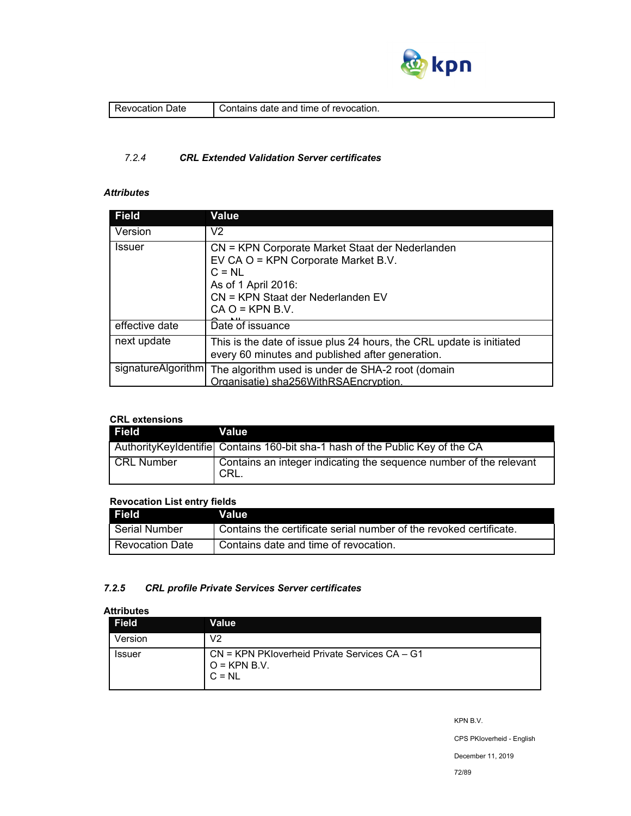

| Jate<br>п<br>. | revocation.<br>contains.<br>time<br>and<br>ΩT<br>-date f |
|----------------|----------------------------------------------------------|
|                |                                                          |

## *7.2.4 CRL Extended Validation Server certificates*

# *Attributes*

| <b>Field</b>       | <b>Value</b>                                                                                                                                                                        |
|--------------------|-------------------------------------------------------------------------------------------------------------------------------------------------------------------------------------|
| Version            | V <sub>2</sub>                                                                                                                                                                      |
| <b>Issuer</b>      | CN = KPN Corporate Market Staat der Nederlanden<br>EV CA O = KPN Corporate Market B.V.<br>$C = NL$<br>As of 1 April 2016:<br>CN = KPN Staat der Nederlanden EV<br>$CA O = KPN B.V.$ |
| effective date     | Date of issuance                                                                                                                                                                    |
| next update        | This is the date of issue plus 24 hours, the CRL update is initiated<br>every 60 minutes and published after generation.                                                            |
| signatureAlgorithm | The algorithm used is under de SHA-2 root (domain<br>Organisatie) sha256WithRSAEncryption.                                                                                          |

# **CRL extensions**

| <b>Field</b> | Value                                                                           |
|--------------|---------------------------------------------------------------------------------|
|              | Authority Keyldentifiel Contains 160-bit sha-1 hash of the Public Key of the CA |
| l CRL Number | Contains an integer indicating the sequence number of the relevant<br>I CRL.    |

## **Revocation List entry fields**

| Field <sup>1</sup>     | Value                                                              |
|------------------------|--------------------------------------------------------------------|
| l Serial Number        | Contains the certificate serial number of the revoked certificate. |
| <b>Revocation Date</b> | Contains date and time of revocation.                              |

## *7.2.5 CRL profile Private Services Server certificates*

## **Attributes**

| <b>Field</b>  | Value                                                                           |
|---------------|---------------------------------------------------------------------------------|
| Version       | V2                                                                              |
| <b>Issuer</b> | $CN = KPN$ PKIoverheid Private Services $CA - G1$<br>$O =$ KPN B.V.<br>$C = NL$ |

KPN B.V.

CPS PKIoverheid - English

December 11, 2019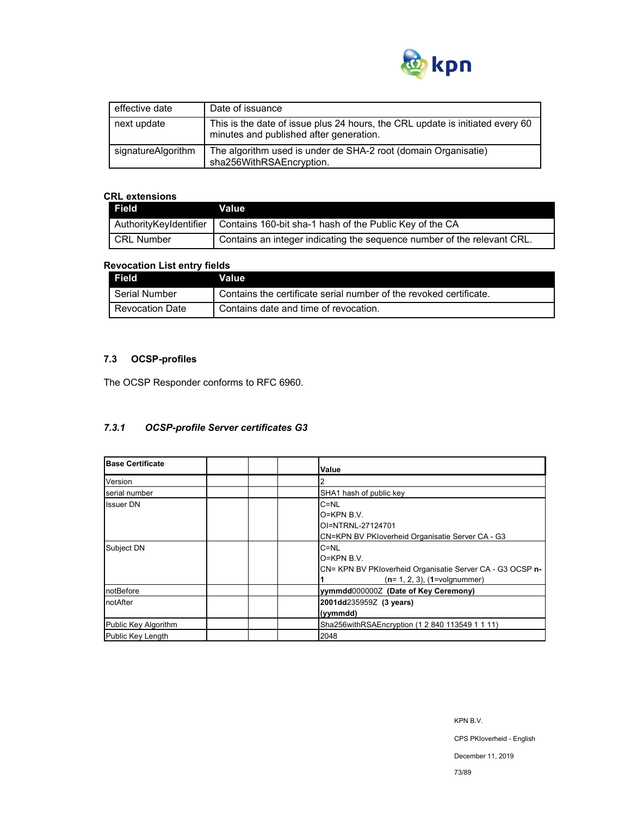

| effective date     | Date of issuance                                                                                                         |
|--------------------|--------------------------------------------------------------------------------------------------------------------------|
| next update        | This is the date of issue plus 24 hours, the CRL update is initiated every 60<br>minutes and published after generation. |
| signatureAlgorithm | The algorithm used is under de SHA-2 root (domain Organisatie)<br>sha256WithRSAEncryption.                               |

## **CRL extensions**

| <b>Field</b>           | Value                                                                   |
|------------------------|-------------------------------------------------------------------------|
| AuthorityKeyIdentifier | Contains 160-bit sha-1 hash of the Public Key of the CA                 |
| l CRL Number           | Contains an integer indicating the sequence number of the relevant CRL. |

### **Revocation List entry fields**

| Field                  | Value                                                              |
|------------------------|--------------------------------------------------------------------|
| Serial Number          | Contains the certificate serial number of the revoked certificate. |
| <b>Revocation Date</b> | Contains date and time of revocation.                              |

# **7.3 OCSP-profiles**

The OCSP Responder conforms to RFC 6960.

## *7.3.1 OCSP-profile Server certificates G3*

| <b>Base Certificate</b> | Value                                                                                                                      |
|-------------------------|----------------------------------------------------------------------------------------------------------------------------|
| Version                 |                                                                                                                            |
| serial number           | SHA1 hash of public key                                                                                                    |
| <b>Issuer DN</b>        | $C = NL$<br>$O=KPN B.V.$<br>OI=NTRNL-27124701<br>CN=KPN BV PKIoverheid Organisatie Server CA - G3                          |
| Subject DN              | $C = NL$<br>$O=KPN B.V.$<br>CN= KPN BV PKloverheid Organisatie Server CA - G3 OCSP n-<br>$(n=1, 2, 3)$ , $(1=$ volgnummer) |
| notBefore               | yymmdd0000002 (Date of Key Ceremony)                                                                                       |
| notAfter                | 2001dd235959Z (3 years)<br>(yymmdd)                                                                                        |
| Public Key Algorithm    | Sha256withRSAEncryption (1 2 840 113549 1 1 11)                                                                            |
| Public Key Length       | 2048                                                                                                                       |

December 11, 2019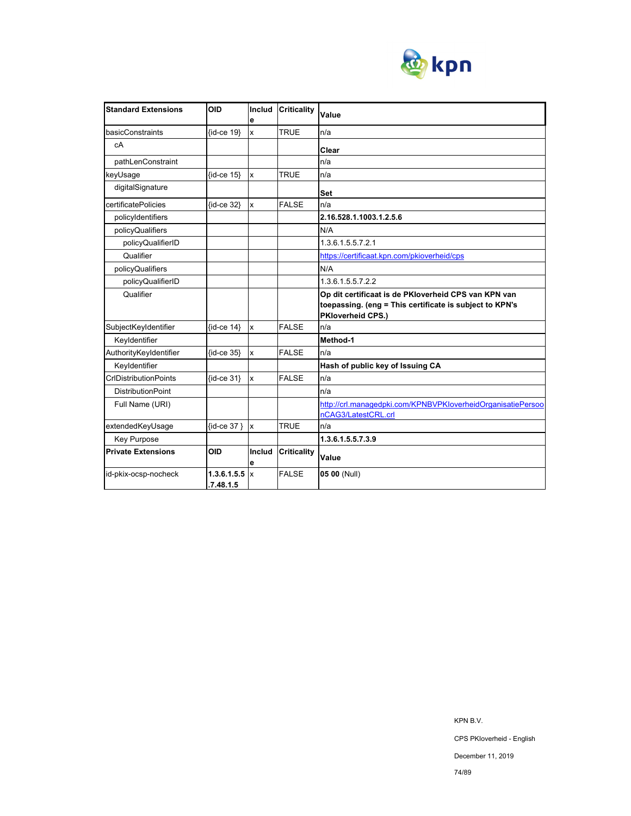

| <b>Standard Extensions</b>   | <b>OID</b>               | Includ<br>e             | <b>Criticality</b> | Value                                                                                                                                |
|------------------------------|--------------------------|-------------------------|--------------------|--------------------------------------------------------------------------------------------------------------------------------------|
| basicConstraints             | {id-ce 19}               | $\overline{\mathsf{x}}$ | <b>TRUE</b>        | n/a                                                                                                                                  |
| cA                           |                          |                         |                    | Clear                                                                                                                                |
| pathLenConstraint            |                          |                         |                    | n/a                                                                                                                                  |
| keyUsage                     | $\{id-ce 15\}$           | $\mathbf{x}$            | <b>TRUE</b>        | n/a                                                                                                                                  |
| digitalSignature             |                          |                         |                    | Set                                                                                                                                  |
| certificatePolicies          | {id-ce 32}               | $\mathbf{x}$            | <b>FALSE</b>       | n/a                                                                                                                                  |
| policyIdentifiers            |                          |                         |                    | 2.16.528.1.1003.1.2.5.6                                                                                                              |
| policyQualifiers             |                          |                         |                    | N/A                                                                                                                                  |
| policyQualifierID            |                          |                         |                    | 1.3.6.1.5.5.7.2.1                                                                                                                    |
| Qualifier                    |                          |                         |                    | https://certificaat.kpn.com/pkioverheid/cps                                                                                          |
| policyQualifiers             |                          |                         |                    | N/A                                                                                                                                  |
| policyQualifierID            |                          |                         |                    | 1.3.6.1.5.5.7.2.2                                                                                                                    |
| Qualifier                    |                          |                         |                    | Op dit certificaat is de PKIoverheid CPS van KPN van<br>toepassing. (eng = This certificate is subject to KPN's<br>PKloverheid CPS.) |
| SubjectKeyIdentifier         | $\{id-ce 14\}$           | Ιx                      | <b>FALSE</b>       | n/a                                                                                                                                  |
| Keyldentifier                |                          |                         |                    | Method-1                                                                                                                             |
| AuthorityKeyIdentifier       | $\{id-ce 35\}$           | $\mathbf{x}$            | <b>FALSE</b>       | n/a                                                                                                                                  |
| Keyldentifier                |                          |                         |                    | Hash of public key of Issuing CA                                                                                                     |
| <b>CrIDistributionPoints</b> | $\{id$ -ce 31}           | $\mathbf{x}$            | <b>FALSE</b>       | n/a                                                                                                                                  |
| <b>DistributionPoint</b>     |                          |                         |                    | n/a                                                                                                                                  |
| Full Name (URI)              |                          |                         |                    | http://crl.managedpki.com/KPNBVPKloverheidOrganisatiePersoo                                                                          |
|                              |                          |                         |                    | nCAG3/LatestCRL.crl                                                                                                                  |
| extendedKeyUsage             | {id-ce 37 } x            |                         | <b>TRUE</b>        | n/a                                                                                                                                  |
| Key Purpose                  |                          |                         |                    | 1.3.6.1.5.5.7.3.9                                                                                                                    |
| <b>Private Extensions</b>    | <b>OID</b>               | Includ<br>е             | <b>Criticality</b> | Value                                                                                                                                |
| id-pkix-ocsp-nocheck         | 1.3.6.1.5.5<br>.7.48.1.5 | $\mathsf{R}$            | <b>FALSE</b>       | 05 00 (Null)                                                                                                                         |

KPN B.V.

December 11, 2019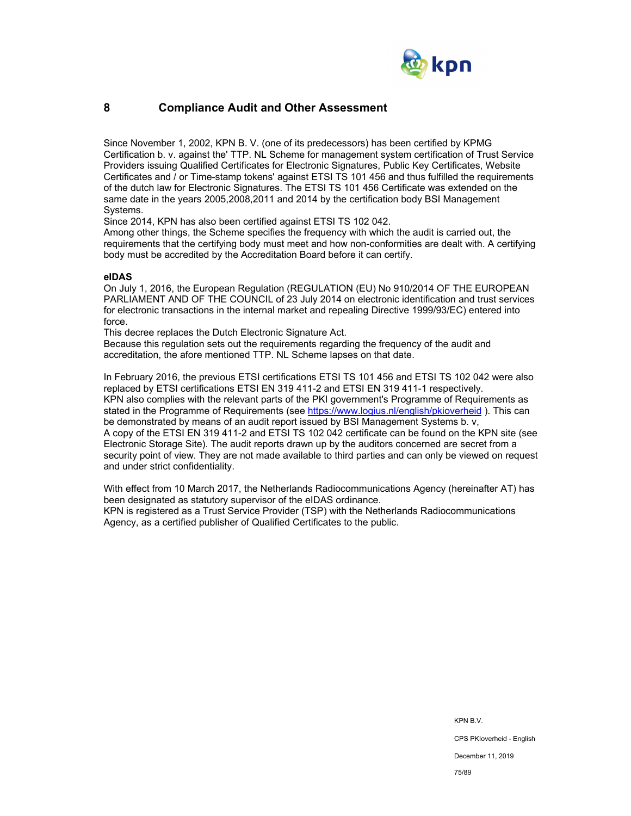

## **8 Compliance Audit and Other Assessment**

Since November 1, 2002, KPN B. V. (one of its predecessors) has been certified by KPMG Certification b. v. against the' TTP. NL Scheme for management system certification of Trust Service Providers issuing Qualified Certificates for Electronic Signatures, Public Key Certificates, Website Certificates and / or Time-stamp tokens' against ETSI TS 101 456 and thus fulfilled the requirements of the dutch law for Electronic Signatures. The ETSI TS 101 456 Certificate was extended on the same date in the years 2005,2008,2011 and 2014 by the certification body BSI Management Systems.

Since 2014, KPN has also been certified against ETSI TS 102 042.

Among other things, the Scheme specifies the frequency with which the audit is carried out, the requirements that the certifying body must meet and how non-conformities are dealt with. A certifying body must be accredited by the Accreditation Board before it can certify.

#### **eIDAS**

On July 1, 2016, the European Regulation (REGULATION (EU) No 910/2014 OF THE EUROPEAN PARLIAMENT AND OF THE COUNCIL of 23 July 2014 on electronic identification and trust services for electronic transactions in the internal market and repealing Directive 1999/93/EC) entered into force.

This decree replaces the Dutch Electronic Signature Act.

Because this regulation sets out the requirements regarding the frequency of the audit and accreditation, the afore mentioned TTP. NL Scheme lapses on that date.

In February 2016, the previous ETSI certifications ETSI TS 101 456 and ETSI TS 102 042 were also replaced by ETSI certifications ETSI EN 319 411-2 and ETSI EN 319 411-1 respectively. KPN also complies with the relevant parts of the PKI government's Programme of Requirements as stated in the Programme of Requirements (see https://www.logius.nl/english/pkioverheid ). This can be demonstrated by means of an audit report issued by BSI Management Systems b. v, A copy of the ETSI EN 319 411-2 and ETSI TS 102 042 certificate can be found on the KPN site (see Electronic Storage Site). The audit reports drawn up by the auditors concerned are secret from a security point of view. They are not made available to third parties and can only be viewed on request and under strict confidentiality.

With effect from 10 March 2017, the Netherlands Radiocommunications Agency (hereinafter AT) has been designated as statutory supervisor of the eIDAS ordinance. KPN is registered as a Trust Service Provider (TSP) with the Netherlands Radiocommunications Agency, as a certified publisher of Qualified Certificates to the public.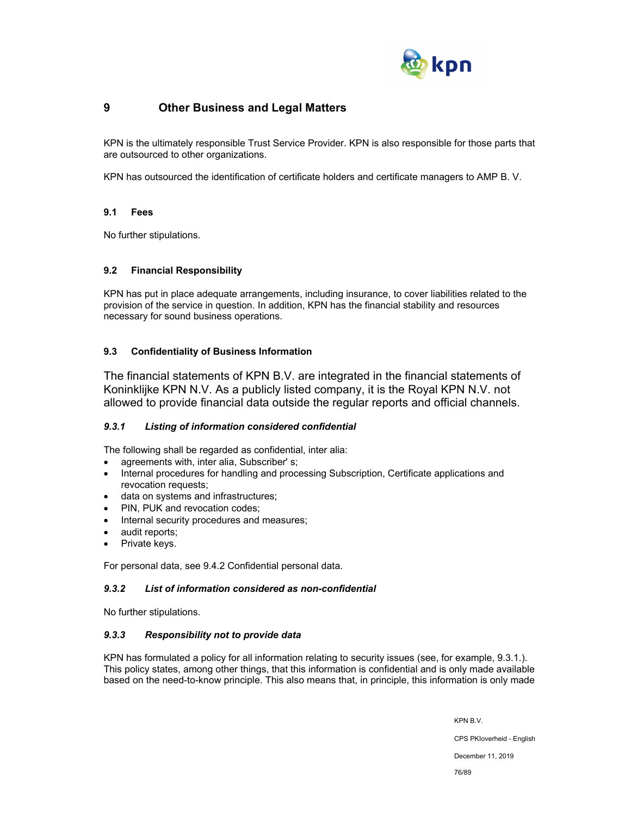

## **9 Other Business and Legal Matters**

KPN is the ultimately responsible Trust Service Provider. KPN is also responsible for those parts that are outsourced to other organizations.

KPN has outsourced the identification of certificate holders and certificate managers to AMP B. V.

## **9.1 Fees**

No further stipulations.

## **9.2 Financial Responsibility**

KPN has put in place adequate arrangements, including insurance, to cover liabilities related to the provision of the service in question. In addition, KPN has the financial stability and resources necessary for sound business operations.

## **9.3 Confidentiality of Business Information**

The financial statements of KPN B.V. are integrated in the financial statements of Koninklijke KPN N.V. As a publicly listed company, it is the Royal KPN N.V. not allowed to provide financial data outside the regular reports and official channels.

## *9.3.1 Listing of information considered confidential*

The following shall be regarded as confidential, inter alia:

- agreements with, inter alia, Subscriber' s;
- Internal procedures for handling and processing Subscription, Certificate applications and revocation requests;
- data on systems and infrastructures;
- PIN, PUK and revocation codes;
- Internal security procedures and measures;
- audit reports;
- Private keys.

For personal data, see 9.4.2 Confidential personal data.

## *9.3.2 List of information considered as non-confidential*

No further stipulations.

## *9.3.3 Responsibility not to provide data*

KPN has formulated a policy for all information relating to security issues (see, for example, 9.3.1.). This policy states, among other things, that this information is confidential and is only made available based on the need-to-know principle. This also means that, in principle, this information is only made

KPN B.V.

CPS PKIoverheid - English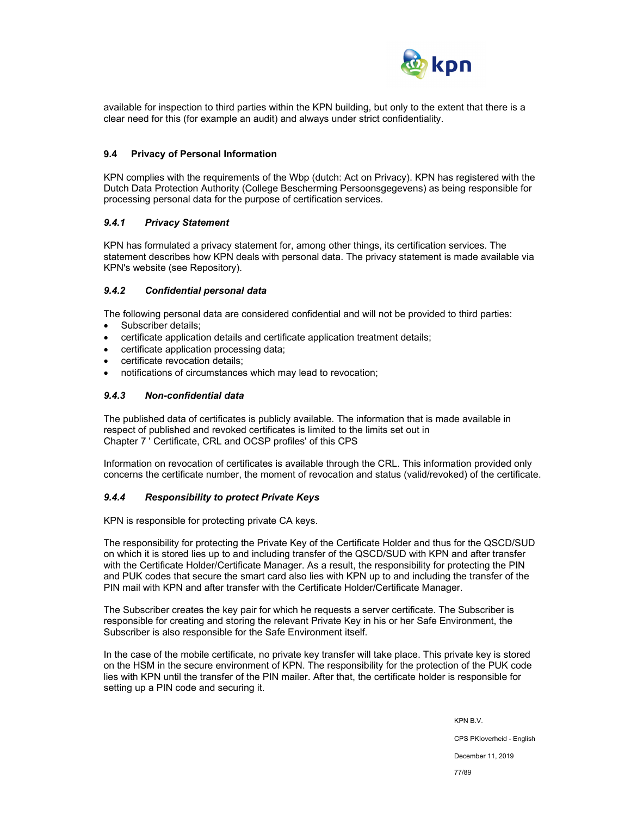

available for inspection to third parties within the KPN building, but only to the extent that there is a clear need for this (for example an audit) and always under strict confidentiality.

#### **9.4 Privacy of Personal Information**

KPN complies with the requirements of the Wbp (dutch: Act on Privacy). KPN has registered with the Dutch Data Protection Authority (College Bescherming Persoonsgegevens) as being responsible for processing personal data for the purpose of certification services.

#### *9.4.1 Privacy Statement*

KPN has formulated a privacy statement for, among other things, its certification services. The statement describes how KPN deals with personal data. The privacy statement is made available via KPN's website (see Repository).

#### *9.4.2 Confidential personal data*

The following personal data are considered confidential and will not be provided to third parties:

- Subscriber details;
- certificate application details and certificate application treatment details;
- certificate application processing data;
- certificate revocation details;
- notifications of circumstances which may lead to revocation;

#### *9.4.3 Non-confidential data*

The published data of certificates is publicly available. The information that is made available in respect of published and revoked certificates is limited to the limits set out in Chapter 7 ' Certificate, CRL and OCSP profiles' of this CPS

Information on revocation of certificates is available through the CRL. This information provided only concerns the certificate number, the moment of revocation and status (valid/revoked) of the certificate.

#### *9.4.4 Responsibility to protect Private Keys*

KPN is responsible for protecting private CA keys.

The responsibility for protecting the Private Key of the Certificate Holder and thus for the QSCD/SUD on which it is stored lies up to and including transfer of the QSCD/SUD with KPN and after transfer with the Certificate Holder/Certificate Manager. As a result, the responsibility for protecting the PIN and PUK codes that secure the smart card also lies with KPN up to and including the transfer of the PIN mail with KPN and after transfer with the Certificate Holder/Certificate Manager.

The Subscriber creates the key pair for which he requests a server certificate. The Subscriber is responsible for creating and storing the relevant Private Key in his or her Safe Environment, the Subscriber is also responsible for the Safe Environment itself.

In the case of the mobile certificate, no private key transfer will take place. This private key is stored on the HSM in the secure environment of KPN. The responsibility for the protection of the PUK code lies with KPN until the transfer of the PIN mailer. After that, the certificate holder is responsible for setting up a PIN code and securing it.

KPN B.V.

CPS PKIoverheid - English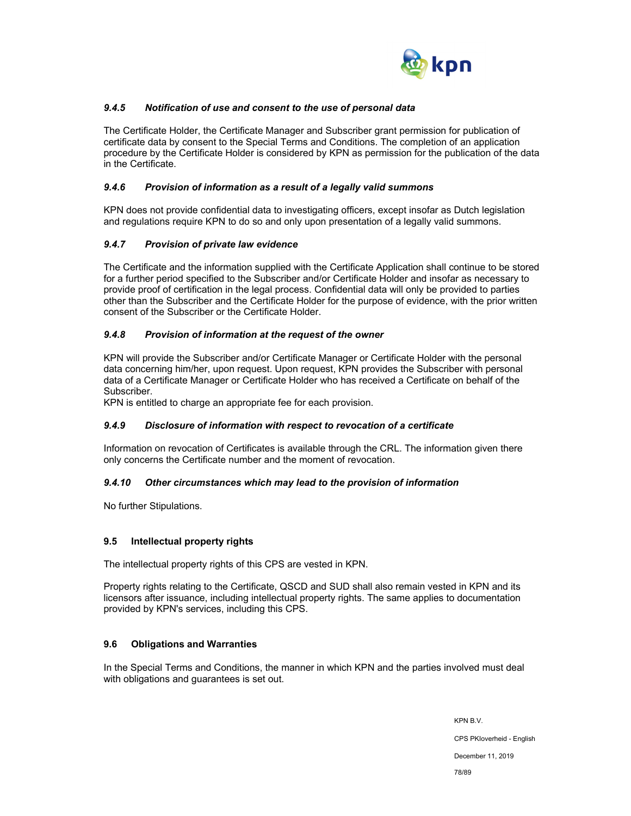

## *9.4.5 Notification of use and consent to the use of personal data*

The Certificate Holder, the Certificate Manager and Subscriber grant permission for publication of certificate data by consent to the Special Terms and Conditions. The completion of an application procedure by the Certificate Holder is considered by KPN as permission for the publication of the data in the Certificate.

#### *9.4.6 Provision of information as a result of a legally valid summons*

KPN does not provide confidential data to investigating officers, except insofar as Dutch legislation and regulations require KPN to do so and only upon presentation of a legally valid summons.

## *9.4.7 Provision of private law evidence*

The Certificate and the information supplied with the Certificate Application shall continue to be stored for a further period specified to the Subscriber and/or Certificate Holder and insofar as necessary to provide proof of certification in the legal process. Confidential data will only be provided to parties other than the Subscriber and the Certificate Holder for the purpose of evidence, with the prior written consent of the Subscriber or the Certificate Holder.

## *9.4.8 Provision of information at the request of the owner*

KPN will provide the Subscriber and/or Certificate Manager or Certificate Holder with the personal data concerning him/her, upon request. Upon request, KPN provides the Subscriber with personal data of a Certificate Manager or Certificate Holder who has received a Certificate on behalf of the Subscriber.

KPN is entitled to charge an appropriate fee for each provision.

## *9.4.9 Disclosure of information with respect to revocation of a certificate*

Information on revocation of Certificates is available through the CRL. The information given there only concerns the Certificate number and the moment of revocation.

#### *9.4.10 Other circumstances which may lead to the provision of information*

No further Stipulations.

## **9.5 Intellectual property rights**

The intellectual property rights of this CPS are vested in KPN.

Property rights relating to the Certificate, QSCD and SUD shall also remain vested in KPN and its licensors after issuance, including intellectual property rights. The same applies to documentation provided by KPN's services, including this CPS.

## **9.6 Obligations and Warranties**

In the Special Terms and Conditions, the manner in which KPN and the parties involved must deal with obligations and guarantees is set out.

> KPN B.V. CPS PKIoverheid - English December 11, 2019 78/89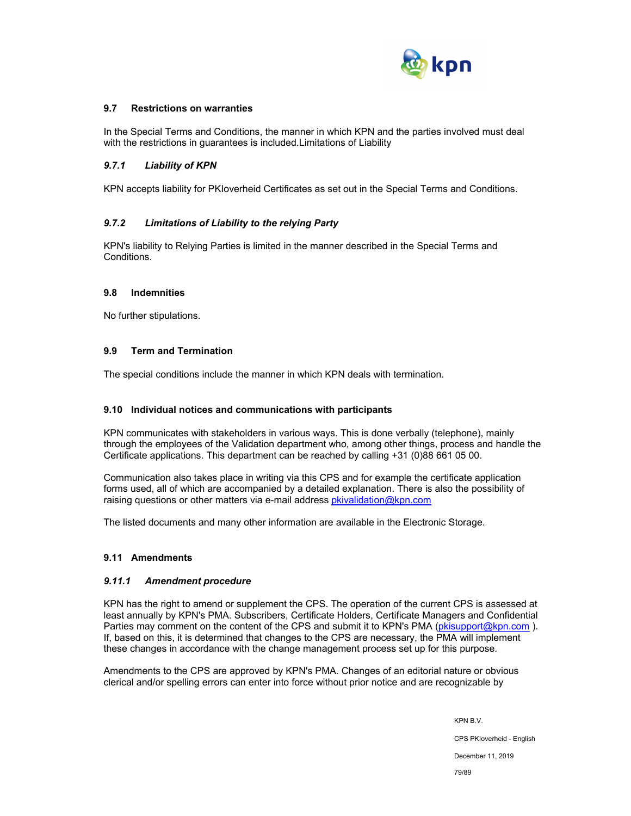

### **9.7 Restrictions on warranties**

In the Special Terms and Conditions, the manner in which KPN and the parties involved must deal with the restrictions in guarantees is included.Limitations of Liability

#### *9.7.1 Liability of KPN*

KPN accepts liability for PKIoverheid Certificates as set out in the Special Terms and Conditions.

#### *9.7.2 Limitations of Liability to the relying Party*

KPN's liability to Relying Parties is limited in the manner described in the Special Terms and Conditions.

#### **9.8 Indemnities**

No further stipulations.

#### **9.9 Term and Termination**

The special conditions include the manner in which KPN deals with termination.

#### **9.10 Individual notices and communications with participants**

KPN communicates with stakeholders in various ways. This is done verbally (telephone), mainly through the employees of the Validation department who, among other things, process and handle the Certificate applications. This department can be reached by calling +31 (0)88 661 05 00.

Communication also takes place in writing via this CPS and for example the certificate application forms used, all of which are accompanied by a detailed explanation. There is also the possibility of raising questions or other matters via e-mail address pkivalidation@kpn.com

The listed documents and many other information are available in the Electronic Storage.

## **9.11 Amendments**

#### *9.11.1 Amendment procedure*

KPN has the right to amend or supplement the CPS. The operation of the current CPS is assessed at least annually by KPN's PMA. Subscribers, Certificate Holders, Certificate Managers and Confidential Parties may comment on the content of the CPS and submit it to KPN's PMA (pkisupport@kpn.com). If, based on this, it is determined that changes to the CPS are necessary, the PMA will implement these changes in accordance with the change management process set up for this purpose.

Amendments to the CPS are approved by KPN's PMA. Changes of an editorial nature or obvious clerical and/or spelling errors can enter into force without prior notice and are recognizable by

> KPN B.V. CPS PKIoverheid - English December 11, 2019 79/89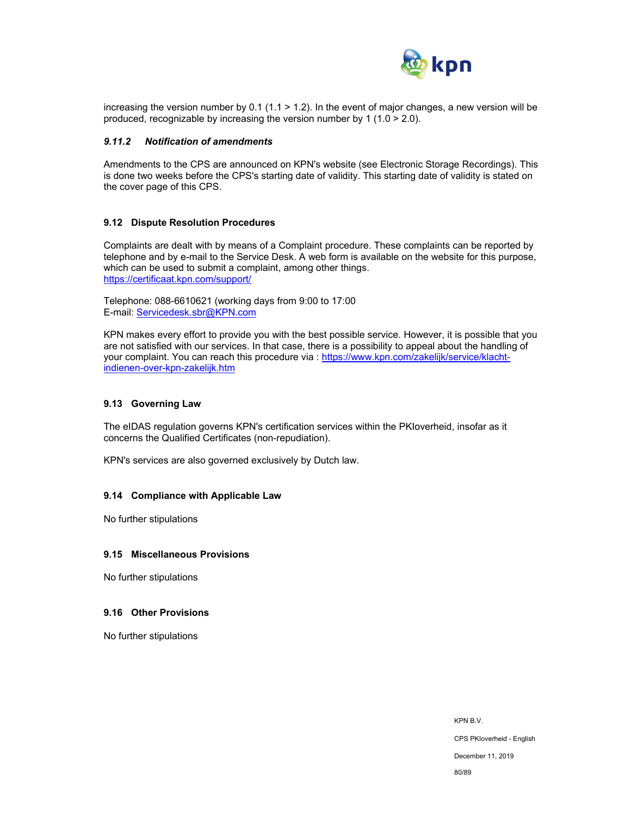

increasing the version number by 0.1 (1.1 > 1.2). In the event of major changes, a new version will be produced, recognizable by increasing the version number by 1 (1.0  $>$  2.0).

#### *9.11.2 Notification of amendments*

Amendments to the CPS are announced on KPN's website (see Electronic Storage Recordings). This is done two weeks before the CPS's starting date of validity. This starting date of validity is stated on the cover page of this CPS.

#### **9.12 Dispute Resolution Procedures**

Complaints are dealt with by means of a Complaint procedure. These complaints can be reported by telephone and by e-mail to the Service Desk. A web form is available on the website for this purpose, which can be used to submit a complaint, among other things. https://certificaat.kpn.com/support/

Telephone: 088-6610621 (working days from 9:00 to 17:00 E-mail: Servicedesk.sbr@KPN.com

KPN makes every effort to provide you with the best possible service. However, it is possible that you are not satisfied with our services. In that case, there is a possibility to appeal about the handling of your complaint. You can reach this procedure via : https://www.kpn.com/zakelijk/service/klachtindienen-over-kpn-zakelijk.htm

#### **9.13 Governing Law**

The eIDAS regulation governs KPN's certification services within the PKIoverheid, insofar as it concerns the Qualified Certificates (non-repudiation).

KPN's services are also governed exclusively by Dutch law.

#### **9.14 Compliance with Applicable Law**

No further stipulations

#### **9.15 Miscellaneous Provisions**

No further stipulations

#### **9.16 Other Provisions**

No further stipulations

KPN B.V. CPS PKIoverheid - English December 11, 2019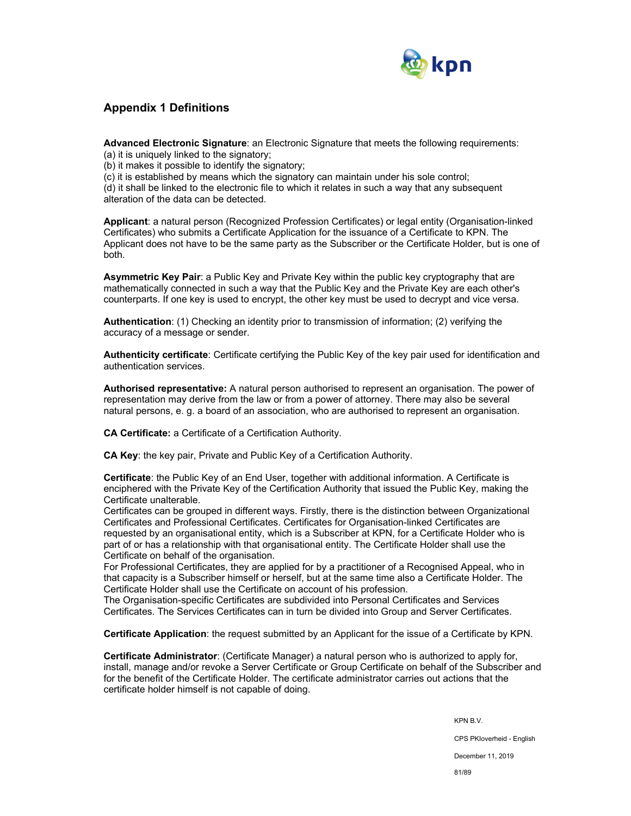

## **Appendix 1 Definitions**

**Advanced Electronic Signature**: an Electronic Signature that meets the following requirements:

(a) it is uniquely linked to the signatory;

(b) it makes it possible to identify the signatory;

(c) it is established by means which the signatory can maintain under his sole control;

(d) it shall be linked to the electronic file to which it relates in such a way that any subsequent alteration of the data can be detected.

**Applicant**: a natural person (Recognized Profession Certificates) or legal entity (Organisation-linked Certificates) who submits a Certificate Application for the issuance of a Certificate to KPN. The Applicant does not have to be the same party as the Subscriber or the Certificate Holder, but is one of both.

**Asymmetric Key Pair**: a Public Key and Private Key within the public key cryptography that are mathematically connected in such a way that the Public Key and the Private Key are each other's counterparts. If one key is used to encrypt, the other key must be used to decrypt and vice versa.

**Authentication**: (1) Checking an identity prior to transmission of information; (2) verifying the accuracy of a message or sender.

**Authenticity certificate**: Certificate certifying the Public Key of the key pair used for identification and authentication services.

**Authorised representative:** A natural person authorised to represent an organisation. The power of representation may derive from the law or from a power of attorney. There may also be several natural persons, e. g. a board of an association, who are authorised to represent an organisation.

**CA Certificate:** a Certificate of a Certification Authority.

**CA Key**: the key pair, Private and Public Key of a Certification Authority.

**Certificate**: the Public Key of an End User, together with additional information. A Certificate is enciphered with the Private Key of the Certification Authority that issued the Public Key, making the Certificate unalterable.

Certificates can be grouped in different ways. Firstly, there is the distinction between Organizational Certificates and Professional Certificates. Certificates for Organisation-linked Certificates are requested by an organisational entity, which is a Subscriber at KPN, for a Certificate Holder who is part of or has a relationship with that organisational entity. The Certificate Holder shall use the Certificate on behalf of the organisation.

For Professional Certificates, they are applied for by a practitioner of a Recognised Appeal, who in that capacity is a Subscriber himself or herself, but at the same time also a Certificate Holder. The Certificate Holder shall use the Certificate on account of his profession.

The Organisation-specific Certificates are subdivided into Personal Certificates and Services Certificates. The Services Certificates can in turn be divided into Group and Server Certificates.

**Certificate Application**: the request submitted by an Applicant for the issue of a Certificate by KPN.

**Certificate Administrator**: (Certificate Manager) a natural person who is authorized to apply for, install, manage and/or revoke a Server Certificate or Group Certificate on behalf of the Subscriber and for the benefit of the Certificate Holder. The certificate administrator carries out actions that the certificate holder himself is not capable of doing.

> KPN B.V. CPS PKIoverheid - English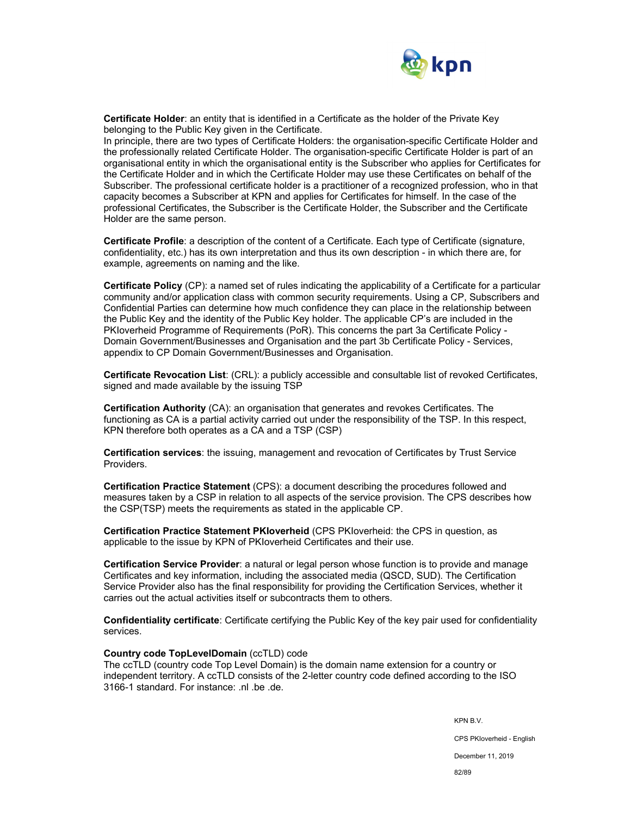

**Certificate Holder**: an entity that is identified in a Certificate as the holder of the Private Key belonging to the Public Key given in the Certificate.

In principle, there are two types of Certificate Holders: the organisation-specific Certificate Holder and the professionally related Certificate Holder. The organisation-specific Certificate Holder is part of an organisational entity in which the organisational entity is the Subscriber who applies for Certificates for the Certificate Holder and in which the Certificate Holder may use these Certificates on behalf of the Subscriber. The professional certificate holder is a practitioner of a recognized profession, who in that capacity becomes a Subscriber at KPN and applies for Certificates for himself. In the case of the professional Certificates, the Subscriber is the Certificate Holder, the Subscriber and the Certificate Holder are the same person.

**Certificate Profile**: a description of the content of a Certificate. Each type of Certificate (signature, confidentiality, etc.) has its own interpretation and thus its own description - in which there are, for example, agreements on naming and the like.

**Certificate Policy** (CP): a named set of rules indicating the applicability of a Certificate for a particular community and/or application class with common security requirements. Using a CP, Subscribers and Confidential Parties can determine how much confidence they can place in the relationship between the Public Key and the identity of the Public Key holder. The applicable CP's are included in the PKIoverheid Programme of Requirements (PoR). This concerns the part 3a Certificate Policy - Domain Government/Businesses and Organisation and the part 3b Certificate Policy - Services, appendix to CP Domain Government/Businesses and Organisation.

**Certificate Revocation List**: (CRL): a publicly accessible and consultable list of revoked Certificates, signed and made available by the issuing TSP

**Certification Authority** (CA): an organisation that generates and revokes Certificates. The functioning as CA is a partial activity carried out under the responsibility of the TSP. In this respect, KPN therefore both operates as a CA and a TSP (CSP)

**Certification services**: the issuing, management and revocation of Certificates by Trust Service Providers.

**Certification Practice Statement** (CPS): a document describing the procedures followed and measures taken by a CSP in relation to all aspects of the service provision. The CPS describes how the CSP(TSP) meets the requirements as stated in the applicable CP.

**Certification Practice Statement PKIoverheid** (CPS PKIoverheid: the CPS in question, as applicable to the issue by KPN of PKIoverheid Certificates and their use.

**Certification Service Provider**: a natural or legal person whose function is to provide and manage Certificates and key information, including the associated media (QSCD, SUD). The Certification Service Provider also has the final responsibility for providing the Certification Services, whether it carries out the actual activities itself or subcontracts them to others.

**Confidentiality certificate**: Certificate certifying the Public Key of the key pair used for confidentiality services.

#### **Country code TopLevelDomain** (ccTLD) code

The ccTLD (country code Top Level Domain) is the domain name extension for a country or independent territory. A ccTLD consists of the 2-letter country code defined according to the ISO 3166-1 standard. For instance: .nl .be .de.

KPN B.V.

CPS PKIoverheid - English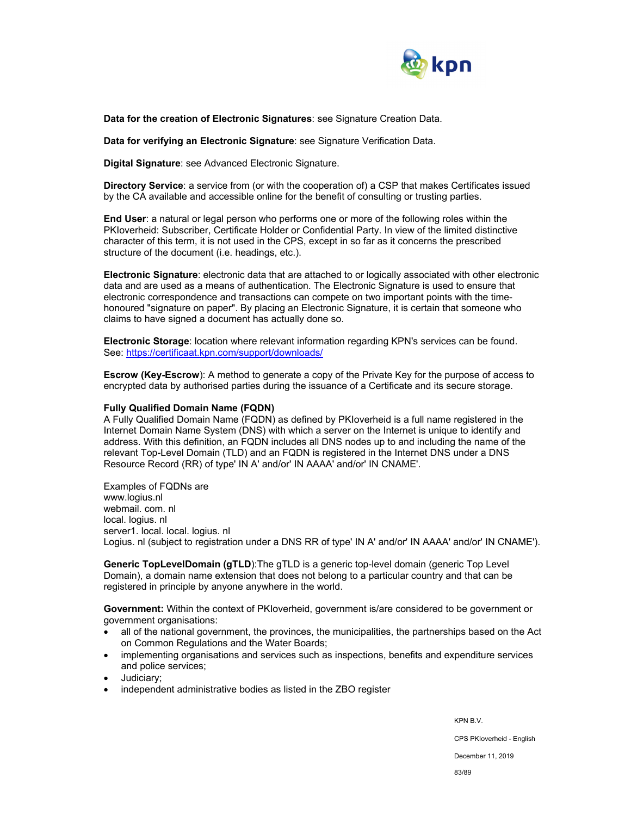

**Data for the creation of Electronic Signatures**: see Signature Creation Data.

**Data for verifying an Electronic Signature**: see Signature Verification Data.

**Digital Signature**: see Advanced Electronic Signature.

**Directory Service**: a service from (or with the cooperation of) a CSP that makes Certificates issued by the CA available and accessible online for the benefit of consulting or trusting parties.

**End User**: a natural or legal person who performs one or more of the following roles within the PKIoverheid: Subscriber, Certificate Holder or Confidential Party. In view of the limited distinctive character of this term, it is not used in the CPS, except in so far as it concerns the prescribed structure of the document (i.e. headings, etc.).

**Electronic Signature**: electronic data that are attached to or logically associated with other electronic data and are used as a means of authentication. The Electronic Signature is used to ensure that electronic correspondence and transactions can compete on two important points with the timehonoured "signature on paper". By placing an Electronic Signature, it is certain that someone who claims to have signed a document has actually done so.

**Electronic Storage**: location where relevant information regarding KPN's services can be found. See: https://certificaat.kpn.com/support/downloads/

**Escrow (Key-Escrow**): A method to generate a copy of the Private Key for the purpose of access to encrypted data by authorised parties during the issuance of a Certificate and its secure storage.

#### **Fully Qualified Domain Name (FQDN)**

A Fully Qualified Domain Name (FQDN) as defined by PKIoverheid is a full name registered in the Internet Domain Name System (DNS) with which a server on the Internet is unique to identify and address. With this definition, an FQDN includes all DNS nodes up to and including the name of the relevant Top-Level Domain (TLD) and an FQDN is registered in the Internet DNS under a DNS Resource Record (RR) of type' IN A' and/or' IN AAAA' and/or' IN CNAME'.

Examples of FQDNs are www.logius.nl webmail. com. nl local. logius. nl server1. local. local. logius. nl Logius. nl (subject to registration under a DNS RR of type' IN A' and/or' IN AAAA' and/or' IN CNAME').

**Generic TopLevelDomain (gTLD**):The gTLD is a generic top-level domain (generic Top Level Domain), a domain name extension that does not belong to a particular country and that can be registered in principle by anyone anywhere in the world.

**Government:** Within the context of PKIoverheid, government is/are considered to be government or government organisations:

- all of the national government, the provinces, the municipalities, the partnerships based on the Act on Common Regulations and the Water Boards;
- implementing organisations and services such as inspections, benefits and expenditure services and police services;
- Judiciary;
- independent administrative bodies as listed in the ZBO register

KPN B.V. CPS PKIoverheid - English December 11, 2019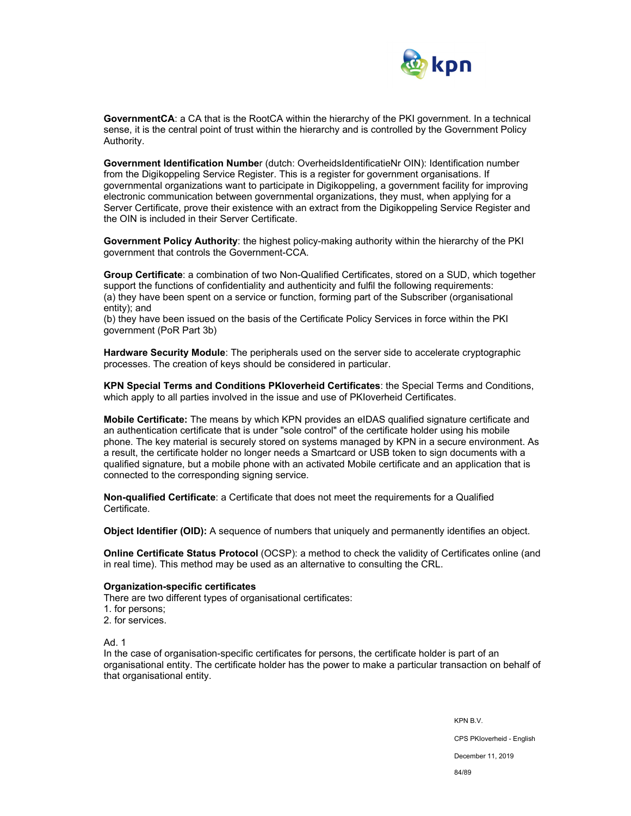

**GovernmentCA**: a CA that is the RootCA within the hierarchy of the PKI government. In a technical sense, it is the central point of trust within the hierarchy and is controlled by the Government Policy Authority.

**Government Identification Numbe**r (dutch: OverheidsIdentificatieNr OIN): Identification number from the Digikoppeling Service Register. This is a register for government organisations. If governmental organizations want to participate in Digikoppeling, a government facility for improving electronic communication between governmental organizations, they must, when applying for a Server Certificate, prove their existence with an extract from the Digikoppeling Service Register and the OIN is included in their Server Certificate.

**Government Policy Authority**: the highest policy-making authority within the hierarchy of the PKI government that controls the Government-CCA.

**Group Certificate**: a combination of two Non-Qualified Certificates, stored on a SUD, which together support the functions of confidentiality and authenticity and fulfil the following requirements: (a) they have been spent on a service or function, forming part of the Subscriber (organisational entity); and

(b) they have been issued on the basis of the Certificate Policy Services in force within the PKI government (PoR Part 3b)

**Hardware Security Module**: The peripherals used on the server side to accelerate cryptographic processes. The creation of keys should be considered in particular.

**KPN Special Terms and Conditions PKIoverheid Certificates**: the Special Terms and Conditions, which apply to all parties involved in the issue and use of PKIoverheid Certificates.

**Mobile Certificate:** The means by which KPN provides an eIDAS qualified signature certificate and an authentication certificate that is under "sole control" of the certificate holder using his mobile phone. The key material is securely stored on systems managed by KPN in a secure environment. As a result, the certificate holder no longer needs a Smartcard or USB token to sign documents with a qualified signature, but a mobile phone with an activated Mobile certificate and an application that is connected to the corresponding signing service.

**Non-qualified Certificate**: a Certificate that does not meet the requirements for a Qualified Certificate.

**Object Identifier (OID):** A sequence of numbers that uniquely and permanently identifies an object.

**Online Certificate Status Protocol** (OCSP): a method to check the validity of Certificates online (and in real time). This method may be used as an alternative to consulting the CRL.

#### **Organization-specific certificates**

There are two different types of organisational certificates:

- 1. for persons;
- 2. for services.

Ad. 1

In the case of organisation-specific certificates for persons, the certificate holder is part of an organisational entity. The certificate holder has the power to make a particular transaction on behalf of that organisational entity.

> KPN B.V. CPS PKIoverheid - English December 11, 2019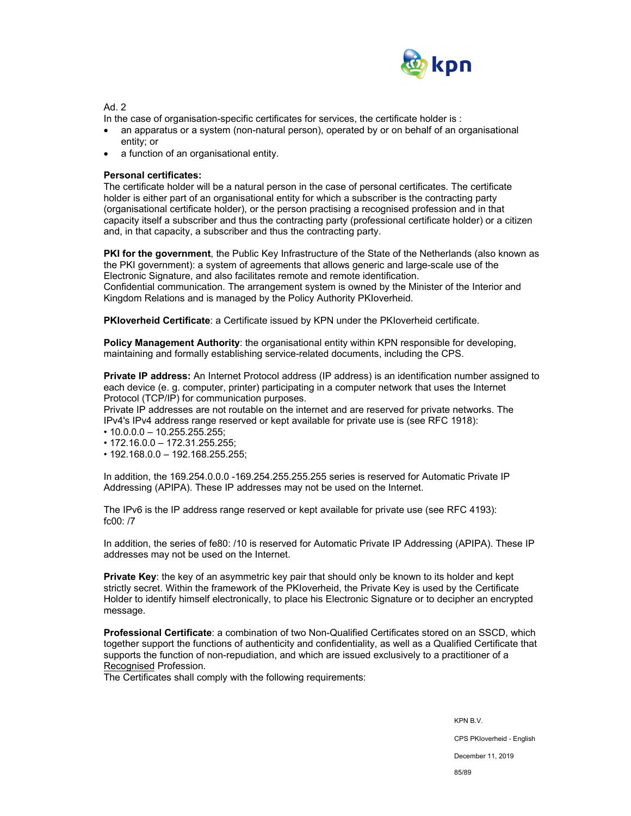

Ad 2

In the case of organisation-specific certificates for services, the certificate holder is :

- an apparatus or a system (non-natural person), operated by or on behalf of an organisational entity; or
- a function of an organisational entity.

### **Personal certificates:**

The certificate holder will be a natural person in the case of personal certificates. The certificate holder is either part of an organisational entity for which a subscriber is the contracting party (organisational certificate holder), or the person practising a recognised profession and in that capacity itself a subscriber and thus the contracting party (professional certificate holder) or a citizen and, in that capacity, a subscriber and thus the contracting party.

**PKI for the government**, the Public Key Infrastructure of the State of the Netherlands (also known as the PKI government): a system of agreements that allows generic and large-scale use of the Electronic Signature, and also facilitates remote and remote identification. Confidential communication. The arrangement system is owned by the Minister of the Interior and Kingdom Relations and is managed by the Policy Authority PKIoverheid.

**PKIoverheid Certificate**: a Certificate issued by KPN under the PKIoverheid certificate.

**Policy Management Authority**: the organisational entity within KPN responsible for developing. maintaining and formally establishing service-related documents, including the CPS.

**Private IP address:** An Internet Protocol address (IP address) is an identification number assigned to each device (e. g. computer, printer) participating in a computer network that uses the Internet Protocol (TCP/IP) for communication purposes.

Private IP addresses are not routable on the internet and are reserved for private networks. The IPv4's IPv4 address range reserved or kept available for private use is (see RFC 1918):

- 10.0.0.0 10.255.255.255;
- 172.16.0.0 172.31.255.255;
- 192.168.0.0 192.168.255.255;

In addition, the 169.254.0.0.0 -169.254.255.255.255 series is reserved for Automatic Private IP Addressing (APIPA). These IP addresses may not be used on the Internet.

The IPv6 is the IP address range reserved or kept available for private use (see RFC 4193): fc00: /7

In addition, the series of fe80: /10 is reserved for Automatic Private IP Addressing (APIPA). These IP addresses may not be used on the Internet.

**Private Key**: the key of an asymmetric key pair that should only be known to its holder and kept strictly secret. Within the framework of the PKIoverheid, the Private Key is used by the Certificate Holder to identify himself electronically, to place his Electronic Signature or to decipher an encrypted message.

**Professional Certificate**: a combination of two Non-Qualified Certificates stored on an SSCD, which together support the functions of authenticity and confidentiality, as well as a Qualified Certificate that supports the function of non-repudiation, and which are issued exclusively to a practitioner of a Recognised Profession.

The Certificates shall comply with the following requirements:

KPN B.V.

CPS PKIoverheid - English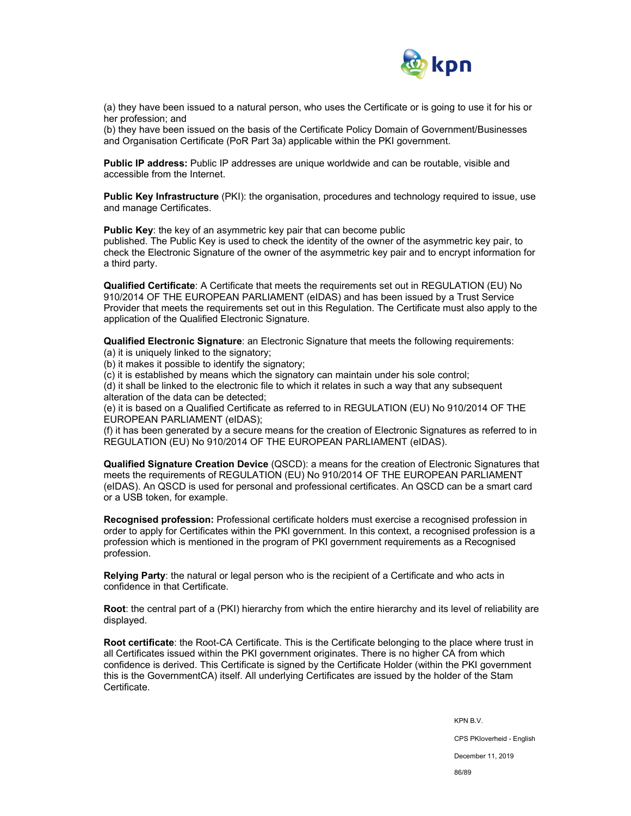

(a) they have been issued to a natural person, who uses the Certificate or is going to use it for his or her profession; and

(b) they have been issued on the basis of the Certificate Policy Domain of Government/Businesses and Organisation Certificate (PoR Part 3a) applicable within the PKI government.

**Public IP address:** Public IP addresses are unique worldwide and can be routable, visible and accessible from the Internet.

**Public Key Infrastructure** (PKI): the organisation, procedures and technology required to issue, use and manage Certificates.

**Public Key**: the key of an asymmetric key pair that can become public

published. The Public Key is used to check the identity of the owner of the asymmetric key pair, to check the Electronic Signature of the owner of the asymmetric key pair and to encrypt information for a third party.

**Qualified Certificate**: A Certificate that meets the requirements set out in REGULATION (EU) No 910/2014 OF THE EUROPEAN PARLIAMENT (eIDAS) and has been issued by a Trust Service Provider that meets the requirements set out in this Regulation. The Certificate must also apply to the application of the Qualified Electronic Signature.

**Qualified Electronic Signature**: an Electronic Signature that meets the following requirements:

(a) it is uniquely linked to the signatory;

(b) it makes it possible to identify the signatory;

(c) it is established by means which the signatory can maintain under his sole control;

(d) it shall be linked to the electronic file to which it relates in such a way that any subsequent alteration of the data can be detected;

(e) it is based on a Qualified Certificate as referred to in REGULATION (EU) No 910/2014 OF THE EUROPEAN PARLIAMENT (eIDAS);

(f) it has been generated by a secure means for the creation of Electronic Signatures as referred to in REGULATION (EU) No 910/2014 OF THE EUROPEAN PARLIAMENT (eIDAS).

**Qualified Signature Creation Device** (QSCD): a means for the creation of Electronic Signatures that meets the requirements of REGULATION (EU) No 910/2014 OF THE EUROPEAN PARLIAMENT (eIDAS). An QSCD is used for personal and professional certificates. An QSCD can be a smart card or a USB token, for example.

**Recognised profession:** Professional certificate holders must exercise a recognised profession in order to apply for Certificates within the PKI government. In this context, a recognised profession is a profession which is mentioned in the program of PKI government requirements as a Recognised profession.

**Relying Party**: the natural or legal person who is the recipient of a Certificate and who acts in confidence in that Certificate.

**Root**: the central part of a (PKI) hierarchy from which the entire hierarchy and its level of reliability are displayed.

**Root certificate**: the Root-CA Certificate. This is the Certificate belonging to the place where trust in all Certificates issued within the PKI government originates. There is no higher CA from which confidence is derived. This Certificate is signed by the Certificate Holder (within the PKI government this is the GovernmentCA) itself. All underlying Certificates are issued by the holder of the Stam Certificate.

KPN B.V.

CPS PKIoverheid - English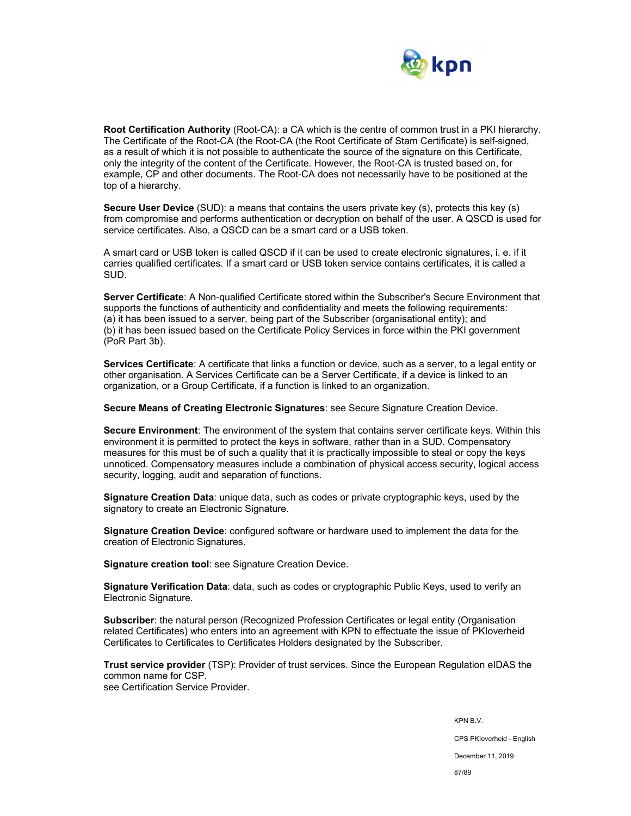

**Root Certification Authority** (Root-CA): a CA which is the centre of common trust in a PKI hierarchy. The Certificate of the Root-CA (the Root-CA (the Root Certificate of Stam Certificate) is self-signed, as a result of which it is not possible to authenticate the source of the signature on this Certificate, only the integrity of the content of the Certificate. However, the Root-CA is trusted based on, for example, CP and other documents. The Root-CA does not necessarily have to be positioned at the top of a hierarchy.

**Secure User Device** (SUD): a means that contains the users private key (s), protects this key (s) from compromise and performs authentication or decryption on behalf of the user. A QSCD is used for service certificates. Also, a QSCD can be a smart card or a USB token.

A smart card or USB token is called QSCD if it can be used to create electronic signatures, i. e. if it carries qualified certificates. If a smart card or USB token service contains certificates, it is called a SUD.

**Server Certificate**: A Non-qualified Certificate stored within the Subscriber's Secure Environment that supports the functions of authenticity and confidentiality and meets the following requirements: (a) it has been issued to a server, being part of the Subscriber (organisational entity); and (b) it has been issued based on the Certificate Policy Services in force within the PKI government (PoR Part 3b).

**Services Certificate**: A certificate that links a function or device, such as a server, to a legal entity or other organisation. A Services Certificate can be a Server Certificate, if a device is linked to an organization, or a Group Certificate, if a function is linked to an organization.

**Secure Means of Creating Electronic Signatures**: see Secure Signature Creation Device.

**Secure Environment**: The environment of the system that contains server certificate keys. Within this environment it is permitted to protect the keys in software, rather than in a SUD. Compensatory measures for this must be of such a quality that it is practically impossible to steal or copy the keys unnoticed. Compensatory measures include a combination of physical access security, logical access security, logging, audit and separation of functions.

**Signature Creation Data**: unique data, such as codes or private cryptographic keys, used by the signatory to create an Electronic Signature.

**Signature Creation Device**: configured software or hardware used to implement the data for the creation of Electronic Signatures.

**Signature creation tool**: see Signature Creation Device.

**Signature Verification Data**: data, such as codes or cryptographic Public Keys, used to verify an Electronic Signature.

**Subscriber:** the natural person (Recognized Profession Certificates or legal entity (Organisation related Certificates) who enters into an agreement with KPN to effectuate the issue of PKIoverheid Certificates to Certificates to Certificates Holders designated by the Subscriber.

**Trust service provider** (TSP): Provider of trust services. Since the European Regulation eIDAS the common name for CSP. see Certification Service Provider.

> KPN B.V. CPS PKIoverheid - English December 11, 2019 87/89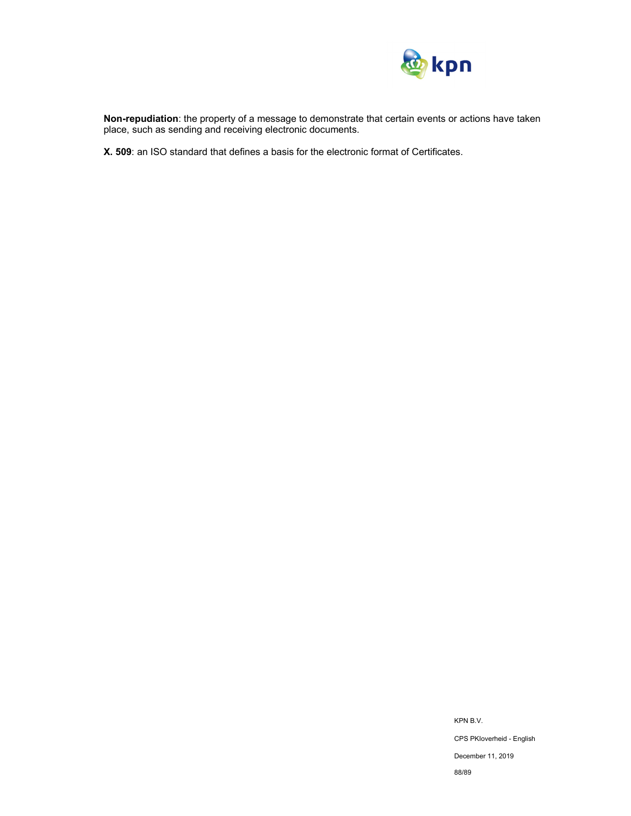

**Non-repudiation**: the property of a message to demonstrate that certain events or actions have taken place, such as sending and receiving electronic documents.

**X. 509**: an ISO standard that defines a basis for the electronic format of Certificates.

KPN B.V. CPS PKIoverheid - English

December 11, 2019